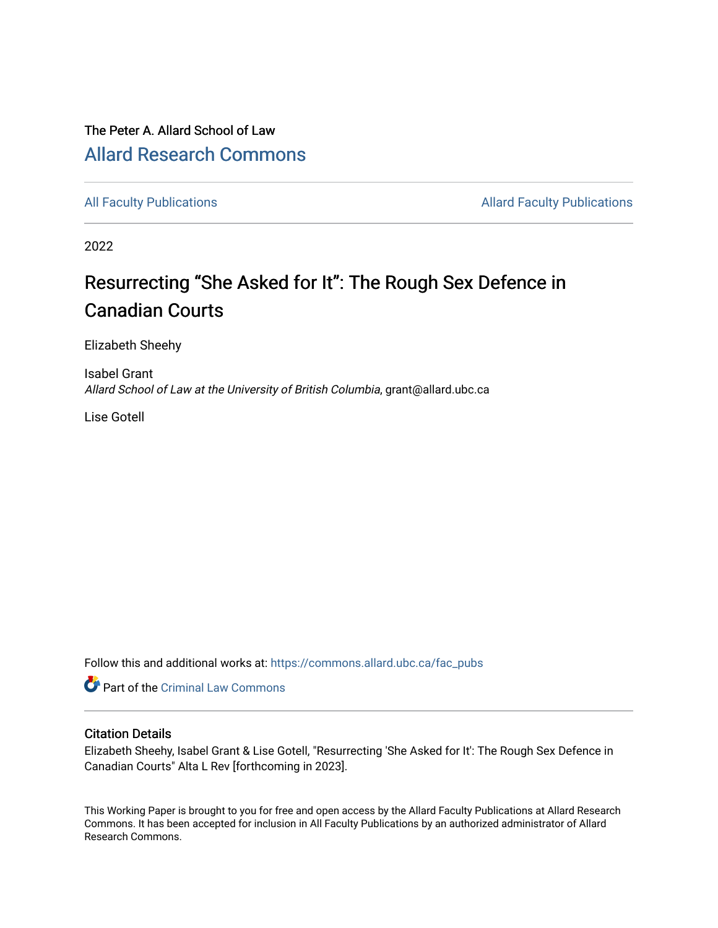## The Peter A. Allard School of Law [Allard Research Commons](https://commons.allard.ubc.ca/)

[All Faculty Publications](https://commons.allard.ubc.ca/fac_pubs) **Allard Faculty Publications Allard Faculty Publications** 

2022

# Resurrecting "She Asked for It": The Rough Sex Defence in Canadian Courts

Elizabeth Sheehy

Isabel Grant Allard School of Law at the University of British Columbia, grant@allard.ubc.ca

Lise Gotell

Follow this and additional works at: [https://commons.allard.ubc.ca/fac\\_pubs](https://commons.allard.ubc.ca/fac_pubs?utm_source=commons.allard.ubc.ca%2Ffac_pubs%2F704&utm_medium=PDF&utm_campaign=PDFCoverPages)

Part of the [Criminal Law Commons](https://network.bepress.com/hgg/discipline/912?utm_source=commons.allard.ubc.ca%2Ffac_pubs%2F704&utm_medium=PDF&utm_campaign=PDFCoverPages) 

## Citation Details

Elizabeth Sheehy, Isabel Grant & Lise Gotell, "Resurrecting 'She Asked for It': The Rough Sex Defence in Canadian Courts" Alta L Rev [forthcoming in 2023].

This Working Paper is brought to you for free and open access by the Allard Faculty Publications at Allard Research Commons. It has been accepted for inclusion in All Faculty Publications by an authorized administrator of Allard Research Commons.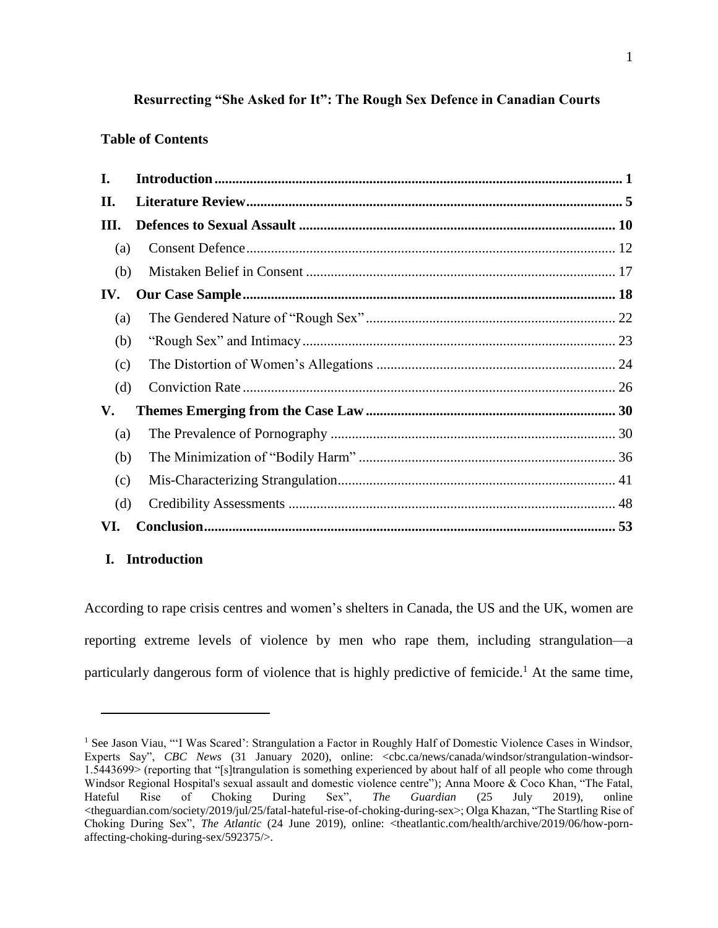## **Resurrecting "She Asked for It": The Rough Sex Defence in Canadian Courts**

## **Table of Contents**

| I.  |  |
|-----|--|
| П.  |  |
| Ш.  |  |
| (a) |  |
| (b) |  |
| IV. |  |
| (a) |  |
| (b) |  |
| (c) |  |
| (d) |  |
| V.  |  |
| (a) |  |
| (b) |  |
| (c) |  |
| (d) |  |
| VI. |  |

## **I. Introduction**

 $\overline{a}$ 

According to rape crisis centres and women's shelters in Canada, the US and the UK, women are reporting extreme levels of violence by men who rape them, including strangulation—a particularly dangerous form of violence that is highly predictive of femicide.<sup>1</sup> At the same time,

<sup>&</sup>lt;sup>1</sup> See Jason Viau, "'I Was Scared': Strangulation a Factor in Roughly Half of Domestic Violence Cases in Windsor, Experts Say", *CBC News* (31 January 2020), online: <cbc.ca/news/canada/windsor/strangulation-windsor-1.5443699> (reporting that "[s]trangulation is something experienced by about half of all people who come through Windsor Regional Hospital's sexual assault and domestic violence centre"); Anna Moore & Coco Khan, "The Fatal, Hateful Rise of Choking During Sex", *The Guardian* (25 July 2019), online Hateful Rise of Choking During Sex", *The Guardian* (25 July 2019), online <theguardian.com/society/2019/jul/25/fatal-hateful-rise-of-choking-during-sex>; Olga Khazan, "The Startling Rise of Choking During Sex", *The Atlantic* (24 June 2019), online: <theatlantic.com/health/archive/2019/06/how-pornaffecting-choking-during-sex/592375/>.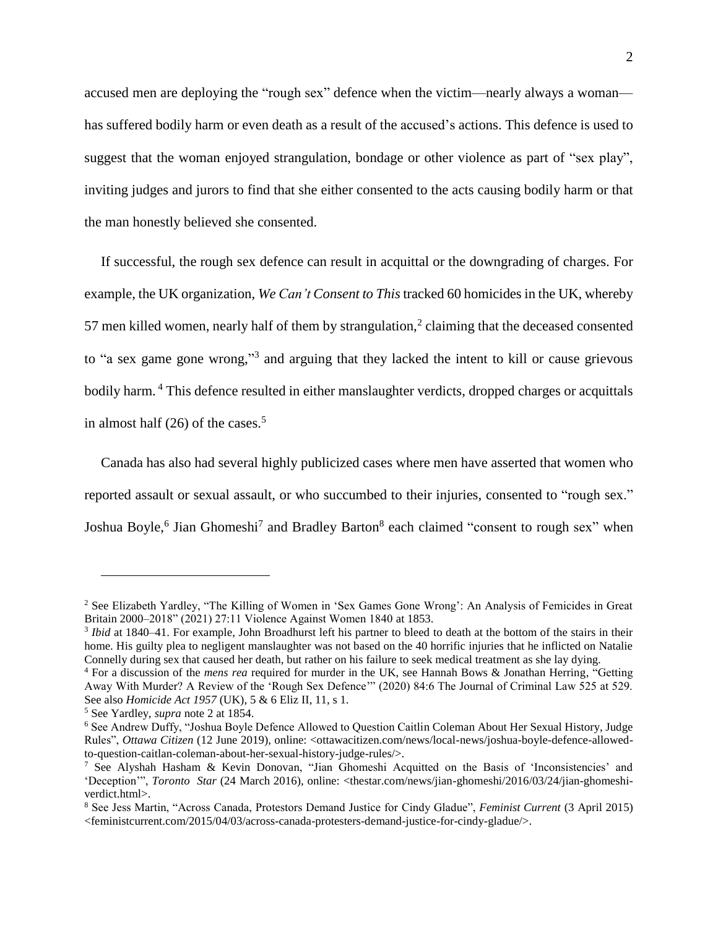accused men are deploying the "rough sex" defence when the victim—nearly always a woman has suffered bodily harm or even death as a result of the accused's actions. This defence is used to suggest that the woman enjoyed strangulation, bondage or other violence as part of "sex play", inviting judges and jurors to find that she either consented to the acts causing bodily harm or that the man honestly believed she consented.

<span id="page-2-0"></span>If successful, the rough sex defence can result in acquittal or the downgrading of charges. For example, the UK organization, *We Can't Consent to This*tracked 60 homicides in the UK, whereby 57 men killed women, nearly half of them by strangulation, $2$  claiming that the deceased consented to "a sex game gone wrong," 3 and arguing that they lacked the intent to kill or cause grievous bodily harm. <sup>4</sup> This defence resulted in either manslaughter verdicts, dropped charges or acquittals in almost half  $(26)$  of the cases.<sup>5</sup>

<span id="page-2-1"></span>Canada has also had several highly publicized cases where men have asserted that women who reported assault or sexual assault, or who succumbed to their injuries, consented to "rough sex." Joshua Boyle,<sup>6</sup> Jian Ghomeshi<sup>7</sup> and Bradley Barton<sup>8</sup> each claimed "consent to rough sex" when

<sup>2</sup> See Elizabeth Yardley, "The Killing of Women in 'Sex Games Gone Wrong': An Analysis of Femicides in Great Britain 2000–2018" (2021) 27:11 Violence Against Women 1840 at 1853.

<sup>&</sup>lt;sup>3</sup> Ibid at 1840–41. For example, John Broadhurst left his partner to bleed to death at the bottom of the stairs in their home. His guilty plea to negligent manslaughter was not based on the 40 horrific injuries that he inflicted on Natalie Connelly during sex that caused her death, but rather on his failure to seek medical treatment as she lay dying.

<sup>4</sup> For a discussion of the *mens rea* required for murder in the UK, see Hannah Bows & Jonathan Herring, "Getting Away With Murder? A Review of the 'Rough Sex Defence'" (2020) 84:6 The Journal of Criminal Law 525 at 529. See also *Homicide Act 1957* (UK), 5 & 6 Eliz II, 11, s 1.

<sup>5</sup> See Yardley, *supra* note [2](#page-2-0) at 1854.

<sup>6</sup> See Andrew Duffy, "Joshua Boyle Defence Allowed to Question Caitlin Coleman About Her Sexual History, Judge Rules", *Ottawa Citizen* (12 June 2019), online: <ottawacitizen.com/news/local-news/joshua-boyle-defence-allowedto-question-caitlan-coleman-about-her-sexual-history-judge-rules/>.

<sup>7</sup> See Alyshah Hasham & Kevin Donovan, "Jian Ghomeshi Acquitted on the Basis of 'Inconsistencies' and 'Deception'", *Toronto Star* (24 March 2016), online: <thestar.com/news/jian-ghomeshi/2016/03/24/jian-ghomeshiverdict.html>.

<sup>8</sup> See Jess Martin, "Across Canada, Protestors Demand Justice for Cindy Gladue", *Feminist Current* (3 April 2015) <feministcurrent.com/2015/04/03/across-canada-protesters-demand-justice-for-cindy-gladue/>.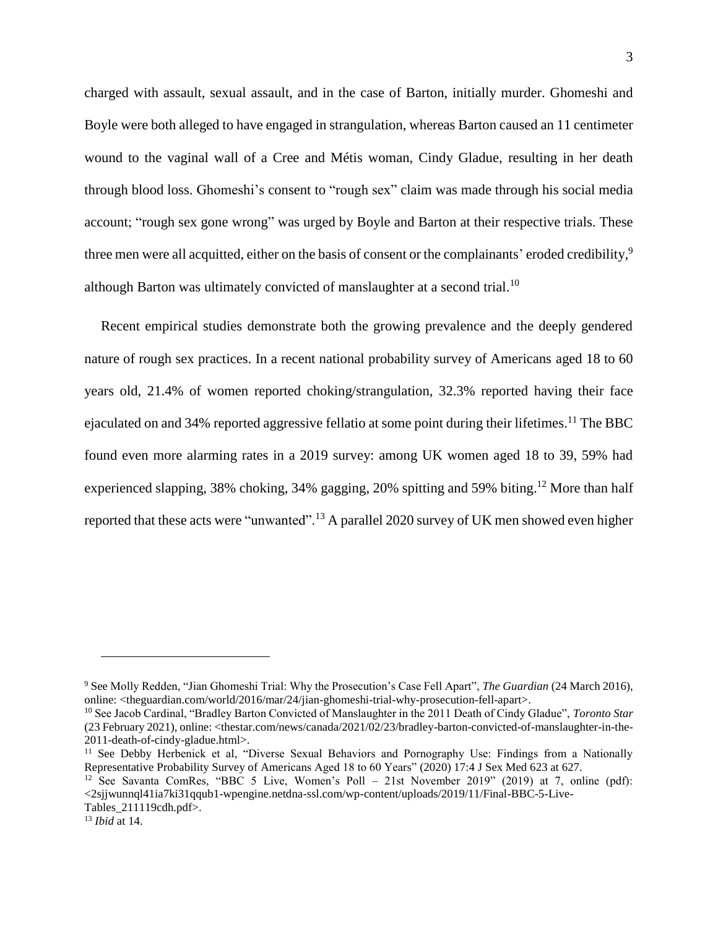charged with assault, sexual assault, and in the case of Barton, initially murder. Ghomeshi and Boyle were both alleged to have engaged in strangulation, whereas Barton caused an 11 centimeter wound to the vaginal wall of a Cree and Métis woman, Cindy Gladue, resulting in her death through blood loss. Ghomeshi's consent to "rough sex" claim was made through his social media account; "rough sex gone wrong" was urged by Boyle and Barton at their respective trials. These three men were all acquitted, either on the basis of consent or the complainants' eroded credibility, 9 although Barton was ultimately convicted of manslaughter at a second trial.<sup>10</sup>

<span id="page-3-0"></span>Recent empirical studies demonstrate both the growing prevalence and the deeply gendered nature of rough sex practices. In a recent national probability survey of Americans aged 18 to 60 years old, 21.4% of women reported choking/strangulation, 32.3% reported having their face ejaculated on and 34% reported aggressive fellatio at some point during their lifetimes.<sup>11</sup> The BBC found even more alarming rates in a 2019 survey: among UK women aged 18 to 39, 59% had experienced slapping, 38% choking, 34% gagging, 20% spitting and 59% biting.<sup>12</sup> More than half reported that these acts were "unwanted".<sup>13</sup> A parallel 2020 survey of UK men showed even higher

<sup>9</sup> See Molly Redden, "Jian Ghomeshi Trial: Why the Prosecution's Case Fell Apart", *The Guardian* (24 March 2016), online: <theguardian.com/world/2016/mar/24/jian-ghomeshi-trial-why-prosecution-fell-apart>.

<sup>10</sup> See Jacob Cardinal, "Bradley Barton Convicted of Manslaughter in the 2011 Death of Cindy Gladue", *Toronto Star*  (23 February 2021), online: <thestar.com/news/canada/2021/02/23/bradley-barton-convicted-of-manslaughter-in-the-2011-death-of-cindy-gladue.html>.

<sup>&</sup>lt;sup>11</sup> See Debby Herbenick et al, "Diverse Sexual Behaviors and Pornography Use: Findings from a Nationally Representative Probability Survey of Americans Aged 18 to 60 Years" (2020) 17:4 J Sex Med 623 at 627.

<sup>&</sup>lt;sup>12</sup> See Savanta ComRes, "BBC 5 Live, Women's Poll – 21st November 2019" (2019) at 7, online (pdf): <2sjjwunnql41ia7ki31qqub1-wpengine.netdna-ssl.com/wp-content/uploads/2019/11/Final-BBC-5-Live-Tables\_211119cdh.pdf>.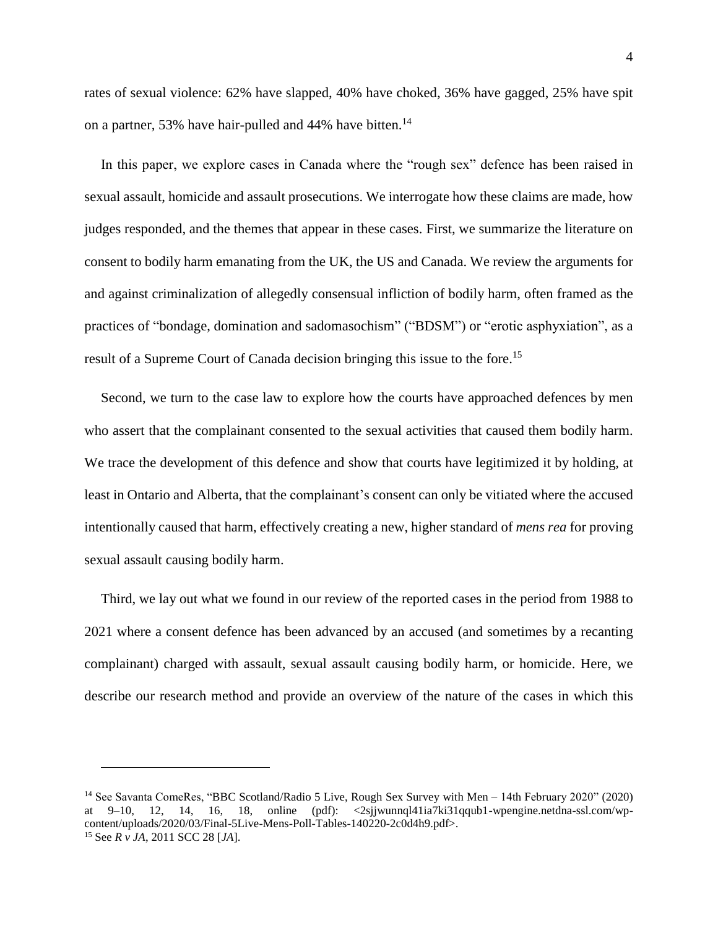rates of sexual violence: 62% have slapped, 40% have choked, 36% have gagged, 25% have spit on a partner, 53% have hair-pulled and 44% have bitten.<sup>14</sup>

In this paper, we explore cases in Canada where the "rough sex" defence has been raised in sexual assault, homicide and assault prosecutions. We interrogate how these claims are made, how judges responded, and the themes that appear in these cases. First, we summarize the literature on consent to bodily harm emanating from the UK, the US and Canada. We review the arguments for and against criminalization of allegedly consensual infliction of bodily harm, often framed as the practices of "bondage, domination and sadomasochism" ("BDSM") or "erotic asphyxiation", as a result of a Supreme Court of Canada decision bringing this issue to the fore.<sup>15</sup>

<span id="page-4-0"></span>Second, we turn to the case law to explore how the courts have approached defences by men who assert that the complainant consented to the sexual activities that caused them bodily harm. We trace the development of this defence and show that courts have legitimized it by holding, at least in Ontario and Alberta, that the complainant's consent can only be vitiated where the accused intentionally caused that harm, effectively creating a new, higher standard of *mens rea* for proving sexual assault causing bodily harm.

Third, we lay out what we found in our review of the reported cases in the period from 1988 to 2021 where a consent defence has been advanced by an accused (and sometimes by a recanting complainant) charged with assault, sexual assault causing bodily harm, or homicide. Here, we describe our research method and provide an overview of the nature of the cases in which this

<sup>&</sup>lt;sup>14</sup> See Savanta ComeRes, "BBC Scotland/Radio 5 Live, Rough Sex Survey with Men – 14th February 2020" (2020) at 9–10, 12, 14, 16, 18, online (pdf): <2sjjwunnql41ia7ki31qqub1-wpengine.netdna-ssl.com/wpcontent/uploads/2020/03/Final-5Live-Mens-Poll-Tables-140220-2c0d4h9.pdf>. <sup>15</sup> See *R v JA*, 2011 SCC 28 [*JA*].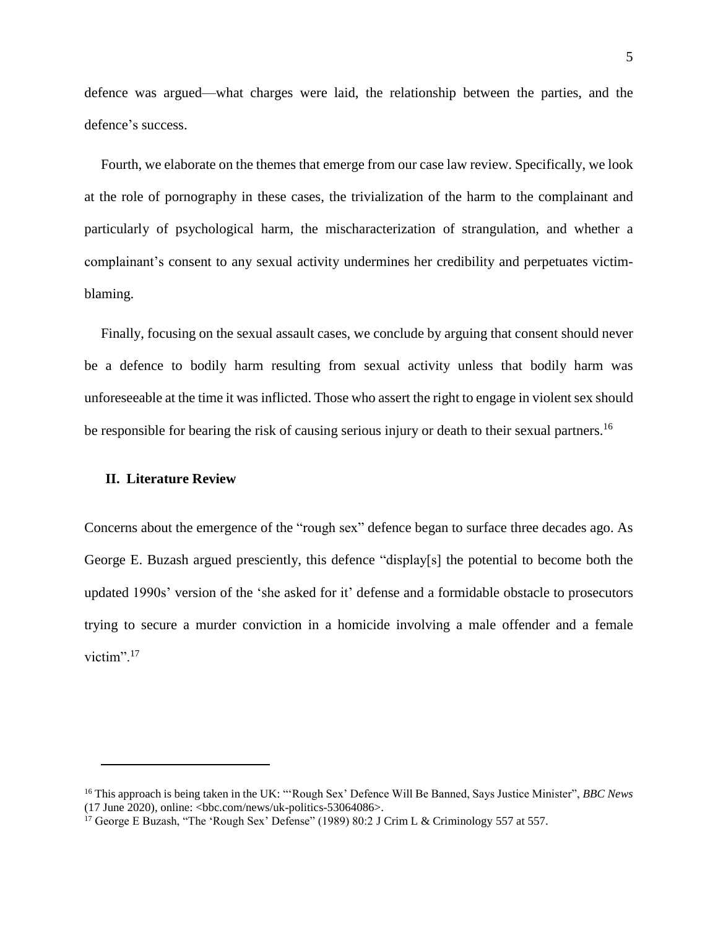defence was argued—what charges were laid, the relationship between the parties, and the defence's success.

Fourth, we elaborate on the themes that emerge from our case law review. Specifically, we look at the role of pornography in these cases, the trivialization of the harm to the complainant and particularly of psychological harm, the mischaracterization of strangulation, and whether a complainant's consent to any sexual activity undermines her credibility and perpetuates victimblaming.

Finally, focusing on the sexual assault cases, we conclude by arguing that consent should never be a defence to bodily harm resulting from sexual activity unless that bodily harm was unfore seeable at the time it was inflicted. Those who assert the right to engage in violent sex should be responsible for bearing the risk of causing serious injury or death to their sexual partners.<sup>16</sup>

#### **II. Literature Review**

 $\overline{a}$ 

Concerns about the emergence of the "rough sex" defence began to surface three decades ago. As George E. Buzash argued presciently, this defence "display[s] the potential to become both the updated 1990s' version of the 'she asked for it' defense and a formidable obstacle to prosecutors trying to secure a murder conviction in a homicide involving a male offender and a female victim".<sup>17</sup>

<sup>16</sup> This approach is being taken in the UK: "'Rough Sex' Defence Will Be Banned, Says Justice Minister", *BBC News*   $(17 \text{ June } 2020)$ , online: <br/>>hbc.com/news/uk-politics-53064086>.

<sup>&</sup>lt;sup>17</sup> George E Buzash, "The 'Rough Sex' Defense" (1989) 80:2 J Crim L & Criminology 557 at 557.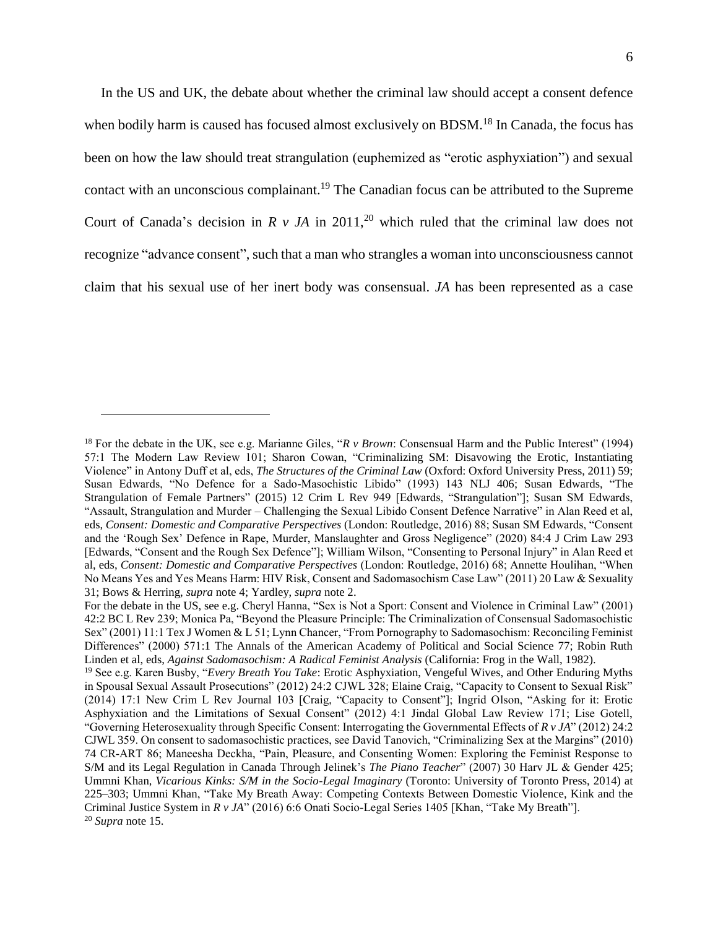<span id="page-6-1"></span><span id="page-6-0"></span>In the US and UK, the debate about whether the criminal law should accept a consent defence when bodily harm is caused has focused almost exclusively on BDSM.<sup>18</sup> In Canada, the focus has been on how the law should treat strangulation (euphemized as "erotic asphyxiation") and sexual contact with an unconscious complainant.<sup>19</sup> The Canadian focus can be attributed to the Supreme Court of Canada's decision in  $R$  *v JA* in 2011,<sup>20</sup> which ruled that the criminal law does not recognize "advance consent", such that a man who strangles a woman into unconsciousness cannot claim that his sexual use of her inert body was consensual. *JA* has been represented as a case

<sup>18</sup> For the debate in the UK, see e.g. Marianne Giles, "*R v Brown*: Consensual Harm and the Public Interest" (1994) 57:1 The Modern Law Review 101; Sharon Cowan, "Criminalizing SM: Disavowing the Erotic, Instantiating Violence" in Antony Duff et al, eds, *The Structures of the Criminal Law* (Oxford: Oxford University Press, 2011) 59; Susan Edwards, "No Defence for a Sado-Masochistic Libido" (1993) 143 NLJ 406; Susan Edwards, "The Strangulation of Female Partners" (2015) 12 Crim L Rev 949 [Edwards, "Strangulation"]; Susan SM Edwards, "Assault, Strangulation and Murder – Challenging the Sexual Libido Consent Defence Narrative" in Alan Reed et al, eds, *Consent: Domestic and Comparative Perspectives* (London: Routledge, 2016) 88; Susan SM Edwards, "Consent and the 'Rough Sex' Defence in Rape, Murder, Manslaughter and Gross Negligence" (2020) 84:4 J Crim Law 293 [Edwards, "Consent and the Rough Sex Defence"]; William Wilson, "Consenting to Personal Injury" in Alan Reed et al, eds, *Consent: Domestic and Comparative Perspectives* (London: Routledge, 2016) 68; Annette Houlihan, "When No Means Yes and Yes Means Harm: HIV Risk, Consent and Sadomasochism Case Law" (2011) 20 Law & Sexuality 31; Bows & Herring, *supra* note [4;](#page-2-1) Yardley, *supra* note [2.](#page-2-0)

For the debate in the US, see e.g. Cheryl Hanna, "Sex is Not a Sport: Consent and Violence in Criminal Law" (2001) 42:2 BC L Rev 239; Monica Pa, "Beyond the Pleasure Principle: The Criminalization of Consensual Sadomasochistic Sex" (2001) 11:1 Tex J Women & L 51; Lynn Chancer, "From Pornography to Sadomasochism: Reconciling Feminist Differences" (2000) 571:1 The Annals of the American Academy of Political and Social Science 77; Robin Ruth Linden et al, eds, *Against Sadomasochism: A Radical Feminist Analysis* (California: Frog in the Wall, 1982).

<sup>19</sup> See e.g. Karen Busby, "*Every Breath You Take*: Erotic Asphyxiation, Vengeful Wives, and Other Enduring Myths in Spousal Sexual Assault Prosecutions" (2012) 24:2 CJWL 328; Elaine Craig, "Capacity to Consent to Sexual Risk" (2014) 17:1 New Crim L Rev Journal 103 [Craig, "Capacity to Consent"]; Ingrid Olson, "Asking for it: Erotic Asphyxiation and the Limitations of Sexual Consent" (2012) 4:1 Jindal Global Law Review 171; Lise Gotell, "Governing Heterosexuality through Specific Consent: Interrogating the Governmental Effects of *R v JA*" (2012) 24:2 CJWL 359. On consent to sadomasochistic practices, see David Tanovich, "Criminalizing Sex at the Margins" (2010) 74 CR-ART 86; Maneesha Deckha, "Pain, Pleasure, and Consenting Women: Exploring the Feminist Response to S/M and its Legal Regulation in Canada Through Jelinek's *The Piano Teacher*" (2007) 30 Harv JL & Gender 425; Ummni Khan, *Vicarious Kinks: S/M in the Socio-Legal Imaginary* (Toronto: University of Toronto Press, 2014) at 225–303; Ummni Khan, "Take My Breath Away: Competing Contexts Between Domestic Violence, Kink and the Criminal Justice System in *R v JA*" (2016) 6:6 Onati Socio-Legal Series 1405 [Khan, "Take My Breath"]. <sup>20</sup> *Supra* note [15.](#page-4-0)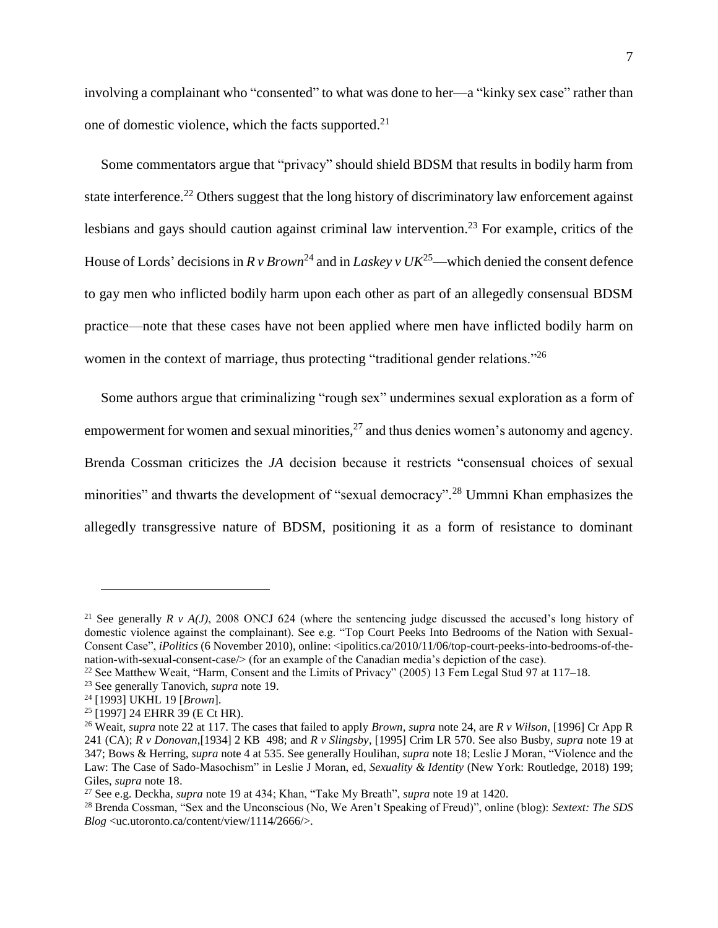involving a complainant who "consented" to what was done to her—a "kinky sex case" rather than one of domestic violence, which the facts supported.<sup>21</sup>

<span id="page-7-1"></span><span id="page-7-0"></span>Some commentators argue that "privacy" should shield BDSM that results in bodily harm from state interference.<sup>22</sup> Others suggest that the long history of discriminatory law enforcement against lesbians and gays should caution against criminal law intervention.<sup>23</sup> For example, critics of the House of Lords' decisions in  $R v Brown<sup>24</sup>$  and in *Laskey*  $v UK<sup>25</sup>$ —which denied the consent defence to gay men who inflicted bodily harm upon each other as part of an allegedly consensual BDSM practice—note that these cases have not been applied where men have inflicted bodily harm on women in the context of marriage, thus protecting "traditional gender relations."<sup>26</sup>

Some authors argue that criminalizing "rough sex" undermines sexual exploration as a form of empowerment for women and sexual minorities, $^{27}$  and thus denies women's autonomy and agency. Brenda Cossman criticizes the *JA* decision because it restricts "consensual choices of sexual minorities" and thwarts the development of "sexual democracy".<sup>28</sup> Ummni Khan emphasizes the allegedly transgressive nature of BDSM, positioning it as a form of resistance to dominant

<sup>&</sup>lt;sup>21</sup> See generally *R v A(J)*, 2008 ONCJ 624 (where the sentencing judge discussed the accused's long history of domestic violence against the complainant). See e.g. "Top Court Peeks Into Bedrooms of the Nation with Sexual-Consent Case", *iPolitics* (6 November 2010), online: <ipolitics.ca/2010/11/06/top-court-peeks-into-bedrooms-of-thenation-with-sexual-consent-case/> (for an example of the Canadian media's depiction of the case).

<sup>&</sup>lt;sup>22</sup> See Matthew Weait, "Harm, Consent and the Limits of Privacy" (2005) 13 Fem Legal Stud 97 at 117–18.

<sup>23</sup> See generally Tanovich, *supra* note [19.](#page-6-0)

<sup>24</sup> [1993] UKHL 19 [*Brown*].

<sup>25</sup> [1997] 24 EHRR 39 (E Ct HR).

<sup>26</sup> Weait, *supra* note [22](#page-7-0) at 117. The cases that failed to apply *Brown*, *supra* not[e 24,](#page-7-1) are *R v Wilson*, [1996] Cr App R 241 (CA); *R v Donovan*,[1934] 2 KB 498; and *R v Slingsby*, [1995] Crim LR 570. See also Busby, *supra* note [19](#page-6-0) at 347; Bows & Herring, *supra* note [4](#page-2-1) at 535. See generally Houlihan, *supra* note [18;](#page-6-1) Leslie J Moran, "Violence and the Law: The Case of Sado-Masochism" in Leslie J Moran, ed, *Sexuality & Identity* (New York: Routledge, 2018) 199; Giles, *supra* note [18.](#page-6-1)

<sup>27</sup> See e.g. Deckha, *supra* note [19](#page-6-0) at 434; Khan, "Take My Breath", *supra* note [19](#page-6-0) at 1420.

<sup>28</sup> Brenda Cossman, "Sex and the Unconscious (No, We Aren't Speaking of Freud)", online (blog): *Sextext: The SDS Blog* <uc.utoronto.ca/content/view/1114/2666/>.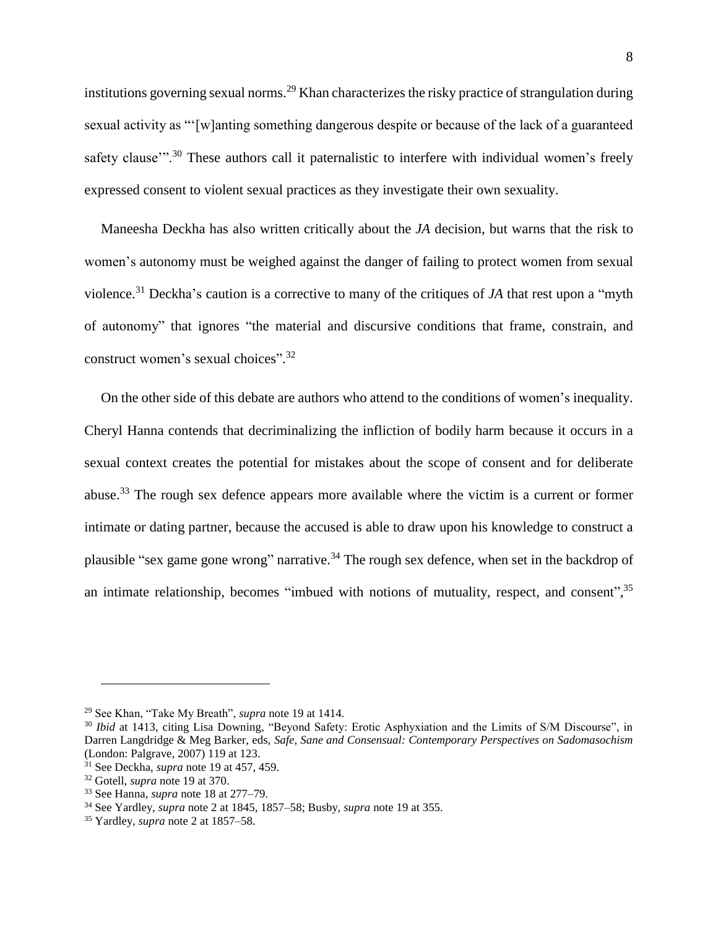institutions governing sexual norms.<sup>29</sup> Khan characterizes the risky practice of strangulation during sexual activity as "'[w]anting something dangerous despite or because of the lack of a guaranteed safety clause"<sup>30</sup> These authors call it paternalistic to interfere with individual women's freely expressed consent to violent sexual practices as they investigate their own sexuality.

Maneesha Deckha has also written critically about the *JA* decision, but warns that the risk to women's autonomy must be weighed against the danger of failing to protect women from sexual violence.<sup>31</sup> Deckha's caution is a corrective to many of the critiques of *JA* that rest upon a "myth of autonomy" that ignores "the material and discursive conditions that frame, constrain, and construct women's sexual choices".<sup>32</sup>

On the other side of this debate are authors who attend to the conditions of women's inequality. Cheryl Hanna contends that decriminalizing the infliction of bodily harm because it occurs in a sexual context creates the potential for mistakes about the scope of consent and for deliberate abuse.<sup>33</sup> The rough sex defence appears more available where the victim is a current or former intimate or dating partner, because the accused is able to draw upon his knowledge to construct a plausible "sex game gone wrong" narrative.<sup>34</sup> The rough sex defence, when set in the backdrop of an intimate relationship, becomes "imbued with notions of mutuality, respect, and consent",<sup>35</sup>

<sup>29</sup> See Khan, "Take My Breath", *supra* note [19](#page-6-0) at 1414.

<sup>&</sup>lt;sup>30</sup> *Ibid* at 1413, citing Lisa Downing, "Beyond Safety: Erotic Asphyxiation and the Limits of S/M Discourse", in Darren Langdridge & Meg Barker, eds, *Safe, Sane and Consensual: Contemporary Perspectives on Sadomasochism* (London: Palgrave, 2007) 119 at 123.

<sup>31</sup> See Deckha, *supra* note [19](#page-6-0) at 457, 459.

<sup>32</sup> Gotell, *supra* note [19](#page-6-0) at 370.

<sup>33</sup> See Hanna, *supra* note [18](#page-6-1) at 277–79.

<sup>34</sup> See Yardley, *supra* note [2](#page-2-0) at 1845, 1857–58; Busby, *supra* note [19](#page-6-0) at 355.

<sup>35</sup> Yardley, *supra* note [2](#page-2-0) at 1857–58.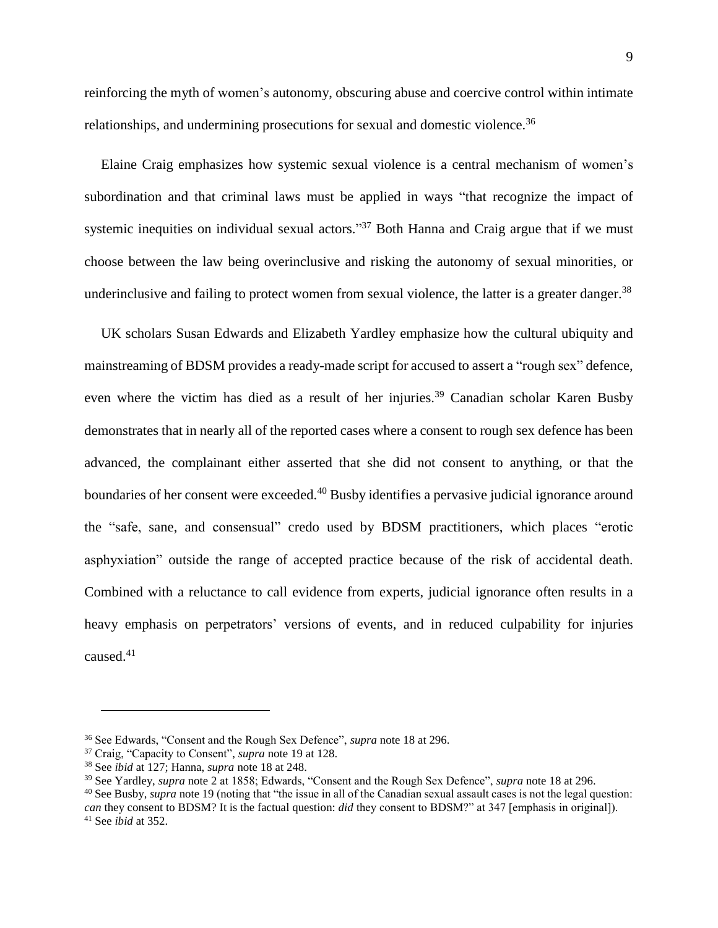reinforcing the myth of women's autonomy, obscuring abuse and coercive control within intimate relationships, and undermining prosecutions for sexual and domestic violence.<sup>36</sup>

Elaine Craig emphasizes how systemic sexual violence is a central mechanism of women's subordination and that criminal laws must be applied in ways "that recognize the impact of systemic inequities on individual sexual actors."<sup>37</sup> Both Hanna and Craig argue that if we must choose between the law being overinclusive and risking the autonomy of sexual minorities, or underinclusive and failing to protect women from sexual violence, the latter is a greater danger.<sup>38</sup>

UK scholars Susan Edwards and Elizabeth Yardley emphasize how the cultural ubiquity and mainstreaming of BDSM provides a ready-made script for accused to assert a "rough sex" defence, even where the victim has died as a result of her injuries.<sup>39</sup> Canadian scholar Karen Busby demonstrates that in nearly all of the reported cases where a consent to rough sex defence has been advanced, the complainant either asserted that she did not consent to anything, or that the boundaries of her consent were exceeded.<sup>40</sup> Busby identifies a pervasive judicial ignorance around the "safe, sane, and consensual" credo used by BDSM practitioners, which places "erotic asphyxiation" outside the range of accepted practice because of the risk of accidental death. Combined with a reluctance to call evidence from experts, judicial ignorance often results in a heavy emphasis on perpetrators' versions of events, and in reduced culpability for injuries caused.<sup>41</sup>

<sup>36</sup> See Edwards, "Consent and the Rough Sex Defence", *supra* not[e 18](#page-6-1) at 296.

<sup>37</sup> Craig, "Capacity to Consent", *supra* note [19](#page-6-0) at 128.

<sup>38</sup> See *ibid* at 127; Hanna, *supra* note [18](#page-6-1) at 248.

<sup>39</sup> See Yardley, *supra* note [2](#page-2-0) at 1858; Edwards, "Consent and the Rough Sex Defence", *supra* not[e 18](#page-6-1) at 296.

<sup>40</sup> See Busby, *supra* not[e 19](#page-6-0) (noting that "the issue in all of the Canadian sexual assault cases is not the legal question: *can* they consent to BDSM? It is the factual question: *did* they consent to BDSM?" at 347 [emphasis in original]). <sup>41</sup> See *ibid* at 352.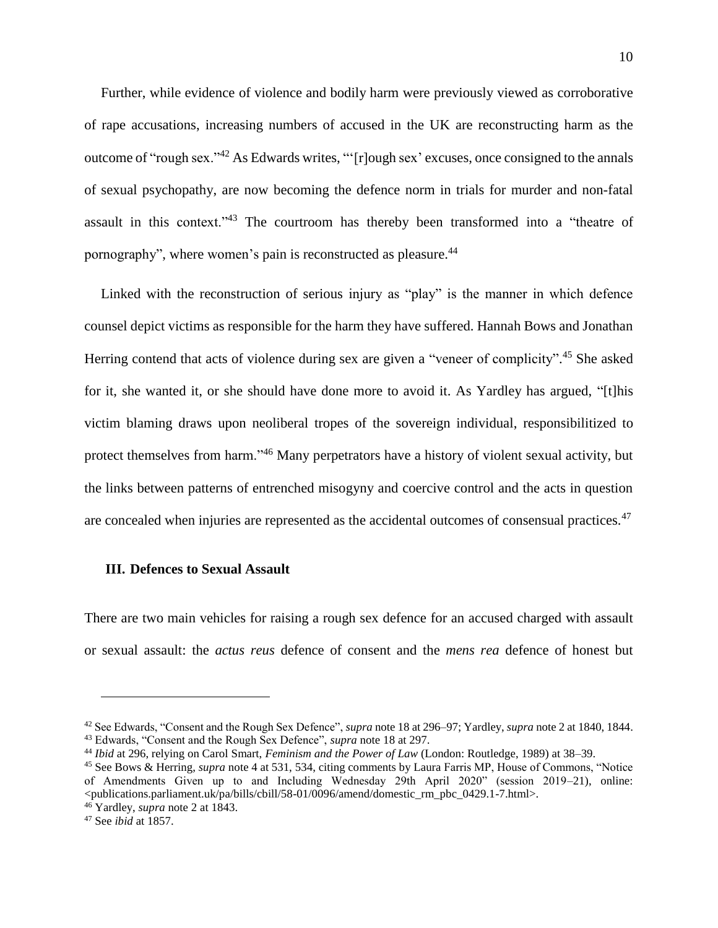Further, while evidence of violence and bodily harm were previously viewed as corroborative of rape accusations, increasing numbers of accused in the UK are reconstructing harm as the outcome of "rough sex."<sup>42</sup> As Edwards writes, "'[r]ough sex' excuses, once consigned to the annals of sexual psychopathy, are now becoming the defence norm in trials for murder and non-fatal assault in this context."<sup>43</sup> The courtroom has thereby been transformed into a "theatre of pornography", where women's pain is reconstructed as pleasure.<sup>44</sup>

Linked with the reconstruction of serious injury as "play" is the manner in which defence counsel depict victims as responsible for the harm they have suffered. Hannah Bows and Jonathan Herring contend that acts of violence during sex are given a "veneer of complicity".<sup>45</sup> She asked for it, she wanted it, or she should have done more to avoid it. As Yardley has argued, "[t]his victim blaming draws upon neoliberal tropes of the sovereign individual, responsibilitized to protect themselves from harm."<sup>46</sup> Many perpetrators have a history of violent sexual activity, but the links between patterns of entrenched misogyny and coercive control and the acts in question are concealed when injuries are represented as the accidental outcomes of consensual practices.<sup>47</sup>

#### **III. Defences to Sexual Assault**

There are two main vehicles for raising a rough sex defence for an accused charged with assault or sexual assault: the *actus reus* defence of consent and the *mens rea* defence of honest but

<sup>42</sup> See Edwards, "Consent and the Rough Sex Defence", *supra* not[e 18](#page-6-1) at 296–97; Yardley, *supra* not[e 2](#page-2-0) at 1840, 1844. <sup>43</sup> Edwards, "Consent and the Rough Sex Defence", *supra* note [18](#page-6-1) at 297.

<sup>44</sup> *Ibid* at 296, relying on Carol Smart, *Feminism and the Power of Law* (London: Routledge, 1989) at 38–39.

<sup>45</sup> See Bows & Herring, *supra* note 4 at 531, 534, citing comments by Laura Farris MP, House of Commons, "Notice of Amendments Given up to and Including Wednesday 29th April 2020" (session 2019–21), online: <publications.parliament.uk/pa/bills/cbill/58-01/0096/amend/domestic\_rm\_pbc\_0429.1-7.html>.

<sup>46</sup> Yardley, *supra* note [2](#page-2-0) at 1843.

<sup>47</sup> See *ibid* at 1857.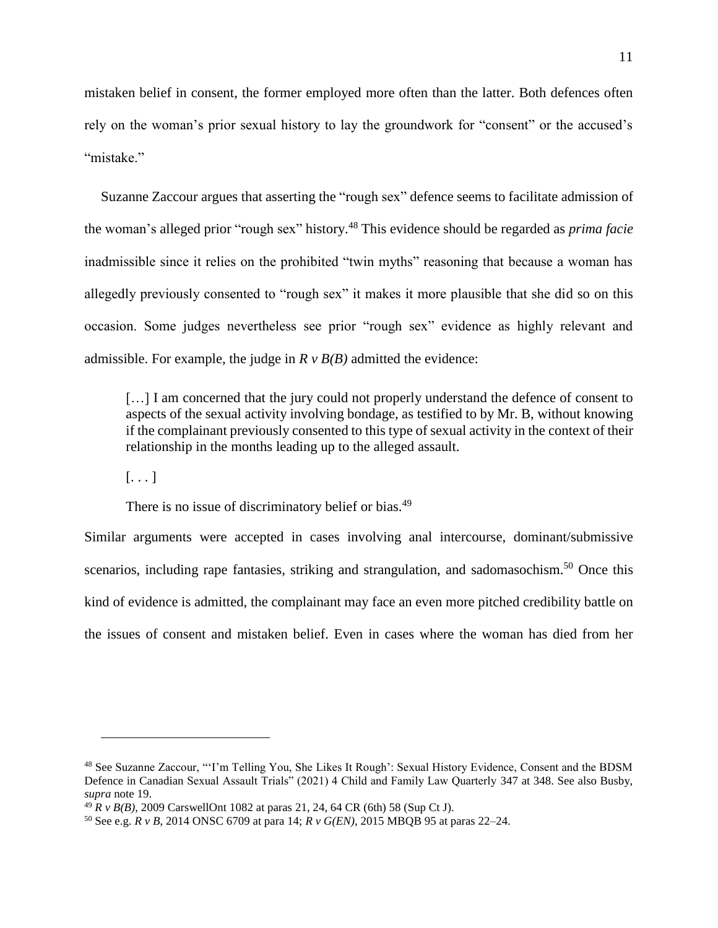mistaken belief in consent, the former employed more often than the latter. Both defences often rely on the woman's prior sexual history to lay the groundwork for "consent" or the accused's "mistake."

<span id="page-11-0"></span>Suzanne Zaccour argues that asserting the "rough sex" defence seems to facilitate admission of the woman's alleged prior "rough sex" history.<sup>48</sup> This evidence should be regarded as *prima facie*  inadmissible since it relies on the prohibited "twin myths" reasoning that because a woman has allegedly previously consented to "rough sex" it makes it more plausible that she did so on this occasion. Some judges nevertheless see prior "rough sex" evidence as highly relevant and admissible. For example, the judge in  $R \vee B(B)$  admitted the evidence:

[...] I am concerned that the jury could not properly understand the defence of consent to aspects of the sexual activity involving bondage, as testified to by Mr. B, without knowing if the complainant previously consented to this type of sexual activity in the context of their relationship in the months leading up to the alleged assault.

 $[\ldots]$ 

 $\overline{a}$ 

There is no issue of discriminatory belief or bias.<sup>49</sup>

Similar arguments were accepted in cases involving anal intercourse, dominant/submissive scenarios, including rape fantasies, striking and strangulation, and sadomasochism.<sup>50</sup> Once this kind of evidence is admitted, the complainant may face an even more pitched credibility battle on the issues of consent and mistaken belief. Even in cases where the woman has died from her

<sup>48</sup> See Suzanne Zaccour, "'I'm Telling You, She Likes It Rough': Sexual History Evidence, Consent and the BDSM Defence in Canadian Sexual Assault Trials" (2021) 4 Child and Family Law Quarterly 347 at 348. See also Busby, *supra* note [19.](#page-6-0)

<sup>49</sup> *R v B(B)*, 2009 CarswellOnt 1082 at paras 21, 24, 64 CR (6th) 58 (Sup Ct J).

<sup>50</sup> See e.g. *R v B*, 2014 ONSC 6709 at para 14; *R v G(EN)*, 2015 MBQB 95 at paras 22–24.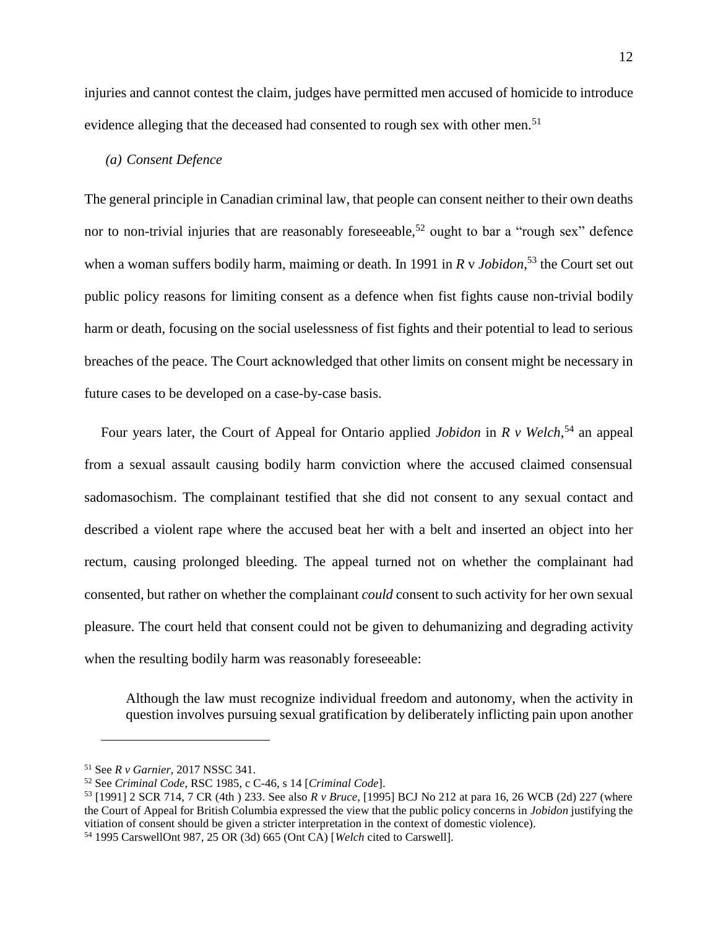injuries and cannot contest the claim, judges have permitted men accused of homicide to introduce evidence alleging that the deceased had consented to rough sex with other men.<sup>51</sup>

#### <span id="page-12-0"></span>*(a) Consent Defence*

The general principle in Canadian criminal law, that people can consent neither to their own deaths nor to non-trivial injuries that are reasonably foreseeable,<sup>52</sup> ought to bar a "rough sex" defence when a woman suffers bodily harm, maiming or death. In 1991 in *R* v *Jobidon*, <sup>53</sup> the Court set out public policy reasons for limiting consent as a defence when fist fights cause non-trivial bodily harm or death, focusing on the social uselessness of fist fights and their potential to lead to serious breaches of the peace. The Court acknowledged that other limits on consent might be necessary in future cases to be developed on a case-by-case basis.

<span id="page-12-1"></span>Four years later, the Court of Appeal for Ontario applied *Jobidon* in *R v Welch*, <sup>54</sup> an appeal from a sexual assault causing bodily harm conviction where the accused claimed consensual sadomasochism. The complainant testified that she did not consent to any sexual contact and described a violent rape where the accused beat her with a belt and inserted an object into her rectum, causing prolonged bleeding. The appeal turned not on whether the complainant had consented, but rather on whether the complainant *could* consent to such activity for her own sexual pleasure. The court held that consent could not be given to dehumanizing and degrading activity when the resulting bodily harm was reasonably foreseeable:

Although the law must recognize individual freedom and autonomy, when the activity in question involves pursuing sexual gratification by deliberately inflicting pain upon another

<sup>51</sup> See *R v Garnier*, 2017 NSSC 341.

<sup>52</sup> See *Criminal Code*, RSC 1985, c C-46, s 14 [*Criminal Code*].

<sup>53</sup> [1991] 2 SCR 714, 7 CR (4th ) 233. See also *R v Bruce*, [1995] BCJ No 212 at para 16, 26 WCB (2d) 227 (where the Court of Appeal for British Columbia expressed the view that the public policy concerns in *Jobidon* justifying the vitiation of consent should be given a stricter interpretation in the context of domestic violence).

<sup>54</sup> 1995 CarswellOnt 987, 25 OR (3d) 665 (Ont CA) [*Welch* cited to Carswell].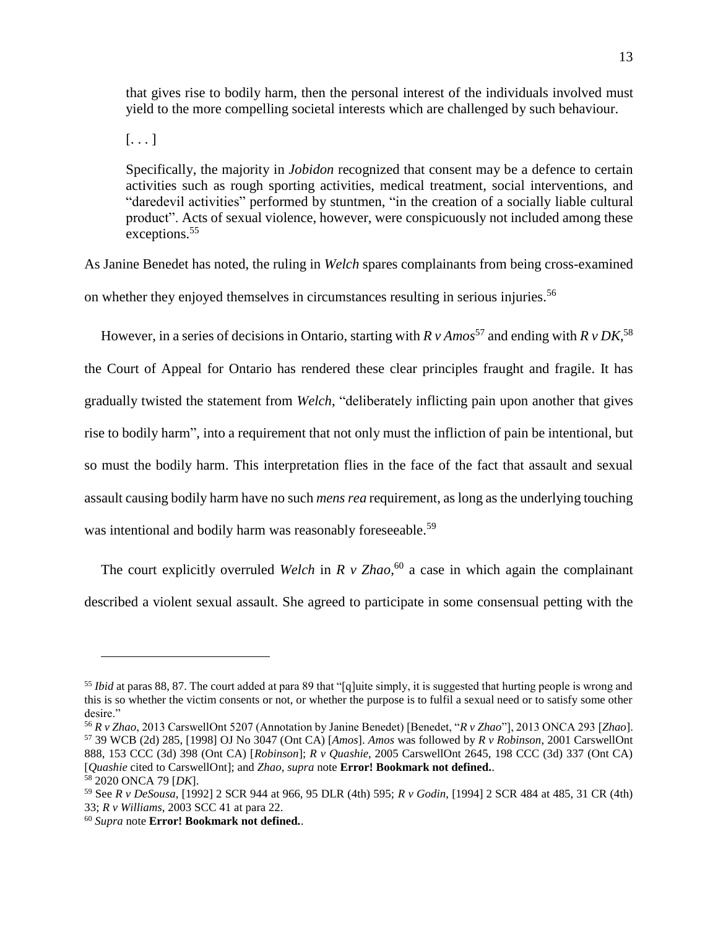that gives rise to bodily harm, then the personal interest of the individuals involved must yield to the more compelling societal interests which are challenged by such behaviour.

 $[\ldots]$ 

Specifically, the majority in *Jobidon* recognized that consent may be a defence to certain activities such as rough sporting activities, medical treatment, social interventions, and "daredevil activities" performed by stuntmen, "in the creation of a socially liable cultural product". Acts of sexual violence, however, were conspicuously not included among these exceptions.<sup>55</sup>

As Janine Benedet has noted, the ruling in *Welch* spares complainants from being cross-examined on whether they enjoyed themselves in circumstances resulting in serious injuries.<sup>56</sup>

<span id="page-13-1"></span><span id="page-13-0"></span>However, in a series of decisions in Ontario, starting with  $R v A$  *nos*<sup>57</sup> and ending with  $R v D K$ ,<sup>58</sup>

the Court of Appeal for Ontario has rendered these clear principles fraught and fragile. It has gradually twisted the statement from *Welch*, "deliberately inflicting pain upon another that gives rise to bodily harm", into a requirement that not only must the infliction of pain be intentional, but so must the bodily harm. This interpretation flies in the face of the fact that assault and sexual assault causing bodily harm have no such *mens rea* requirement, as long as the underlying touching was intentional and bodily harm was reasonably foreseeable.<sup>59</sup>

The court explicitly overruled *Welch* in *R v Zhao*, <sup>60</sup> a case in which again the complainant described a violent sexual assault. She agreed to participate in some consensual petting with the

<sup>&</sup>lt;sup>55</sup> *Ibid* at paras 88, 87. The court added at para 89 that "[q]uite simply, it is suggested that hurting people is wrong and this is so whether the victim consents or not, or whether the purpose is to fulfil a sexual need or to satisfy some other desire."

<sup>56</sup> *R v Zhao*, 2013 CarswellOnt 5207 (Annotation by Janine Benedet) [Benedet, "*R v Zhao*"], 2013 ONCA 293 [*Zhao*]. <sup>57</sup> 39 WCB (2d) 285, [1998] OJ No 3047 (Ont CA) [*Amos*]. *Amos* was followed by *R v Robinson*, 2001 CarswellOnt 888, 153 CCC (3d) 398 (Ont CA) [*Robinson*]; *R v Quashie*, 2005 CarswellOnt 2645, 198 CCC (3d) 337 (Ont CA) [*Quashie* cited to CarswellOnt]; and *Zhao*, *supra* note **Error! Bookmark not defined.**.

<sup>58</sup> 2020 ONCA 79 [*DK*].

<sup>59</sup> See *R v DeSousa*, [1992] 2 SCR 944 at 966, 95 DLR (4th) 595; *R v Godin*, [1994] 2 SCR 484 at 485, 31 CR (4th) 33; *R v Williams*, 2003 SCC 41 at para 22.

<sup>60</sup> *Supra* note **Error! Bookmark not defined.**.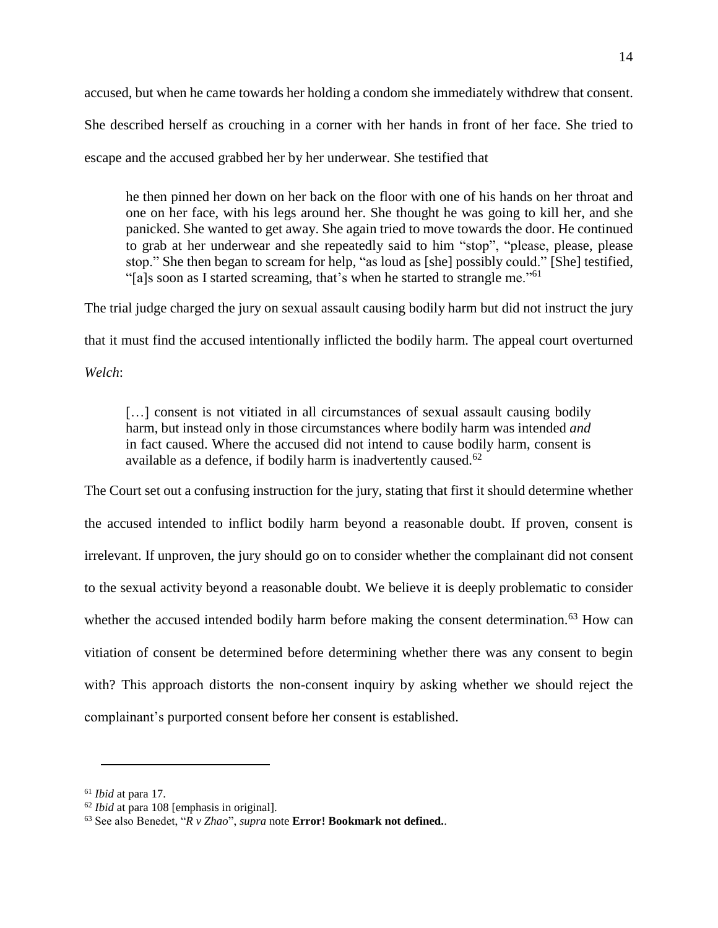accused, but when he came towards her holding a condom she immediately withdrew that consent. She described herself as crouching in a corner with her hands in front of her face. She tried to escape and the accused grabbed her by her underwear. She testified that

he then pinned her down on her back on the floor with one of his hands on her throat and one on her face, with his legs around her. She thought he was going to kill her, and she panicked. She wanted to get away. She again tried to move towards the door. He continued to grab at her underwear and she repeatedly said to him "stop", "please, please, please stop." She then began to scream for help, "as loud as [she] possibly could." [She] testified, "[a]s soon as I started screaming, that's when he started to strangle me."<sup>61</sup>

The trial judge charged the jury on sexual assault causing bodily harm but did not instruct the jury that it must find the accused intentionally inflicted the bodily harm. The appeal court overturned *Welch*:

[...] consent is not vitiated in all circumstances of sexual assault causing bodily harm, but instead only in those circumstances where bodily harm was intended *and* in fact caused. Where the accused did not intend to cause bodily harm, consent is available as a defence, if bodily harm is inadvertently caused.<sup>62</sup>

The Court set out a confusing instruction for the jury, stating that first it should determine whether the accused intended to inflict bodily harm beyond a reasonable doubt. If proven, consent is irrelevant. If unproven, the jury should go on to consider whether the complainant did not consent to the sexual activity beyond a reasonable doubt. We believe it is deeply problematic to consider whether the accused intended bodily harm before making the consent determination.<sup>63</sup> How can vitiation of consent be determined before determining whether there was any consent to begin with? This approach distorts the non-consent inquiry by asking whether we should reject the complainant's purported consent before her consent is established.

<sup>61</sup> *Ibid* at para 17.

<sup>62</sup> *Ibid* at para 108 [emphasis in original].

<sup>63</sup> See also Benedet, "*R v Zhao*", *supra* note **Error! Bookmark not defined.**.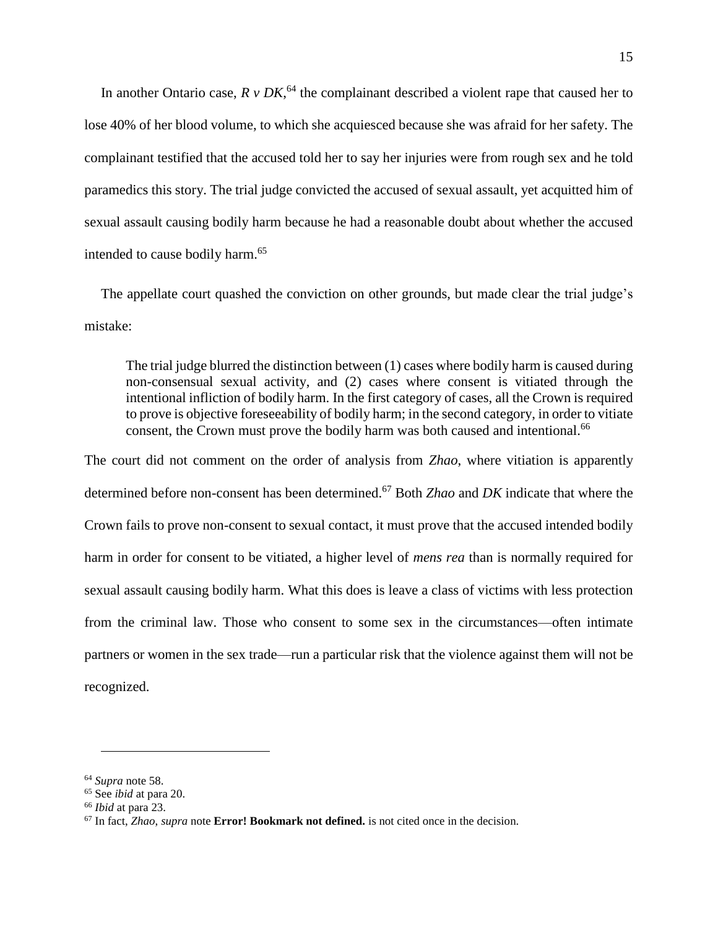In another Ontario case,  $R \nu D K$ , <sup>64</sup> the complainant described a violent rape that caused her to lose 40% of her blood volume, to which she acquiesced because she was afraid for her safety. The complainant testified that the accused told her to say her injuries were from rough sex and he told paramedics this story. The trial judge convicted the accused of sexual assault, yet acquitted him of sexual assault causing bodily harm because he had a reasonable doubt about whether the accused intended to cause bodily harm.<sup>65</sup>

The appellate court quashed the conviction on other grounds, but made clear the trial judge's mistake:

The trial judge blurred the distinction between (1) cases where bodily harm is caused during non-consensual sexual activity, and (2) cases where consent is vitiated through the intentional infliction of bodily harm. In the first category of cases, all the Crown is required to prove is objective foreseeability of bodily harm; in the second category, in order to vitiate consent, the Crown must prove the bodily harm was both caused and intentional.<sup>66</sup>

The court did not comment on the order of analysis from *Zhao*, where vitiation is apparently determined before non-consent has been determined.<sup>67</sup> Both *Zhao* and *DK* indicate that where the Crown fails to prove non-consent to sexual contact, it must prove that the accused intended bodily harm in order for consent to be vitiated, a higher level of *mens rea* than is normally required for sexual assault causing bodily harm. What this does is leave a class of victims with less protection from the criminal law. Those who consent to some sex in the circumstances—often intimate partners or women in the sex trade—run a particular risk that the violence against them will not be recognized.

<sup>64</sup> *Supra* note [58.](#page-13-0)

<sup>65</sup> See *ibid* at para 20.

<sup>66</sup> *Ibid* at para 23.

<sup>67</sup> In fact, *Zhao*, *supra* note **Error! Bookmark not defined.** is not cited once in the decision.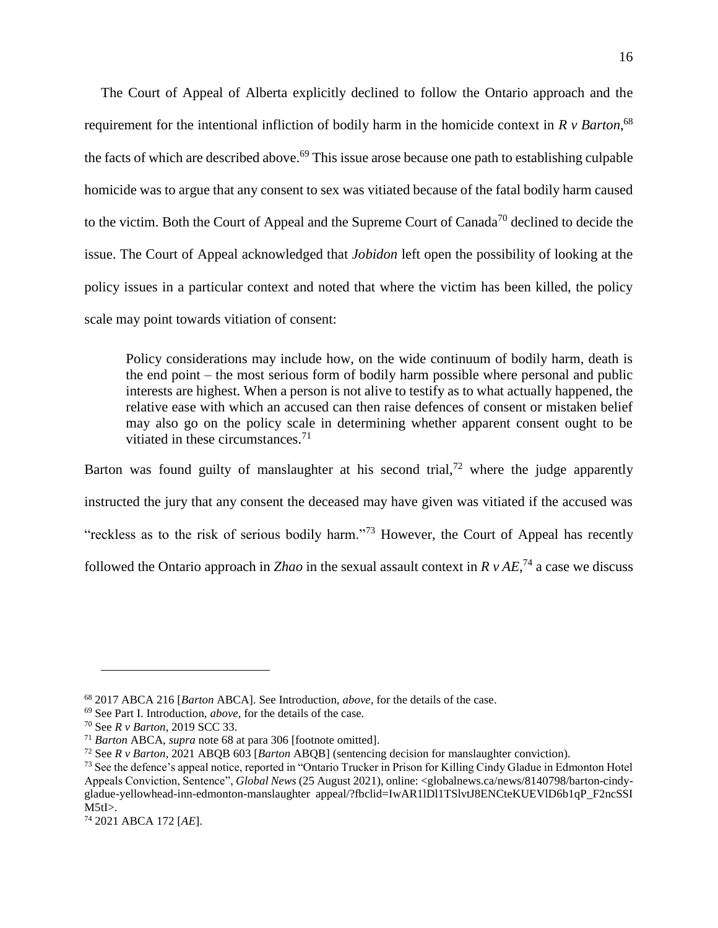<span id="page-16-0"></span>The Court of Appeal of Alberta explicitly declined to follow the Ontario approach and the requirement for the intentional infliction of bodily harm in the homicide context in *R v Barton*, 68 the facts of which are described above.<sup>69</sup> This issue arose because one path to establishing culpable homicide was to argue that any consent to sex was vitiated because of the fatal bodily harm caused to the victim. Both the Court of Appeal and the Supreme Court of Canada<sup>70</sup> declined to decide the issue. The Court of Appeal acknowledged that *Jobidon* left open the possibility of looking at the policy issues in a particular context and noted that where the victim has been killed, the policy scale may point towards vitiation of consent:

<span id="page-16-2"></span><span id="page-16-1"></span>Policy considerations may include how, on the wide continuum of bodily harm, death is the end point – the most serious form of bodily harm possible where personal and public interests are highest. When a person is not alive to testify as to what actually happened, the relative ease with which an accused can then raise defences of consent or mistaken belief may also go on the policy scale in determining whether apparent consent ought to be vitiated in these circumstances.<sup>71</sup>

Barton was found guilty of manslaughter at his second trial,<sup>72</sup> where the judge apparently instructed the jury that any consent the deceased may have given was vitiated if the accused was "reckless as to the risk of serious bodily harm."<sup>73</sup> However, the Court of Appeal has recently followed the Ontario approach in *Zhao* in the sexual assault context in  $R v AE$ ,<sup>74</sup> a case we discuss

<sup>68</sup> 2017 ABCA 216 [*Barton* ABCA]. See Introduction, *above*, for the details of the case.

<sup>69</sup> See Part I. Introduction, *above*, for the details of the case.

<sup>70</sup> See *R v Barton*, 2019 SCC 33.

<sup>71</sup> *Barton* ABCA, *supra* note [68](#page-16-0) at para 306 [footnote omitted].

<sup>72</sup> See *R v Barton*, 2021 ABQB 603 [*Barton* ABQB] (sentencing decision for manslaughter conviction).

<sup>73</sup> See the defence's appeal notice, reported in "Ontario Trucker in Prison for Killing Cindy Gladue in Edmonton Hotel Appeals Conviction, Sentence", *Global News* (25 August 2021), online: <globalnews.ca/news/8140798/barton-cindygladue-yellowhead-inn-edmonton-manslaughter appeal/?fbclid=IwAR1lDl1TSlvtJ8ENCteKUEVlD6b1qP\_F2ncSSI  $M5t$ I $>$ .

<sup>74</sup> 2021 ABCA 172 [*AE*].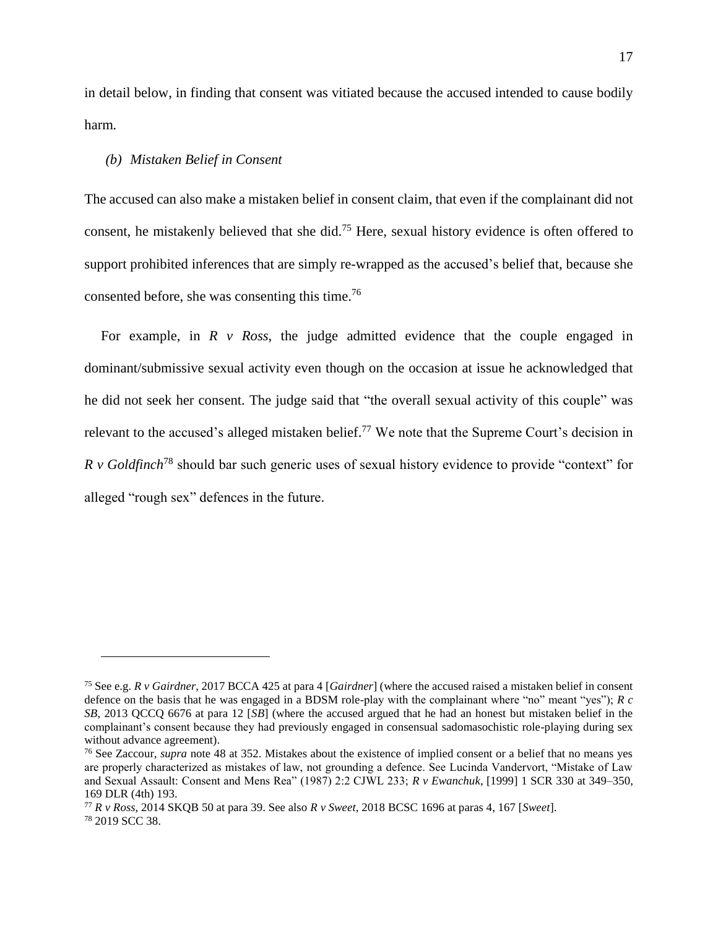in detail below, in finding that consent was vitiated because the accused intended to cause bodily harm*.*

#### <span id="page-17-0"></span>*(b) Mistaken Belief in Consent*

 $\overline{a}$ 

The accused can also make a mistaken belief in consent claim, that even if the complainant did not consent, he mistakenly believed that she did.<sup>75</sup> Here, sexual history evidence is often offered to support prohibited inferences that are simply re-wrapped as the accused's belief that, because she consented before, she was consenting this time.<sup>76</sup>

For example, in *R v Ross*, the judge admitted evidence that the couple engaged in dominant/submissive sexual activity even though on the occasion at issue he acknowledged that he did not seek her consent. The judge said that "the overall sexual activity of this couple" was relevant to the accused's alleged mistaken belief.<sup>77</sup> We note that the Supreme Court's decision in *R v Goldfinch*<sup>78</sup> should bar such generic uses of sexual history evidence to provide "context" for alleged "rough sex" defences in the future.

<sup>75</sup> See e.g. *R v Gairdner*, 2017 BCCA 425 at para 4 [*Gairdner*] (where the accused raised a mistaken belief in consent defence on the basis that he was engaged in a BDSM role-play with the complainant where "no" meant "yes"); *R c SB*, 2013 QCCQ 6676 at para 12 [*SB*] (where the accused argued that he had an honest but mistaken belief in the complainant's consent because they had previously engaged in consensual sadomasochistic role-playing during sex without advance agreement).

<sup>76</sup> See Zaccour, *supra* note [48](#page-11-0) at 352. Mistakes about the existence of implied consent or a belief that no means yes are properly characterized as mistakes of law, not grounding a defence. See Lucinda Vandervort, "Mistake of Law and Sexual Assault: Consent and Mens Rea" (1987) 2:2 CJWL 233; *R v Ewanchuk*, [1999] 1 SCR 330 at 349–350, 169 DLR (4th) 193.

<sup>77</sup> *R v Ross*, 2014 SKQB 50 at para 39. See also *R v Sweet*, 2018 BCSC 1696 at paras 4, 167 [*Sweet*]. <sup>78</sup> 2019 SCC 38.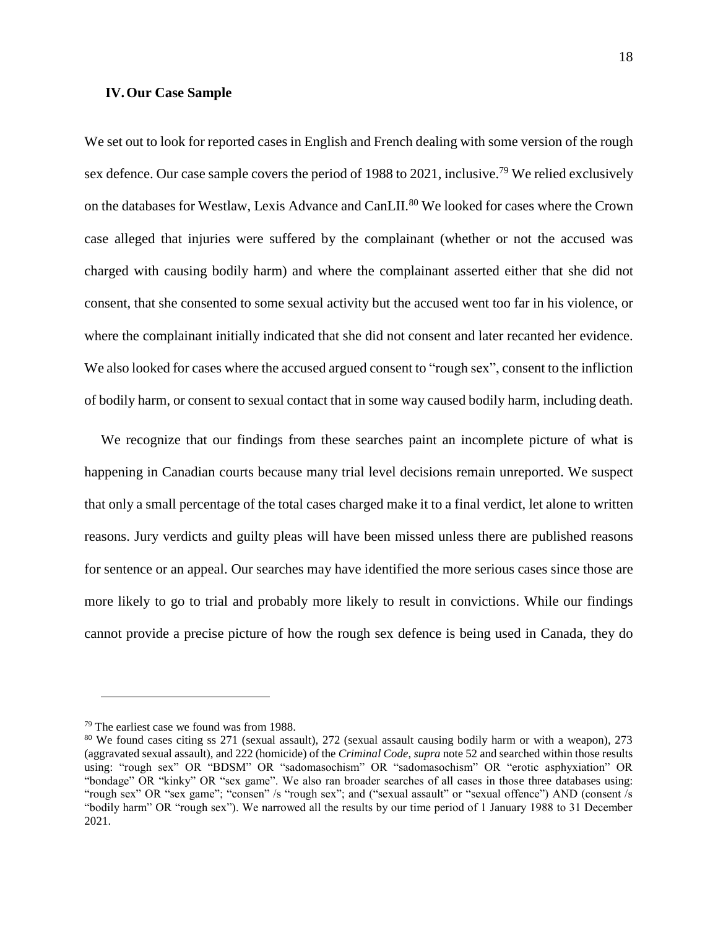#### **IV.Our Case Sample**

We set out to look for reported cases in English and French dealing with some version of the rough sex defence. Our case sample covers the period of 1988 to 2021, inclusive.<sup>79</sup> We relied exclusively on the databases for Westlaw, Lexis Advance and CanLII.<sup>80</sup> We looked for cases where the Crown case alleged that injuries were suffered by the complainant (whether or not the accused was charged with causing bodily harm) and where the complainant asserted either that she did not consent, that she consented to some sexual activity but the accused went too far in his violence, or where the complainant initially indicated that she did not consent and later recanted her evidence. We also looked for cases where the accused argued consent to "rough sex", consent to the infliction of bodily harm, or consent to sexual contact that in some way caused bodily harm, including death.

We recognize that our findings from these searches paint an incomplete picture of what is happening in Canadian courts because many trial level decisions remain unreported. We suspect that only a small percentage of the total cases charged make it to a final verdict, let alone to written reasons. Jury verdicts and guilty pleas will have been missed unless there are published reasons for sentence or an appeal. Our searches may have identified the more serious cases since those are more likely to go to trial and probably more likely to result in convictions. While our findings cannot provide a precise picture of how the rough sex defence is being used in Canada, they do

<sup>79</sup> The earliest case we found was from 1988.

<sup>&</sup>lt;sup>80</sup> We found cases citing ss 271 (sexual assault), 272 (sexual assault causing bodily harm or with a weapon), 273 (aggravated sexual assault), and 222 (homicide) of the *Criminal Code*, *supra* not[e 52](#page-12-0) and searched within those results using: "rough sex" OR "BDSM" OR "sadomasochism" OR "sadomasochism" OR "erotic asphyxiation" OR "bondage" OR "kinky" OR "sex game". We also ran broader searches of all cases in those three databases using: "rough sex" OR "sex game"; "consen" /s "rough sex"; and ("sexual assault" or "sexual offence") AND (consent /s "bodily harm" OR "rough sex"). We narrowed all the results by our time period of 1 January 1988 to 31 December 2021.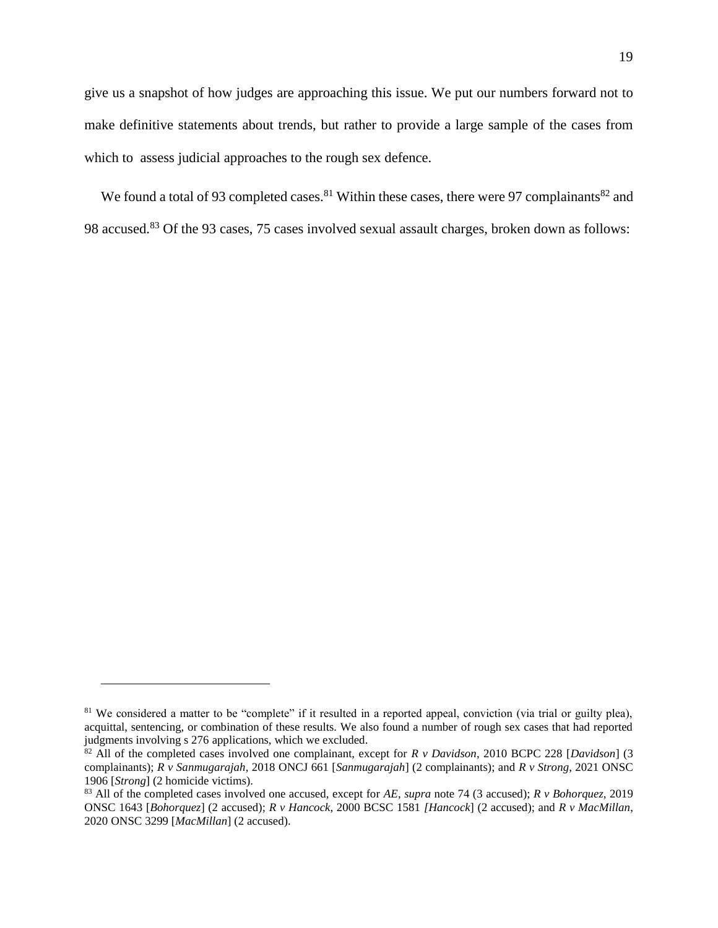give us a snapshot of how judges are approaching this issue. We put our numbers forward not to make definitive statements about trends, but rather to provide a large sample of the cases from which to assess judicial approaches to the rough sex defence.

<span id="page-19-1"></span><span id="page-19-0"></span>We found a total of 93 completed cases.<sup>81</sup> Within these cases, there were 97 complainants<sup>82</sup> and 98 accused.<sup>83</sup> Of the 93 cases, 75 cases involved sexual assault charges, broken down as follows:

<sup>&</sup>lt;sup>81</sup> We considered a matter to be "complete" if it resulted in a reported appeal, conviction (via trial or guilty plea), acquittal, sentencing, or combination of these results. We also found a number of rough sex cases that had reported judgments involving s 276 applications, which we excluded.

<sup>82</sup> All of the completed cases involved one complainant, except for *R v Davidson*, 2010 BCPC 228 [*Davidson*] (3 complainants); *R v Sanmugarajah*, 2018 ONCJ 661 [*Sanmugarajah*] (2 complainants); and *R v Strong*, 2021 ONSC 1906 [*Strong*] (2 homicide victims).

<sup>83</sup> All of the completed cases involved one accused, except for *AE*, *supra* note [74](#page-16-1) (3 accused); *R v Bohorquez*, 2019 ONSC 1643 [*Bohorquez*] (2 accused); *R v Hancock*, 2000 BCSC 1581 *[Hancock*] (2 accused); and *R v MacMillan*, 2020 ONSC 3299 [*MacMillan*] (2 accused).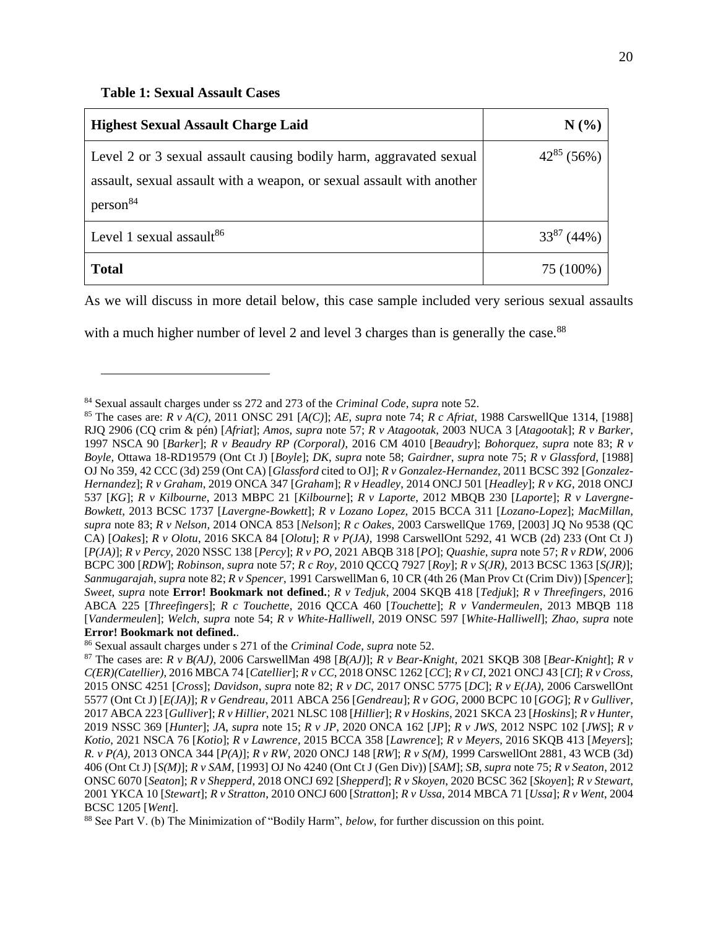<span id="page-20-1"></span> $\overline{a}$ 

<span id="page-20-0"></span>

| <b>Highest Sexual Assault Charge Laid</b>                             | N(%             |
|-----------------------------------------------------------------------|-----------------|
| Level 2 or 3 sexual assault causing bodily harm, aggravated sexual    | $42^{85}$ (56%) |
| assault, sexual assault with a weapon, or sexual assault with another |                 |
| person <sup>84</sup>                                                  |                 |
| Level 1 sexual assault <sup>86</sup>                                  | $33^{87}$ (44%) |
| <b>Total</b>                                                          | 75 (100%)       |

As we will discuss in more detail below, this case sample included very serious sexual assaults

with a much higher number of level 2 and level 3 charges than is generally the case.<sup>88</sup>

<sup>84</sup> Sexual assault charges under ss 272 and 273 of the *Criminal Code*, *supra* note [52.](#page-12-0)

<sup>85</sup> The cases are: *R v A(C)*, 2011 ONSC 291 [*A(C)*]; *AE*, *supra* note [74;](#page-16-1) *R c Afriat*, 1988 CarswellQue 1314, [1988] RJQ 2906 (CQ crim & pén) [*Afriat*]; *Amos*, *supra* note [57;](#page-13-1) *R v Atagootak*, 2003 NUCA 3 [*Atagootak*]; *R v Barker*, 1997 NSCA 90 [*Barker*]; *R v Beaudry RP (Corporal)*, 2016 CM 4010 [*Beaudry*]; *Bohorquez*, *supra* note [83;](#page-19-0) *R v Boyle*, Ottawa 18-RD19579 (Ont Ct J) [*Boyle*]; *DK*, *supra* note [58;](#page-13-0) *Gairdner*, *supra* note [75;](#page-17-0) *R v Glassford*, [1988] OJ No 359, 42 CCC (3d) 259 (Ont CA) [*Glassford* cited to OJ]; *R v Gonzalez-Hernandez*, 2011 BCSC 392 [*Gonzalez-Hernandez*]; *R v Graham*, 2019 ONCA 347 [*Graham*]; *R v Headley*, 2014 ONCJ 501 [*Headley*]; *R v KG*, 2018 ONCJ 537 [*KG*]; *R v Kilbourne*, 2013 MBPC 21 [*Kilbourne*]; *R v Laporte*, 2012 MBQB 230 [*Laporte*]; *R v Lavergne-Bowkett*, 2013 BCSC 1737 [*Lavergne-Bowkett*]; *R v Lozano Lopez*, 2015 BCCA 311 [*Lozano-Lopez*]; *MacMillan*, *supra* note [83;](#page-19-0) *R v Nelson*, 2014 ONCA 853 [*Nelson*]; *R c Oakes*, 2003 CarswellQue 1769, [2003] JQ No 9538 (QC CA) [*Oakes*]; *R v Olotu*, 2016 SKCA 84 [*Olotu*]; *R v P(JA)*, 1998 CarswellOnt 5292, 41 WCB (2d) 233 (Ont Ct J) [*P(JA)*]; *R v Percy*, 2020 NSSC 138 [*Percy*]; *R v PO*, 2021 ABQB 318 [*PO*]; *Quashie*, *supra* note [57;](#page-13-1) *R v RDW*, 2006 BCPC 300 [*RDW*]; *Robinson*, *supra* note [57;](#page-13-1) *R c Roy*, 2010 QCCQ 7927 [*Roy*]; *R v S(JR)*, 2013 BCSC 1363 [*S(JR)*]; *Sanmugarajah*, *supra* note [82;](#page-19-1) *R v Spencer*, 1991 CarswellMan 6, 10 CR (4th 26 (Man Prov Ct (Crim Div)) [*Spencer*]; *Sweet*, *supra* note **Error! Bookmark not defined.**; *R v Tedjuk*, 2004 SKQB 418 [*Tedjuk*]; *R v Threefingers*, 2016 ABCA 225 [*Threefingers*]; *R c Touchette*, 2016 QCCA 460 [*Touchette*]; *R v Vandermeulen*, 2013 MBQB 118 [*Vandermeulen*]; *Welch*, *supra* note [54;](#page-12-1) *R v White-Halliwell*, 2019 ONSC 597 [*White-Halliwell*]; *Zhao*, *supra* note **Error! Bookmark not defined.**.

<sup>86</sup> Sexual assault charges under s 271 of the *Criminal Code*, *supra* note [52.](#page-12-0)

<sup>87</sup> The cases are: *R v B(AJ)*, 2006 CarswellMan 498 [*B(AJ)*]; *R v Bear-Knight*, 2021 SKQB 308 [*Bear-Knight*]; *R v C(ER)(Catellier)*, 2016 MBCA 74 [*Catellier*]; *R v CC*, 2018 ONSC 1262 [*CC*]; *R v CI*, 2021 ONCJ 43 [*CI*]; *R v Cross*, 2015 ONSC 4251 [*Cross*]; *Davidson*, *supra* note [82;](#page-19-1) *R v DC*, 2017 ONSC 5775 [*DC*]; *R v E(JA)*, 2006 CarswellOnt 5577 (Ont Ct J) [*E(JA)*]; *R v Gendreau*, 2011 ABCA 256 [*Gendreau*]; *R v GOG*, 2000 BCPC 10 [*GOG*]; *R v Gulliver*, 2017 ABCA 223 [*Gulliver*]; *R v Hillier*, 2021 NLSC 108 [*Hillier*]; *R v Hoskins*, 2021 SKCA 23 [*Hoskins*]; *R v Hunter*, 2019 NSSC 369 [*Hunter*]; *JA*, *supra* note [15;](#page-4-0) *R v JP*, 2020 ONCA 162 [*JP*]; *R v JWS*, 2012 NSPC 102 [*JWS*]; *R v Kotio*, 2021 NSCA 76 [*Kotio*]; *R v Lawrence*, 2015 BCCA 358 [*Lawrence*]; *R v Meyers*, 2016 SKQB 413 [*Meyers*]; *R. v P(A)*, 2013 ONCA 344 [*P(A)*]; *R v RW*, 2020 ONCJ 148 [*RW*]; *R v S(M)*, 1999 CarswellOnt 2881, 43 WCB (3d) 406 (Ont Ct J) [*S(M)*]; *R v SAM*, [1993] OJ No 4240 (Ont Ct J (Gen Div)) [*SAM*]; *SB*, *supra* note [75;](#page-17-0) *R v Seaton*, 2012 ONSC 6070 [*Seaton*]; *R v Shepperd*, 2018 ONCJ 692 [*Shepperd*]; *R v Skoyen*, 2020 BCSC 362 [*Skoyen*]; *R v Stewart*, 2001 YKCA 10 [*Stewart*]; *R v Stratton*, 2010 ONCJ 600 [*Stratton*]; *R v Ussa*, 2014 MBCA 71 [*Ussa*]; *R v Went*, 2004 BCSC 1205 [*Went*].

<sup>88</sup> See Part V. (b) The Minimization of "Bodily Harm", *below*, for further discussion on this point.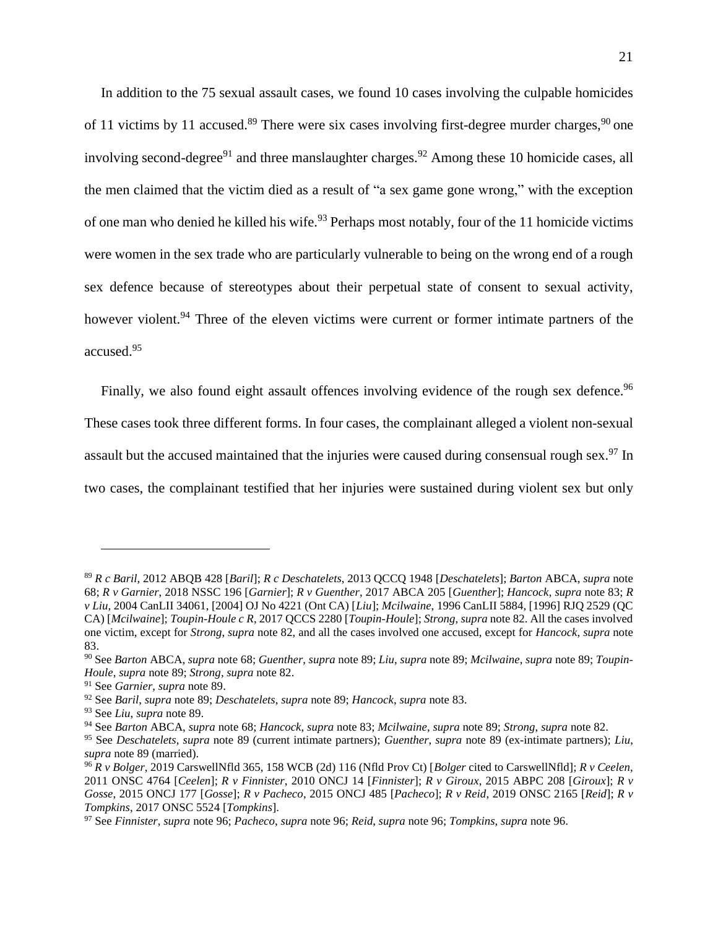<span id="page-21-0"></span>In addition to the 75 sexual assault cases, we found 10 cases involving the culpable homicides of 11 victims by 11 accused.<sup>89</sup> There were six cases involving first-degree murder charges,  $90$  one involving second-degree<sup>91</sup> and three manslaughter charges.<sup>92</sup> Among these 10 homicide cases, all the men claimed that the victim died as a result of "a sex game gone wrong," with the exception of one man who denied he killed his wife.<sup>93</sup> Perhaps most notably, four of the 11 homicide victims were women in the sex trade who are particularly vulnerable to being on the wrong end of a rough sex defence because of stereotypes about their perpetual state of consent to sexual activity, however violent.<sup>94</sup> Three of the eleven victims were current or former intimate partners of the accused.<sup>95</sup>

<span id="page-21-1"></span>Finally, we also found eight assault offences involving evidence of the rough sex defence.<sup>96</sup> These cases took three different forms. In four cases, the complainant alleged a violent non-sexual assault but the accused maintained that the injuries were caused during consensual rough sex.<sup>97</sup> In two cases, the complainant testified that her injuries were sustained during violent sex but only

<sup>89</sup> *R c Baril*, 2012 ABQB 428 [*Baril*]; *R c Deschatelets*, 2013 QCCQ 1948 [*Deschatelets*]; *Barton* ABCA, *supra* note [68;](#page-16-0) *R v Garnier*, 2018 NSSC 196 [*Garnier*]; *R v Guenther*, 2017 ABCA 205 [*Guenther*]; *Hancock*, *supra* note [83;](#page-19-0) *R v Liu*, 2004 CanLII 34061, [2004] OJ No 4221 (Ont CA) [*Liu*]; *Mcilwaine*, 1996 CanLII 5884, [1996] RJQ 2529 (QC CA) [*Mcilwaine*]; *Toupin-Houle c R*, 2017 QCCS 2280 [*Toupin-Houle*]; *Strong*, *supra* not[e 82.](#page-19-1) All the cases involved one victim, except for *Strong*, *supra* note [82,](#page-19-1) and all the cases involved one accused, except for *Hancock*, *supra* note [83.](#page-19-0)

<sup>90</sup> See *Barton* ABCA, *supra* note [68;](#page-16-0) *Guenther*, *supra* note [89;](#page-21-0) *Liu*, *supra* note [89;](#page-21-0) *Mcilwaine*, *supra* note [89;](#page-21-0) *Toupin-Houle*, *supra* not[e 89;](#page-21-0) *Strong*, *supra* note [82.](#page-19-1)

<sup>91</sup> See *Garnier*, *supra* note [89.](#page-21-0)

<sup>92</sup> See *Baril*, *supra* note [89;](#page-21-0) *Deschatelets*, *supra* note [89;](#page-21-0) *Hancock*, *supra* not[e 83.](#page-19-0)

<sup>93</sup> See *Liu*, *supra* note [89.](#page-21-0)

<sup>94</sup> See *Barton* ABCA, *supra* note [68;](#page-16-0) *Hancock*, *supra* note [83;](#page-19-0) *Mcilwaine*, *supra* note [89;](#page-21-0) *Strong*, *supra* note [82.](#page-19-1)

<sup>95</sup> See *Deschatelets*, *supra* note [89](#page-21-0) (current intimate partners); *Guenther*, *supra* note [89](#page-21-0) (ex-intimate partners); *Liu*, *supra* note [89](#page-21-0) (married).

<sup>96</sup> *R v Bolger*, 2019 CarswellNfld 365, 158 WCB (2d) 116 (Nfld Prov Ct) [*Bolger* cited to CarswellNfld]; *R v Ceelen*, 2011 ONSC 4764 [*Ceelen*]; *R v Finnister*, 2010 ONCJ 14 [*Finnister*]; *R v Giroux*, 2015 ABPC 208 [*Giroux*]; *R v Gosse*, 2015 ONCJ 177 [*Gosse*]; *R v Pacheco*, 2015 ONCJ 485 [*Pacheco*]; *R v Reid*, 2019 ONSC 2165 [*Reid*]; *R v Tompkins*, 2017 ONSC 5524 [*Tompkins*].

<sup>97</sup> See *Finnister*, *supra* not[e 96;](#page-21-1) *Pacheco*, *supra* note [96;](#page-21-1) *Reid*, *supra* note [96;](#page-21-1) *Tompkins*, *supra* note [96.](#page-21-1)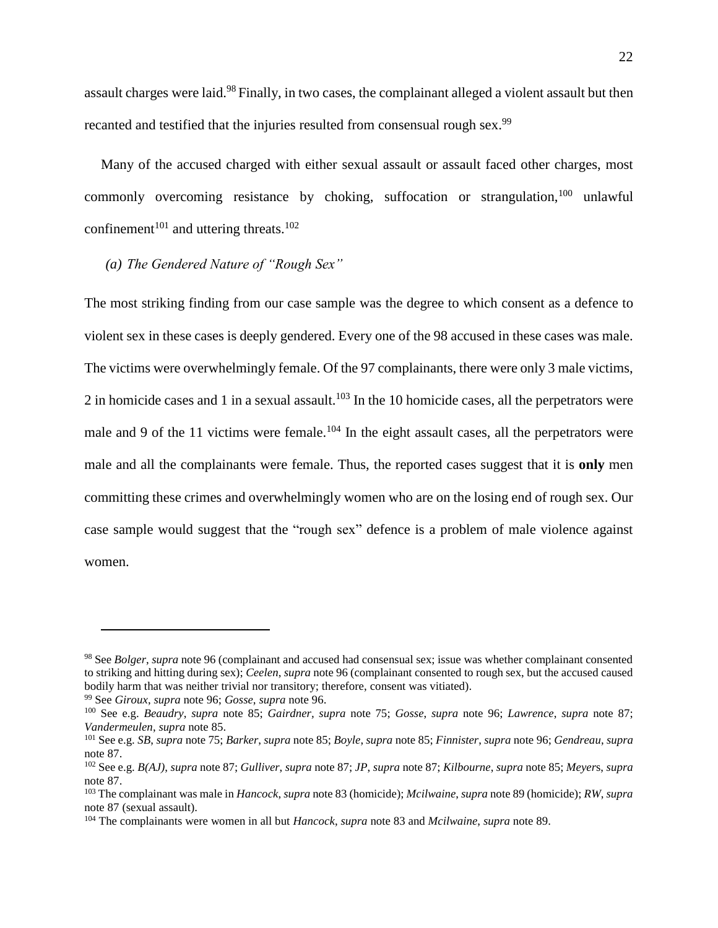assault charges were laid.<sup>98</sup> Finally, in two cases, the complainant alleged a violent assault but then recanted and testified that the injuries resulted from consensual rough sex.<sup>99</sup>

Many of the accused charged with either sexual assault or assault faced other charges, most commonly overcoming resistance by choking, suffocation or strangulation,  $100$  unlawful confinement<sup>101</sup> and uttering threats.<sup>102</sup>

## *(a) The Gendered Nature of "Rough Sex"*

The most striking finding from our case sample was the degree to which consent as a defence to violent sex in these cases is deeply gendered. Every one of the 98 accused in these cases was male. The victims were overwhelmingly female. Of the 97 complainants, there were only 3 male victims, 2 in homicide cases and 1 in a sexual assault.<sup>103</sup> In the 10 homicide cases, all the perpetrators were male and 9 of the 11 victims were female.<sup>104</sup> In the eight assault cases, all the perpetrators were male and all the complainants were female. Thus, the reported cases suggest that it is **only** men committing these crimes and overwhelmingly women who are on the losing end of rough sex. Our case sample would suggest that the "rough sex" defence is a problem of male violence against women.

<sup>98</sup> See *Bolger*, *supra* note [96](#page-21-1) (complainant and accused had consensual sex; issue was whether complainant consented to striking and hitting during sex); *Ceelen*, *supra* not[e 96](#page-21-1) (complainant consented to rough sex, but the accused caused bodily harm that was neither trivial nor transitory; therefore, consent was vitiated).

<sup>99</sup> See *Giroux*, *supra* note [96;](#page-21-1) *Gosse*, *supra* note [96.](#page-21-1)

<sup>100</sup> See e.g. *Beaudry*, *supra* note [85;](#page-20-0) *Gairdner, supra* note 75; *Gosse*, *supra* note [96;](#page-21-1) *Lawrence*, *supra* note [87;](#page-20-1) *Vandermeulen*, *supra* note [85.](#page-20-0)

<sup>101</sup> See e.g. *SB*, *supra* not[e 75;](#page-17-0) *Barker*, *supra* not[e 85;](#page-20-0) *Boyle*, *supra* not[e 85;](#page-20-0) *Finnister*, *supra* not[e 96;](#page-21-1) *Gendreau*, *supra* not[e 87.](#page-20-1)

<sup>102</sup> See e.g. *B(AJ)*, *supra* note [87;](#page-20-1) *Gulliver*, *supra* note [87;](#page-20-1) *JP*, *supra* note [87;](#page-20-1) *Kilbourne*, *supra* note [85;](#page-20-0) *Meyer*s, *supra* not[e 87.](#page-20-1)

<sup>103</sup> The complainant was male in *Hancock*, *supra* note [83](#page-19-0) (homicide); *Mcilwaine*, *supra* not[e 89](#page-21-0) (homicide); *RW*, *supra*  not[e 87](#page-20-1) (sexual assault).

<sup>104</sup> The complainants were women in all but *Hancock*, *supra* not[e 83](#page-19-0) and *Mcilwaine*, *supra* note [89.](#page-21-0)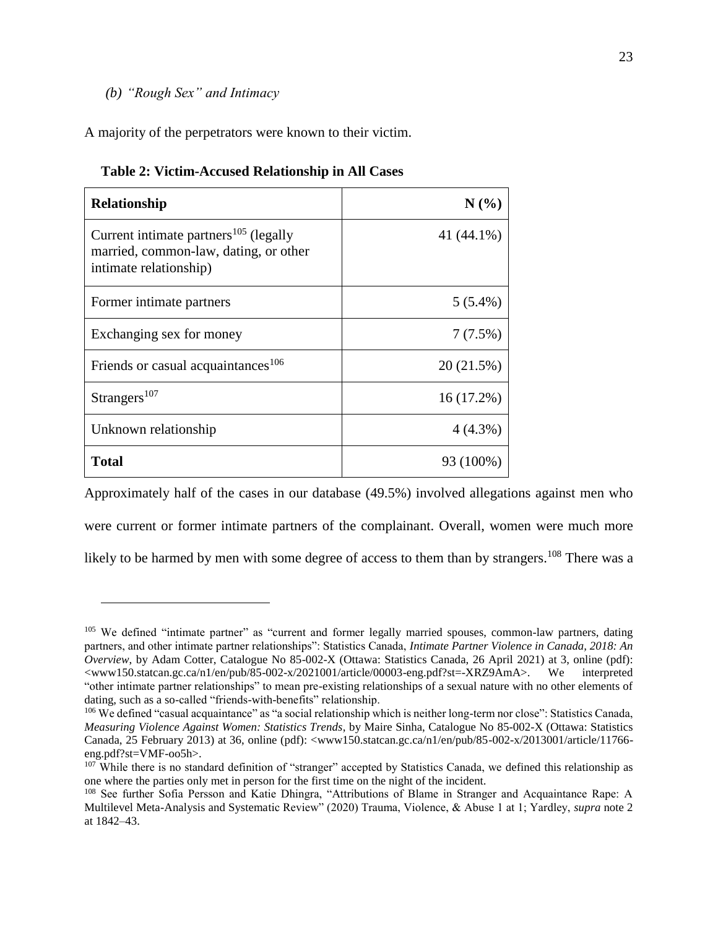## *(b) "Rough Sex" and Intimacy*

 $\overline{a}$ 

A majority of the perpetrators were known to their victim.

| <b>Relationship</b>                                                                                                  | N(%)       |  |  |
|----------------------------------------------------------------------------------------------------------------------|------------|--|--|
| Current intimate partners <sup>105</sup> (legally<br>married, common-law, dating, or other<br>intimate relationship) | 41 (44.1%) |  |  |
| Former intimate partners                                                                                             | $5(5.4\%)$ |  |  |
| Exchanging sex for money                                                                                             | 7(7.5%)    |  |  |
| Friends or casual acquaintances <sup>106</sup>                                                                       | 20(21.5%)  |  |  |
| Strangers <sup>107</sup>                                                                                             | 16 (17.2%) |  |  |
| Unknown relationship                                                                                                 | $4(4.3\%)$ |  |  |
| <b>Total</b>                                                                                                         | 93 (100%)  |  |  |

| Table 2: Victim-Accused Relationship in All Cases |  |  |  |
|---------------------------------------------------|--|--|--|
|---------------------------------------------------|--|--|--|

Approximately half of the cases in our database (49.5%) involved allegations against men who were current or former intimate partners of the complainant. Overall, women were much more likely to be harmed by men with some degree of access to them than by strangers.<sup>108</sup> There was a

<sup>&</sup>lt;sup>105</sup> We defined "intimate partner" as "current and former legally married spouses, common-law partners, dating partners, and other intimate partner relationships": Statistics Canada, *Intimate Partner Violence in Canada, 2018: An Overview*, by Adam Cotter, Catalogue No 85-002-X (Ottawa: Statistics Canada, 26 April 2021) at 3, online (pdf): <www150.statcan.gc.ca/n1/en/pub/85-002-x/2021001/article/00003-eng.pdf?st=-XRZ9AmA>. We interpreted "other intimate partner relationships" to mean pre-existing relationships of a sexual nature with no other elements of dating, such as a so-called "friends-with-benefits" relationship.

<sup>106</sup> We defined "casual acquaintance" as "a social relationship which is neither long-term nor close": Statistics Canada, *Measuring Violence Against Women: Statistics Trends*, by Maire Sinha, Catalogue No 85-002-X (Ottawa: Statistics Canada, 25 February 2013) at 36, online (pdf): <www150.statcan.gc.ca/n1/en/pub/85-002-x/2013001/article/11766 eng.pdf?st=VMF-oo5h>.

<sup>&</sup>lt;sup>107</sup> While there is no standard definition of "stranger" accepted by Statistics Canada, we defined this relationship as one where the parties only met in person for the first time on the night of the incident.

<sup>108</sup> See further Sofia Persson and Katie Dhingra, "Attributions of Blame in Stranger and Acquaintance Rape: A Multilevel Meta-Analysis and Systematic Review" (2020) Trauma, Violence, & Abuse 1 at 1; Yardley, *supra* note [2](#page-2-0) at 1842–43.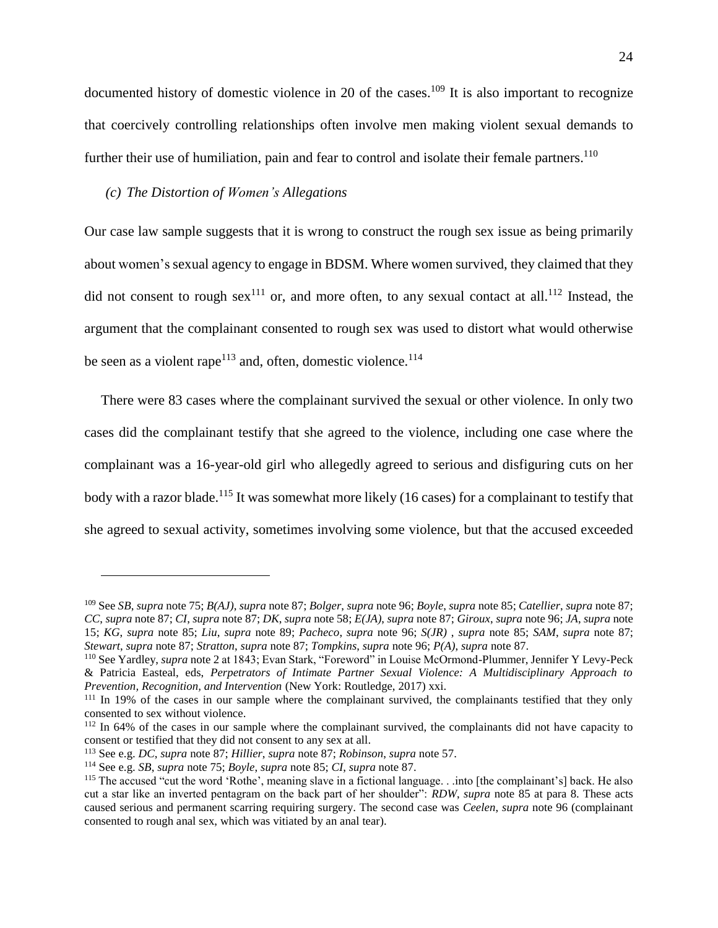documented history of domestic violence in 20 of the cases.<sup>109</sup> It is also important to recognize that coercively controlling relationships often involve men making violent sexual demands to further their use of humiliation, pain and fear to control and isolate their female partners.<sup>110</sup>

#### *(c) The Distortion of Women's Allegations*

Our case law sample suggests that it is wrong to construct the rough sex issue as being primarily about women's sexual agency to engage in BDSM. Where women survived, they claimed that they did not consent to rough sex<sup>111</sup> or, and more often, to any sexual contact at all.<sup>112</sup> Instead, the argument that the complainant consented to rough sex was used to distort what would otherwise be seen as a violent rape<sup>113</sup> and, often, domestic violence.<sup>114</sup>

There were 83 cases where the complainant survived the sexual or other violence. In only two cases did the complainant testify that she agreed to the violence, including one case where the complainant was a 16-year-old girl who allegedly agreed to serious and disfiguring cuts on her body with a razor blade.<sup>115</sup> It was somewhat more likely (16 cases) for a complainant to testify that she agreed to sexual activity, sometimes involving some violence, but that the accused exceeded

<sup>109</sup> See *SB*, *supra* note [75;](#page-17-0) *B(AJ)*, *supra* not[e 87;](#page-20-1) *Bolger*, *supra* not[e 96;](#page-21-1) *Boyle*, *supra* not[e 85;](#page-20-0) *Catellier*, *supra* note [87;](#page-20-1) *CC*, *supra* not[e 87;](#page-20-1) *CI*, *supra* note [87;](#page-20-1) *DK*, *supra* not[e 58;](#page-13-0) *E(JA)*, *supra* note [87;](#page-20-1) *Giroux*, *supra* not[e 96;](#page-21-1) *JA*, *supra* note [15;](#page-4-0) *KG*, *supra* note [85;](#page-20-0) *Liu*, *supra* note [89;](#page-21-0) *Pacheco*, *supra* note [96;](#page-21-1) *S(JR)* , *supra* note [85;](#page-20-0) *SAM*, *supra* note [87;](#page-20-1) *Stewart*, *supra* not[e 87;](#page-20-1) *Stratton*, *supra* note [87;](#page-20-1) *Tompkins*, *supra* note [96;](#page-21-1) *P(A)*, *supra* note [87.](#page-20-1)

<sup>&</sup>lt;sup>110</sup> See Yardley, *supra* note [2](#page-2-0) at 1843; Evan Stark, "Foreword" in Louise McOrmond-Plummer, Jennifer Y Levy-Peck & Patricia Easteal, eds, *Perpetrators of Intimate Partner Sexual Violence: A Multidisciplinary Approach to Prevention, Recognition, and Intervention* (New York: Routledge, 2017) xxi.

<sup>&</sup>lt;sup>111</sup> In 19% of the cases in our sample where the complainant survived, the complainants testified that they only consented to sex without violence.

<sup>&</sup>lt;sup>112</sup> In 64% of the cases in our sample where the complainant survived, the complainants did not have capacity to consent or testified that they did not consent to any sex at all.

<sup>113</sup> See e.g. *DC*, *supra* note [87;](#page-20-1) *Hillier*, *supra* note [87;](#page-20-1) *Robinson*, *supra* note [57.](#page-13-1)

<sup>114</sup> See e.g. *SB*, *supra* note [75;](#page-17-0) *Boyle*, *supra* note [85;](#page-20-0) *CI*, *supra* not[e 87.](#page-20-1)

<sup>&</sup>lt;sup>115</sup> The accused "cut the word 'Rothe', meaning slave in a fictional language. . .into [the complainant's] back. He also cut a star like an inverted pentagram on the back part of her shoulder": *RDW*, *supra* note [85](#page-20-0) at para 8. These acts caused serious and permanent scarring requiring surgery. The second case was *Ceelen*, *supra* note [96](#page-21-1) (complainant consented to rough anal sex, which was vitiated by an anal tear).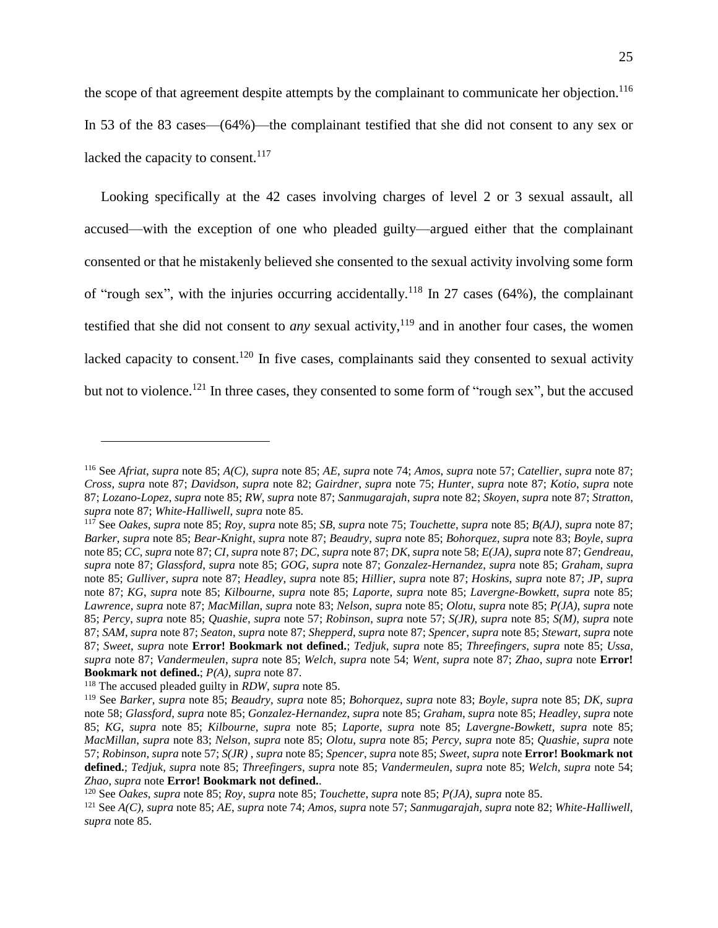the scope of that agreement despite attempts by the complainant to communicate her objection.<sup>116</sup> In 53 of the 83 cases—(64%)—the complainant testified that she did not consent to any sex or lacked the capacity to consent. $117$ 

Looking specifically at the 42 cases involving charges of level 2 or 3 sexual assault, all accused—with the exception of one who pleaded guilty—argued either that the complainant consented or that he mistakenly believed she consented to the sexual activity involving some form of "rough sex", with the injuries occurring accidentally.<sup>118</sup> In 27 cases (64%), the complainant testified that she did not consent to *any* sexual activity,<sup>119</sup> and in another four cases, the women lacked capacity to consent.<sup>120</sup> In five cases, complainants said they consented to sexual activity but not to violence.<sup>121</sup> In three cases, they consented to some form of "rough sex", but the accused

<sup>116</sup> See *Afriat*, *supra* note [85;](#page-20-0) *A(C)*, *supra* note [85;](#page-20-0) *AE*, *supra* note [74;](#page-16-1) *Amos*, *supra* note [57;](#page-13-1) *Catellier*, *supra* note [87;](#page-20-1) *Cross*, *supra* note [87;](#page-20-1) *Davidson*, *supra* note [82;](#page-19-1) *Gairdner*, *supra* note [75;](#page-17-0) *Hunter*, *supra* note [87;](#page-20-1) *Kotio*, *supra* note [87;](#page-20-1) *Lozano-Lopez*, *supra* not[e 85;](#page-20-0) *RW*, *supra* note [87;](#page-20-1) *Sanmugarajah*, *supra* note [82;](#page-19-1) *Skoyen*, *supra* note [87;](#page-20-1) *Stratton*, *supra* note [87;](#page-20-1) *White-Halliwell*, *supra* note [85.](#page-20-0)

<sup>117</sup> See *Oakes*, *supra* note [85;](#page-20-0) *Roy*, *supra* note [85;](#page-20-0) *SB*, *supra* not[e 75;](#page-17-0) *Touchette*, *supra* not[e 85;](#page-20-0) *B(AJ)*, *supra* note [87;](#page-20-1) *Barker*, *supra* note [85;](#page-20-0) *Bear-Knight*, *supra* not[e 87;](#page-20-1) *Beaudry*, *supra* note [85;](#page-20-0) *Bohorquez*, *supra* note [83;](#page-19-0) *Boyle*, *supra* not[e 85;](#page-20-0) *CC*, *supra* note [87;](#page-20-1) *CI*, *supra* not[e 87;](#page-20-1) *DC*, *supra* not[e 87;](#page-20-1) *DK*, *supra* not[e 58;](#page-13-0) *E(JA)*, *supra* not[e 87;](#page-20-1) *Gendreau*, *supra* note [87;](#page-20-1) *Glassford*, *supra* note [85;](#page-20-0) *GOG*, *supra* note [87;](#page-20-1) *Gonzalez-Hernandez*, *supra* note [85;](#page-20-0) *Graham*, *supra*  note [85;](#page-20-0) *Gulliver*, *supra* note [87;](#page-20-1) *Headley*, *supra* note [85;](#page-20-0) *Hillier*, *supra* note [87;](#page-20-1) *Hoskins*, *supra* note [87;](#page-20-1) *JP*, *supra* note [87;](#page-20-1) *KG*, *supra* note [85;](#page-20-0) *Kilbourne*, *supra* note [85;](#page-20-0) *Laporte*, *supra* note [85;](#page-20-0) *Lavergne-Bowkett*, *supra* note [85;](#page-20-0) *Lawrence*, *supra* not[e 87;](#page-20-1) *MacMillan*, *supra* note [83;](#page-19-0) *Nelson*, *supra* note [85;](#page-20-0) *Olotu*, *supra* not[e 85;](#page-20-0) *P(JA)*, *supra* note [85;](#page-20-0) *Percy*, *supra* note [85;](#page-20-0) *Quashie*, *supra* note [57;](#page-13-1) *Robinson*, *supra* note [57;](#page-13-1) *S(JR)*, *supra* note [85;](#page-20-0) *S(M)*, *supra* note [87;](#page-20-1) *SAM*, *supra* note [87;](#page-20-1) *Seaton*, *supra* note [87;](#page-20-1) *Shepperd*, *supra* not[e 87;](#page-20-1) *Spencer*, *supra* note [85;](#page-20-0) *Stewart*, *supra* note [87;](#page-20-1) *Sweet*, *supra* note **Error! Bookmark not defined.**; *Tedjuk*, *supra* note [85;](#page-20-0) *Threefingers*, *supra* note [85;](#page-20-0) *Ussa*, *supra* note [87;](#page-20-1) *Vandermeulen*, *supra* note [85;](#page-20-0) *Welch*, *supra* note [54;](#page-12-1) *Went*, *supra* note [87;](#page-20-1) *Zhao*, *supra* note **Error! Bookmark not defined.**; *P(A)*, *supra* note [87.](#page-20-1)

<sup>118</sup> The accused pleaded guilty in *RDW*, *supra* note [85.](#page-20-0)

<sup>119</sup> See *Barker*, *supra* note [85;](#page-20-0) *Beaudry*, *supra* note [85;](#page-20-0) *Bohorquez*, *supra* note [83;](#page-19-0) *Boyle*, *supra* note [85;](#page-20-0) *DK*, *supra*  not[e 58;](#page-13-0) *Glassford*, *supra* note [85;](#page-20-0) *Gonzalez-Hernandez*, *supra* not[e 85;](#page-20-0) *Graham*, *supra* note [85;](#page-20-0) *Headley*, *supra* note [85;](#page-20-0) *KG*, *supra* note [85;](#page-20-0) *Kilbourne*, *supra* note [85;](#page-20-0) *Laporte*, *supra* note [85;](#page-20-0) *Lavergne-Bowkett*, *supra* note [85;](#page-20-0) *MacMillan*, *supra* note [83;](#page-19-0) *Nelson*, *supra* note [85;](#page-20-0) *Olotu*, *supra* note [85;](#page-20-0) *Percy*, *supra* note [85;](#page-20-0) *Quashie*, *supra* note [57;](#page-13-1) *Robinson*, *supra* note [57;](#page-13-1) *S(JR)* , *supra* note [85;](#page-20-0) *Spencer*, *supra* note [85;](#page-20-0) *Sweet*, *supra* note **Error! Bookmark not defined.**; *Tedjuk*, *supra* note [85;](#page-20-0) *Threefingers*, *supra* note [85;](#page-20-0) *Vandermeulen*, *supra* note [85;](#page-20-0) *Welch*, *supra* note [54;](#page-12-1) *Zhao*, *supra* note **Error! Bookmark not defined.**.

<sup>120</sup> See *Oakes*, *supra* note [85;](#page-20-0) *Roy*, *supra* note [85;](#page-20-0) *Touchette*, *supra* not[e 85;](#page-20-0) *P(JA)*, *supra* note [85.](#page-20-0)

<sup>121</sup> See *A(C)*, *supra* note [85;](#page-20-0) *AE*, *supra* note [74;](#page-16-1) *Amos*, *supra* not[e 57;](#page-13-1) *Sanmugarajah*, *supra* not[e 82;](#page-19-1) *White-Halliwell*, *supra* note [85.](#page-20-0)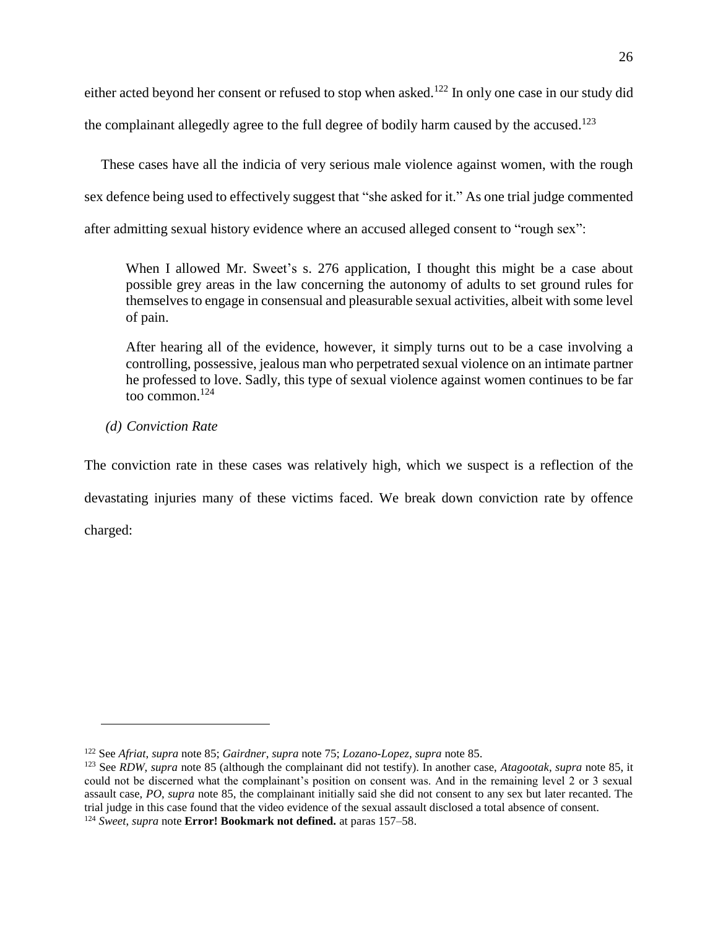either acted beyond her consent or refused to stop when asked.<sup>122</sup> In only one case in our study did

the complainant allegedly agree to the full degree of bodily harm caused by the accused.<sup>123</sup>

These cases have all the indicia of very serious male violence against women, with the rough sex defence being used to effectively suggest that "she asked for it." As one trial judge commented after admitting sexual history evidence where an accused alleged consent to "rough sex":

When I allowed Mr. Sweet's s. 276 application, I thought this might be a case about possible grey areas in the law concerning the autonomy of adults to set ground rules for themselves to engage in consensual and pleasurable sexual activities, albeit with some level of pain.

After hearing all of the evidence, however, it simply turns out to be a case involving a controlling, possessive, jealous man who perpetrated sexual violence on an intimate partner he professed to love. Sadly, this type of sexual violence against women continues to be far too common.<sup>124</sup>

## *(d) Conviction Rate*

 $\overline{a}$ 

The conviction rate in these cases was relatively high, which we suspect is a reflection of the devastating injuries many of these victims faced. We break down conviction rate by offence charged:

<sup>122</sup> See *Afriat*, *supra* note [85;](#page-20-0) *Gairdner*, *supra* note [75;](#page-17-0) *Lozano-Lopez*, *supra* note [85.](#page-20-0)

<sup>123</sup> See *RDW*, *supra* note [85](#page-20-0) (although the complainant did not testify). In another case, *Atagootak*, *supra* note [85,](#page-20-0) it could not be discerned what the complainant's position on consent was. And in the remaining level 2 or 3 sexual assault case, *PO*, *supra* note [85,](#page-20-0) the complainant initially said she did not consent to any sex but later recanted. The trial judge in this case found that the video evidence of the sexual assault disclosed a total absence of consent.

<sup>124</sup> *Sweet*, *supra* note **Error! Bookmark not defined.** at paras 157–58.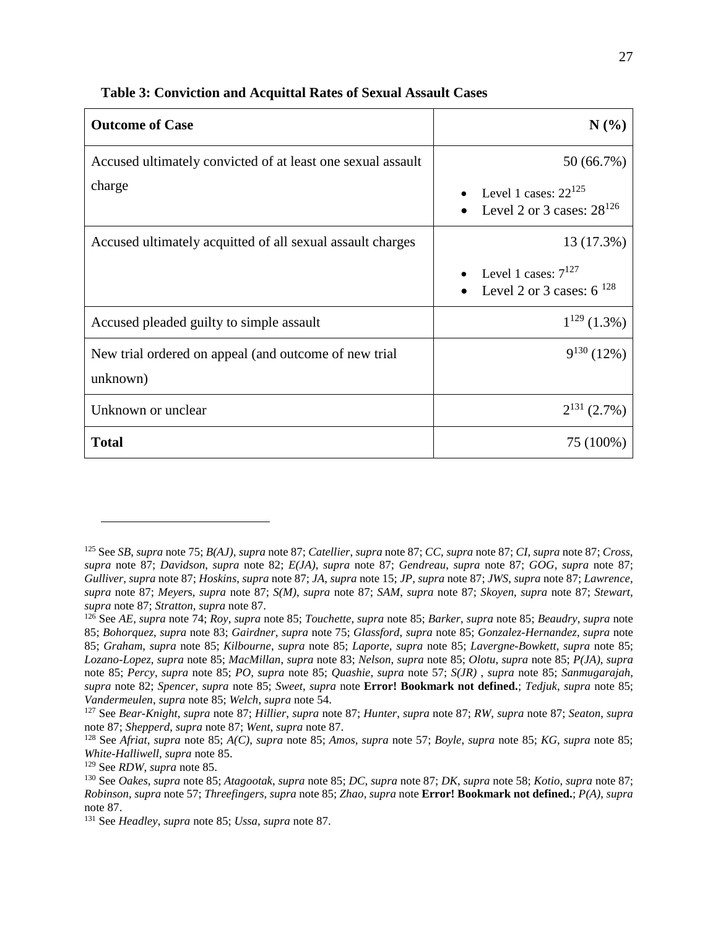| <b>Outcome of Case</b>                                            | $N(\%)$                                                     |
|-------------------------------------------------------------------|-------------------------------------------------------------|
| Accused ultimately convicted of at least one sexual assault       | 50 (66.7%)                                                  |
| charge                                                            | Level 1 cases: $22^{125}$<br>Level 2 or 3 cases: $28^{126}$ |
| Accused ultimately acquitted of all sexual assault charges        | 13 (17.3%)                                                  |
|                                                                   | Level 1 cases: $7^{127}$<br>Level 2 or 3 cases: $6^{128}$   |
| Accused pleaded guilty to simple assault                          | $1^{129}$ (1.3%)                                            |
| New trial ordered on appeal (and outcome of new trial<br>unknown) | $9^{130}$ (12%)                                             |
| Unknown or unclear                                                | $2^{131}$ (2.7%)                                            |
| <b>Total</b>                                                      | 75 (100%)                                                   |

#### **Table 3: Conviction and Acquittal Rates of Sexual Assault Cases**

<sup>125</sup> See *SB*, *supra* note [75;](#page-17-0) *B(AJ)*, *supra* note [87;](#page-20-1) *Catellier*, *supra* not[e 87;](#page-20-1) *CC*, *supra* note [87;](#page-20-1) *CI*, *supra* not[e 87;](#page-20-1) *Cross*, *supra* note [87;](#page-20-1) *Davidson*, *supra* note [82;](#page-19-1) *E(JA)*, *supra* note [87;](#page-20-1) *Gendreau*, *supra* note [87;](#page-20-1) *GOG*, *supra* note [87;](#page-20-1) *Gulliver*, *supra* not[e 87;](#page-20-1) *Hoskins*, *supra* note [87;](#page-20-1) *JA*, *supra* note [15;](#page-4-0) *JP*, *supra* note [87;](#page-20-1) *JWS*, *supra* note [87;](#page-20-1) *Lawrence*, *supra* note [87;](#page-20-1) *Meyer*s, *supra* note [87;](#page-20-1) *S(M)*, *supra* note [87;](#page-20-1) *SAM*, *supra* note [87;](#page-20-1) *Skoyen*, *supra* note [87;](#page-20-1) *Stewart*, *supra* note [87;](#page-20-1) *Stratton*, *supra* note [87.](#page-20-1)

<sup>126</sup> See *AE*, *supra* not[e 74;](#page-16-1) *Roy*, *supra* note [85;](#page-20-0) *Touchette*, *supra* note [85;](#page-20-0) *Barker*, *supra* note [85;](#page-20-0) *Beaudry*, *supra* note [85;](#page-20-0) *Bohorquez*, *supra* note [83;](#page-19-0) *Gairdner*, *supra* note [75;](#page-17-0) *Glassford*, *supra* note [85;](#page-20-0) *Gonzalez-Hernandez*, *supra* note [85;](#page-20-0) *Graham*, *supra* note [85;](#page-20-0) *Kilbourne*, *supra* note [85;](#page-20-0) *Laporte*, *supra* note [85;](#page-20-0) *Lavergne-Bowkett*, *supra* note [85;](#page-20-0) *Lozano-Lopez*, *supra* note [85;](#page-20-0) *MacMillan*, *supra* note [83;](#page-19-0) *Nelson*, *supra* note [85;](#page-20-0) *Olotu*, *supra* note [85;](#page-20-0) *P(JA)*, *supra*  note [85;](#page-20-0) *Percy*, *supra* note [85;](#page-20-0) *PO*, *supra* note [85;](#page-20-0) *Quashie*, *supra* note [57;](#page-13-1) *S(JR)* , *supra* note [85;](#page-20-0) *Sanmugarajah*, *supra* note [82;](#page-19-1) *Spencer*, *supra* note [85;](#page-20-0) *Sweet*, *supra* note **Error! Bookmark not defined.**; *Tedjuk*, *supra* note [85;](#page-20-0) *Vandermeulen*, *supra* note [85;](#page-20-0) *Welch*, *supra* note [54.](#page-12-1)

<sup>127</sup> See *Bear-Knight*, *supra* note [87;](#page-20-1) *Hillier*, *supra* note [87;](#page-20-1) *Hunter*, *supra* note [87;](#page-20-1) *RW*, *supra* note [87;](#page-20-1) *Seaton*, *supra* not[e 87;](#page-20-1) *Shepperd*, *supra* note [87;](#page-20-1) *Went*, *supra* not[e 87.](#page-20-1)

<sup>128</sup> See *Afriat*, *supra* note [85;](#page-20-0) *A(C)*, *supra* note [85;](#page-20-0) *Amos*, *supra* note [57;](#page-13-1) *Boyle*, *supra* note [85;](#page-20-0) *KG*, *supra* note [85;](#page-20-0) *White-Halliwell*, *supra* note [85.](#page-20-0)

<sup>129</sup> See *RDW*, *supra* note [85.](#page-20-0)

<sup>130</sup> See *Oakes*, *supra* note [85;](#page-20-0) *Atagootak*, *supra* note [85;](#page-20-0) *DC*, *supra* note [87;](#page-20-1) *DK*, *supra* note [58;](#page-13-0) *Kotio*, *supra* not[e 87;](#page-20-1) *Robinson*, *supra* note [57;](#page-13-1) *Threefingers*, *supra* not[e 85;](#page-20-0) *Zhao*, *supra* note **Error! Bookmark not defined.**; *P(A)*, *supra*  not[e 87.](#page-20-1)

<sup>131</sup> See *Headley*, *supra* not[e 85;](#page-20-0) *Ussa*, *supra* note [87.](#page-20-1)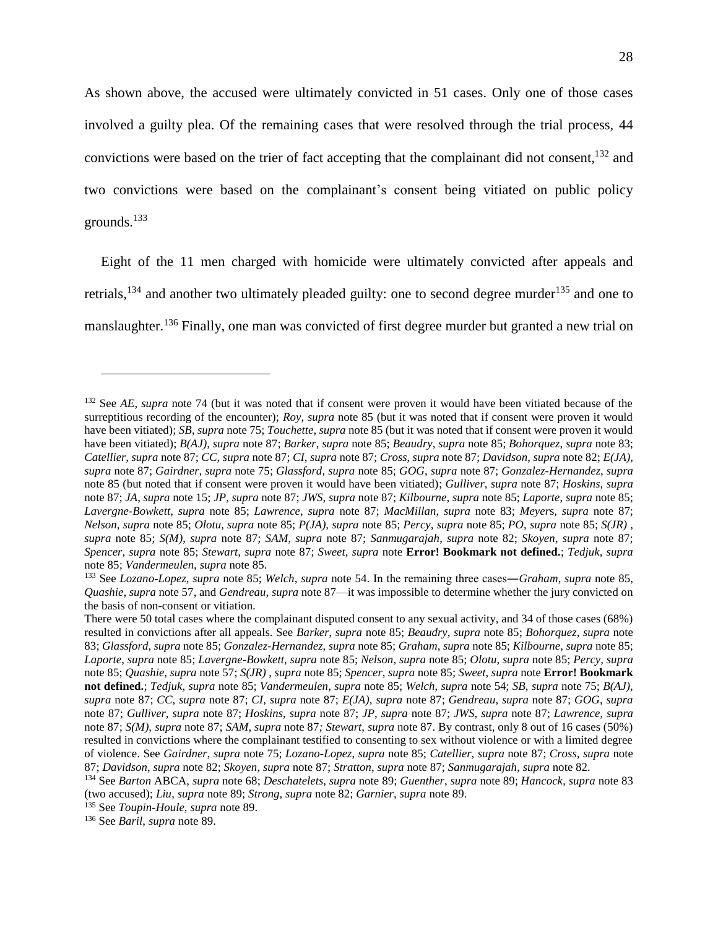As shown above, the accused were ultimately convicted in 51 cases. Only one of those cases involved a guilty plea. Of the remaining cases that were resolved through the trial process, 44 convictions were based on the trier of fact accepting that the complainant did not consent, <sup>132</sup> and two convictions were based on the complainant's consent being vitiated on public policy grounds.<sup>133</sup>

Eight of the 11 men charged with homicide were ultimately convicted after appeals and retrials,<sup>134</sup> and another two ultimately pleaded guilty: one to second degree murder<sup>135</sup> and one to manslaughter.<sup>136</sup> Finally, one man was convicted of first degree murder but granted a new trial on

<sup>132</sup> See *AE*, *supra* note [74](#page-16-1) (but it was noted that if consent were proven it would have been vitiated because of the surreptitious recording of the encounter); *Roy*, *supra* note [85](#page-20-0) (but it was noted that if consent were proven it would have been vitiated); *SB*, *supra* note [75;](#page-17-0) *Touchette*, *supra* not[e 85](#page-20-0) (but it was noted that if consent were proven it would have been vitiated); *B(AJ)*, *supra* not[e 87;](#page-20-1) *Barker*, *supra* not[e 85;](#page-20-0) *Beaudry*, *supra* not[e 85;](#page-20-0) *Bohorquez*, *supra* note [83;](#page-19-0) *Catellier*, *supra* note [87;](#page-20-1) *CC*, *supra* not[e 87;](#page-20-1) *CI*, *supra* note [87;](#page-20-1) *Cross*, *supra* not[e 87;](#page-20-1) *Davidson*, *supra* not[e 82;](#page-19-1) *E(JA)*, *supra* note [87;](#page-20-1) *Gairdner*, *supra* note [75;](#page-17-0) *Glassford*, *supra* note [85;](#page-20-0) *GOG*, *supra* note [87;](#page-20-1) *Gonzalez-Hernandez*, *supra* note [85](#page-20-0) (but noted that if consent were proven it would have been vitiated); *Gulliver*, *supra* note [87;](#page-20-1) *Hoskins*, *supra*  not[e 87;](#page-20-1) *JA*, *supra* note [15;](#page-4-0) *JP*, *supra* not[e 87;](#page-20-1) *JWS*, *supra* note [87;](#page-20-1) *Kilbourne*, *supra* not[e 85;](#page-20-0) *Laporte*, *supra* note [85;](#page-20-0) *Lavergne-Bowkett*, *supra* note [85;](#page-20-0) *Lawrence*, *supra* note [87;](#page-20-1) *MacMillan*, *supra* note [83;](#page-19-0) *Meyer*s, *supra* note [87;](#page-20-1) *Nelson*, *supra* note [85;](#page-20-0) *Olotu*, *supra* note [85;](#page-20-0) *P(JA)*, *supra* note [85;](#page-20-0) *Percy*, *supra* note [85;](#page-20-0) *PO*, *supra* note [85;](#page-20-0) *S(JR)* , *supra* note [85;](#page-20-0) *S(M)*, *supra* note [87;](#page-20-1) *SAM*, *supra* note [87;](#page-20-1) *Sanmugarajah*, *supra* note [82;](#page-19-1) *Skoyen*, *supra* note [87;](#page-20-1) *Spencer*, *supra* note [85;](#page-20-0) *Stewart*, *supra* note [87;](#page-20-1) *Sweet*, *supra* note **Error! Bookmark not defined.**; *Tedjuk*, *supra*  not[e 85;](#page-20-0) *Vandermeulen*, *supra* note [85.](#page-20-0)

<sup>133</sup> See *Lozano-Lopez*, *supra* note [85;](#page-20-0) *Welch*, *supra* note [54.](#page-12-1) In the remaining three cases―*Graham*, *supra* note [85,](#page-20-0) *Quashie*, *supra* note [57,](#page-13-1) and *Gendreau*, *supra* not[e 87—](#page-20-1)it was impossible to determine whether the jury convicted on the basis of non-consent or vitiation.

There were 50 total cases where the complainant disputed consent to any sexual activity, and 34 of those cases (68%) resulted in convictions after all appeals. See *Barker*, *supra* note [85;](#page-20-0) *Beaudry*, *supra* note [85;](#page-20-0) *Bohorquez*, *supra* note [83;](#page-19-0) *Glassford*, *supra* note [85;](#page-20-0) *Gonzalez-Hernandez*, *supra* not[e 85;](#page-20-0) *Graham*, *supra* not[e 85;](#page-20-0) *Kilbourne*, *supra* not[e 85;](#page-20-0) *Laporte*, *supra* not[e 85;](#page-20-0) *Lavergne-Bowkett*, *supra* note [85;](#page-20-0) *Nelson*, *supra* not[e 85;](#page-20-0) *Olotu*, *supra* not[e 85;](#page-20-0) *Percy*, *supra*  not[e 85;](#page-20-0) *Quashie*, *supra* not[e 57;](#page-13-1) *S(JR)* , *supra* note [85;](#page-20-0) *Spencer*, *supra* note [85;](#page-20-0) *Sweet*, *supra* note **Error! Bookmark not defined.**; *Tedjuk*, *supra* note [85;](#page-20-0) *Vandermeulen*, *supra* note [85;](#page-20-0) *Welch*, *supra* note [54;](#page-12-1) *SB*, *supra* not[e 75;](#page-17-0) *B(AJ)*, *supra* note [87;](#page-20-1) *CC*, *supra* note [87;](#page-20-1) *CI*, *supra* note [87;](#page-20-1) *E(JA)*, *supra* note [87;](#page-20-1) *Gendreau*, *supra* note [87;](#page-20-1) *GOG*, *supra* note [87;](#page-20-1) *Gulliver*, *supra* note [87;](#page-20-1) *Hoskins*, *supra* note [87;](#page-20-1) *JP*, *supra* note [87;](#page-20-1) *JWS*, *supra* note [87;](#page-20-1) *Lawrence*, *supra*  note [87;](#page-20-1) *S(M)*, *supra* note [87;](#page-20-1) *SAM*, *supra* note [87](#page-20-1)*; Stewart*, *supra* not[e 87.](#page-20-1) By contrast, only 8 out of 16 cases (50%) resulted in convictions where the complainant testified to consenting to sex without violence or with a limited degree of violence. See *Gairdner*, *supra* not[e 75;](#page-17-0) *Lozano-Lopez*, *supra* note [85;](#page-20-0) *Catellier*, *supra* note [87;](#page-20-1) *Cross*, *supra* note [87;](#page-20-1) *Davidson*, *supra* not[e 82;](#page-19-1) *Skoyen*, *supra* note [87;](#page-20-1) *Stratton*, *supra* not[e 87;](#page-20-1) *Sanmugarajah*, *supra* note [82.](#page-19-1)

<sup>134</sup> See *Barton* ABCA, *supra* note [68;](#page-16-0) *Deschatelets*, *supra* note [89;](#page-21-0) *Guenther*, *supra* note [89;](#page-21-0) *Hancock*, *supra* note [83](#page-19-0) (two accused); *Liu*, *supra* note [89;](#page-21-0) *Strong*, *supra* note [82;](#page-19-1) *Garnier*, *supra* note [89.](#page-21-0)

<sup>135</sup> See *Toupin-Houle*, *supra* note [89.](#page-21-0)

<sup>136</sup> See *Baril*, *supra* note [89.](#page-21-0)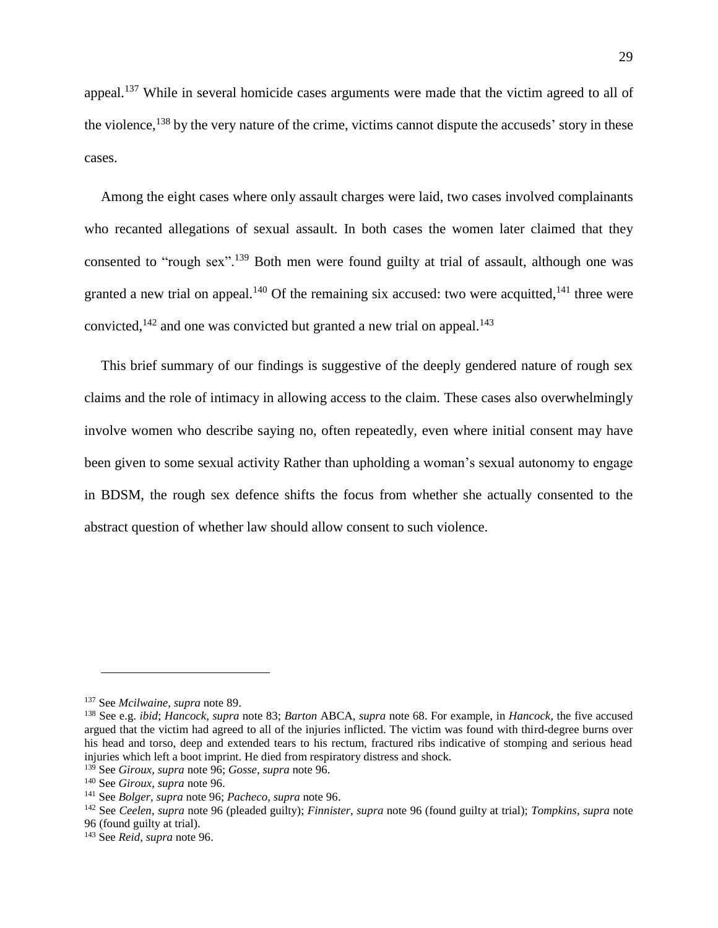appeal.<sup>137</sup> While in several homicide cases arguments were made that the victim agreed to all of the violence,<sup>138</sup> by the very nature of the crime, victims cannot dispute the accuseds' story in these cases.

Among the eight cases where only assault charges were laid, two cases involved complainants who recanted allegations of sexual assault. In both cases the women later claimed that they consented to "rough sex".<sup>139</sup> Both men were found guilty at trial of assault, although one was granted a new trial on appeal.<sup>140</sup> Of the remaining six accused: two were acquitted,<sup>141</sup> three were convicted, $142$  and one was convicted but granted a new trial on appeal. $143$ 

This brief summary of our findings is suggestive of the deeply gendered nature of rough sex claims and the role of intimacy in allowing access to the claim. These cases also overwhelmingly involve women who describe saying no, often repeatedly, even where initial consent may have been given to some sexual activity Rather than upholding a woman's sexual autonomy to engage in BDSM, the rough sex defence shifts the focus from whether she actually consented to the abstract question of whether law should allow consent to such violence.

<sup>137</sup> See *Mcilwaine*, *supra* note [89.](#page-21-0)

<sup>138</sup> See e.g. *ibid*; *Hancock*, *supra* note [83;](#page-19-0) *Barton* ABCA, *supra* note [68.](#page-16-0) For example, in *Hancock*, the five accused argued that the victim had agreed to all of the injuries inflicted. The victim was found with third-degree burns over his head and torso, deep and extended tears to his rectum, fractured ribs indicative of stomping and serious head injuries which left a boot imprint. He died from respiratory distress and shock.

<sup>139</sup> See *Giroux*, *supra* not[e 96;](#page-21-1) *Gosse*, *supra* note [96.](#page-21-1)

<sup>140</sup> See *Giroux*, *supra* not[e 96.](#page-21-1)

<sup>141</sup> See *Bolger*, *supra* note [96;](#page-21-1) *Pacheco*, *supra* note [96.](#page-21-1)

<sup>142</sup> See *Ceelen*, *supra* note [96](#page-21-1) (pleaded guilty); *Finnister*, *supra* note [96](#page-21-1) (found guilty at trial); *Tompkins*, *supra* note [96](#page-21-1) (found guilty at trial).

<sup>143</sup> See *Reid*, *supra* not[e 96.](#page-21-1)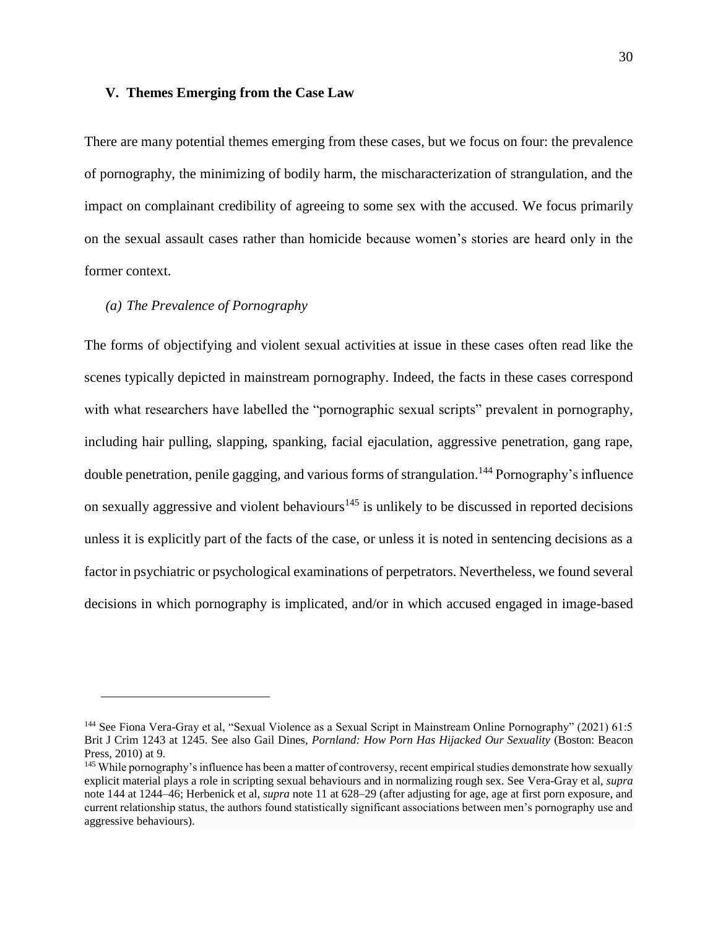#### **V. Themes Emerging from the Case Law**

There are many potential themes emerging from these cases, but we focus on four: the prevalence of pornography, the minimizing of bodily harm, the mischaracterization of strangulation, and the impact on complainant credibility of agreeing to some sex with the accused. We focus primarily on the sexual assault cases rather than homicide because women's stories are heard only in the former context.

## <span id="page-30-0"></span>*(a) The Prevalence of Pornography*

 $\overline{a}$ 

The forms of objectifying and violent sexual activities at issue in these cases often read like the scenes typically depicted in mainstream pornography. Indeed, the facts in these cases correspond with what researchers have labelled the "pornographic sexual scripts" prevalent in pornography, including hair pulling, slapping, spanking, facial ejaculation, aggressive penetration, gang rape, double penetration, penile gagging, and various forms of strangulation.<sup>144</sup> Pornography's influence on sexually aggressive and violent behaviours<sup>145</sup> is unlikely to be discussed in reported decisions unless it is explicitly part of the facts of the case, or unless it is noted in sentencing decisions as a factor in psychiatric or psychological examinations of perpetrators. Nevertheless, we found several decisions in which pornography is implicated, and/or in which accused engaged in image-based

<sup>144</sup> See Fiona Vera-Gray et al, "Sexual Violence as a Sexual Script in Mainstream Online Pornography" (2021) 61:5 Brit J Crim 1243 at 1245. See also Gail Dines, *Pornland: How Porn Has Hijacked Our Sexuality* (Boston: Beacon Press, 2010) at 9.

<sup>&</sup>lt;sup>145</sup> While pornography's influence has been a matter of controversy, recent empirical studies demonstrate how sexually explicit material plays a role in scripting sexual behaviours and in normalizing rough sex. See Vera-Gray et al, *supra*  not[e 144](#page-30-0) at 1244–46; Herbenick et al, *supra* note [11](#page-3-0) at 628–29 (after adjusting for age, age at first porn exposure, and current relationship status, the authors found statistically significant associations between men's pornography use and aggressive behaviours).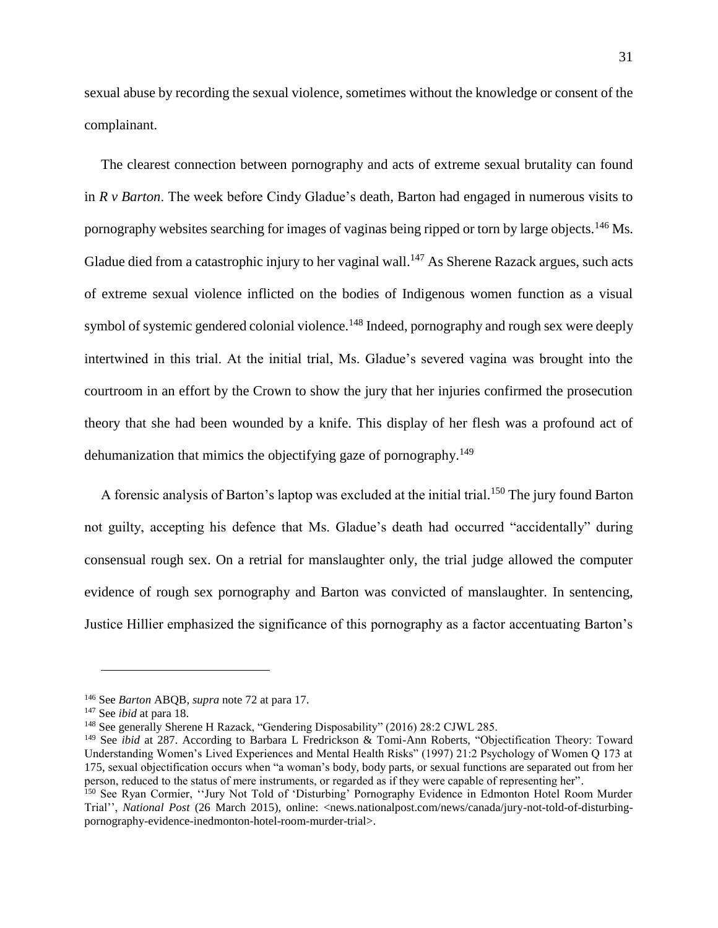sexual abuse by recording the sexual violence, sometimes without the knowledge or consent of the complainant.

The clearest connection between pornography and acts of extreme sexual brutality can found in *R v Barton*. The week before Cindy Gladue's death, Barton had engaged in numerous visits to pornography websites searching for images of vaginas being ripped or torn by large objects.<sup>146</sup> Ms. Gladue died from a catastrophic injury to her vaginal wall.<sup>147</sup> As Sherene Razack argues, such acts of extreme sexual violence inflicted on the bodies of Indigenous women function as a visual symbol of systemic gendered colonial violence.<sup>148</sup> Indeed, pornography and rough sex were deeply intertwined in this trial. At the initial trial, Ms. Gladue's severed vagina was brought into the courtroom in an effort by the Crown to show the jury that her injuries confirmed the prosecution theory that she had been wounded by a knife. This display of her flesh was a profound act of dehumanization that mimics the objectifying gaze of pornography.<sup>149</sup>

A forensic analysis of Barton's laptop was excluded at the initial trial.<sup>150</sup> The jury found Barton not guilty, accepting his defence that Ms. Gladue's death had occurred "accidentally" during consensual rough sex. On a retrial for manslaughter only, the trial judge allowed the computer evidence of rough sex pornography and Barton was convicted of manslaughter. In sentencing, Justice Hillier emphasized the significance of this pornography as a factor accentuating Barton's

<sup>146</sup> See *Barton* ABQB, *supra* note [72](#page-16-2) at para 17.

<sup>147</sup> See *ibid* at para 18.

<sup>148</sup> See generally Sherene H Razack, "Gendering Disposability" (2016) 28:2 CJWL 285.

<sup>149</sup> See *ibid* at 287. According to Barbara L Fredrickson & Tomi-Ann Roberts, "Objectification Theory: Toward Understanding Women's Lived Experiences and Mental Health Risks" (1997) 21:2 Psychology of Women Q 173 at 175, sexual objectification occurs when "a woman's body, body parts, or sexual functions are separated out from her person, reduced to the status of mere instruments, or regarded as if they were capable of representing her".

<sup>150</sup> See Ryan Cormier, "Jury Not Told of 'Disturbing' Pornography Evidence in Edmonton Hotel Room Murder Trial'', *National Post* (26 March 2015), online: <news.nationalpost.com/news/canada/jury-not-told-of-disturbingpornography-evidence-inedmonton-hotel-room-murder-trial>.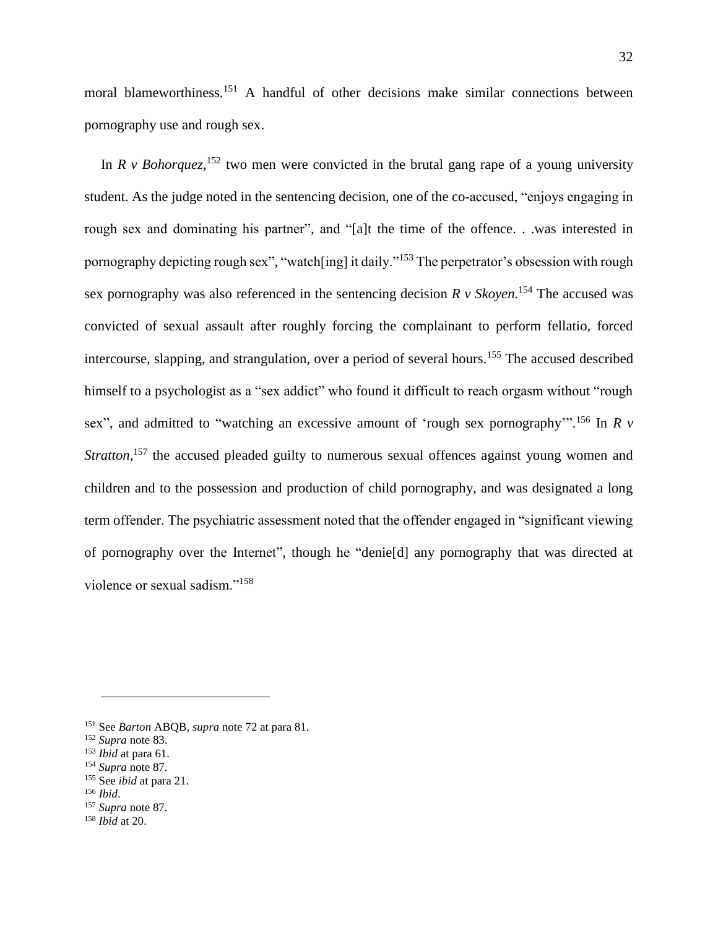moral blameworthiness.<sup>151</sup> A handful of other decisions make similar connections between pornography use and rough sex.

In  $R \vee Bohorquez$ <sup>, 152</sup> two men were convicted in the brutal gang rape of a young university student. As the judge noted in the sentencing decision, one of the co-accused, "enjoys engaging in rough sex and dominating his partner", and "[a]t the time of the offence. . .was interested in pornography depicting rough sex", "watch[ing] it daily."<sup>153</sup> The perpetrator's obsession with rough sex pornography was also referenced in the sentencing decision *R v Skoyen*. <sup>154</sup> The accused was convicted of sexual assault after roughly forcing the complainant to perform fellatio, forced intercourse, slapping, and strangulation, over a period of several hours.<sup>155</sup> The accused described himself to a psychologist as a "sex addict" who found it difficult to reach orgasm without "rough sex", and admitted to "watching an excessive amount of 'rough sex pornography'".<sup>156</sup> In *R v*  Stratton,<sup>157</sup> the accused pleaded guilty to numerous sexual offences against young women and children and to the possession and production of child pornography, and was designated a long term offender. The psychiatric assessment noted that the offender engaged in "significant viewing of pornography over the Internet", though he "denie[d] any pornography that was directed at violence or sexual sadism."<sup>158</sup>

<sup>155</sup> See *ibid* at para 21.

<sup>151</sup> See *Barton* ABQB, *supra* note [72](#page-16-2) at para 81.

<sup>152</sup> *Supra* note [83.](#page-19-0)

<sup>153</sup> *Ibid* at para 61.

<sup>154</sup> *Supra* note [87.](#page-20-1)

<sup>156</sup> *Ibid*.

<sup>157</sup> *Supra* note [87.](#page-20-1)

<sup>158</sup> *Ibid* at 20.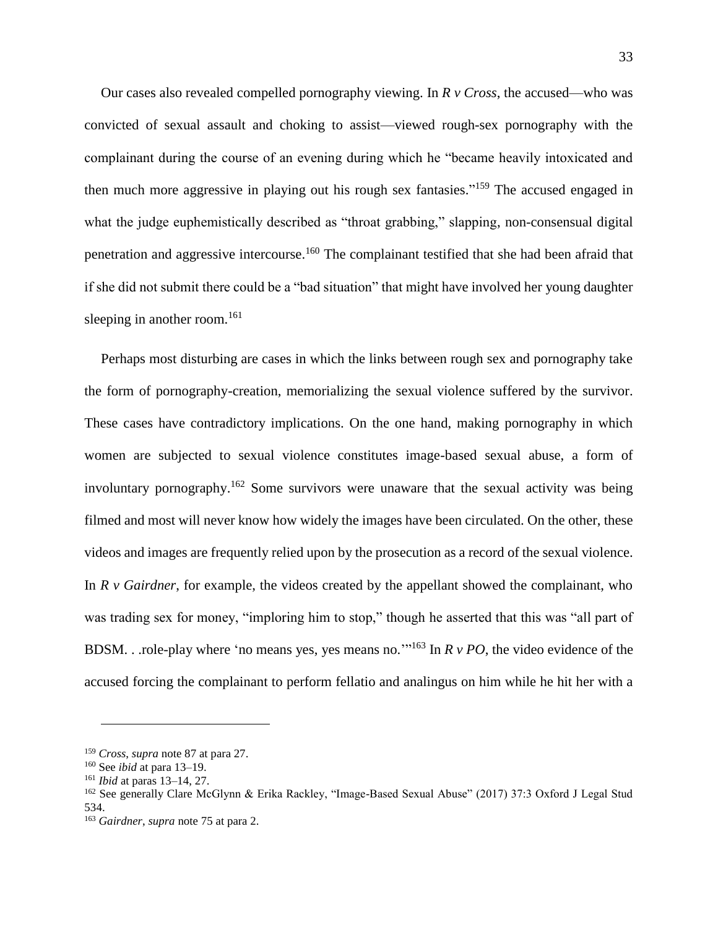Our cases also revealed compelled pornography viewing. In *R v Cross*, the accused—who was convicted of sexual assault and choking to assist—viewed rough-sex pornography with the complainant during the course of an evening during which he "became heavily intoxicated and then much more aggressive in playing out his rough sex fantasies."<sup>159</sup> The accused engaged in what the judge euphemistically described as "throat grabbing," slapping, non-consensual digital penetration and aggressive intercourse.<sup>160</sup> The complainant testified that she had been afraid that if she did not submit there could be a "bad situation" that might have involved her young daughter sleeping in another room.<sup>161</sup>

Perhaps most disturbing are cases in which the links between rough sex and pornography take the form of pornography-creation, memorializing the sexual violence suffered by the survivor. These cases have contradictory implications. On the one hand, making pornography in which women are subjected to sexual violence constitutes image-based sexual abuse, a form of involuntary pornography.<sup>162</sup> Some survivors were unaware that the sexual activity was being filmed and most will never know how widely the images have been circulated. On the other, these videos and images are frequently relied upon by the prosecution as a record of the sexual violence. In *R v Gairdner*, for example, the videos created by the appellant showed the complainant, who was trading sex for money, "imploring him to stop," though he asserted that this was "all part of BDSM. . .role-play where 'no means yes, yes means no.'" <sup>163</sup> In *R v PO*, the video evidence of the accused forcing the complainant to perform fellatio and analingus on him while he hit her with a

<sup>159</sup> *Cross*, *supra* note [87](#page-20-1) at para 27.

<sup>160</sup> See *ibid* at para 13–19.

<sup>161</sup> *Ibid* at paras 13–14, 27.

<sup>162</sup> See generally Clare McGlynn & Erika Rackley, "Image-Based Sexual Abuse" (2017) 37:3 Oxford J Legal Stud 534.

<sup>163</sup> *Gairdner*, *supra* note [75](#page-17-0) at para 2.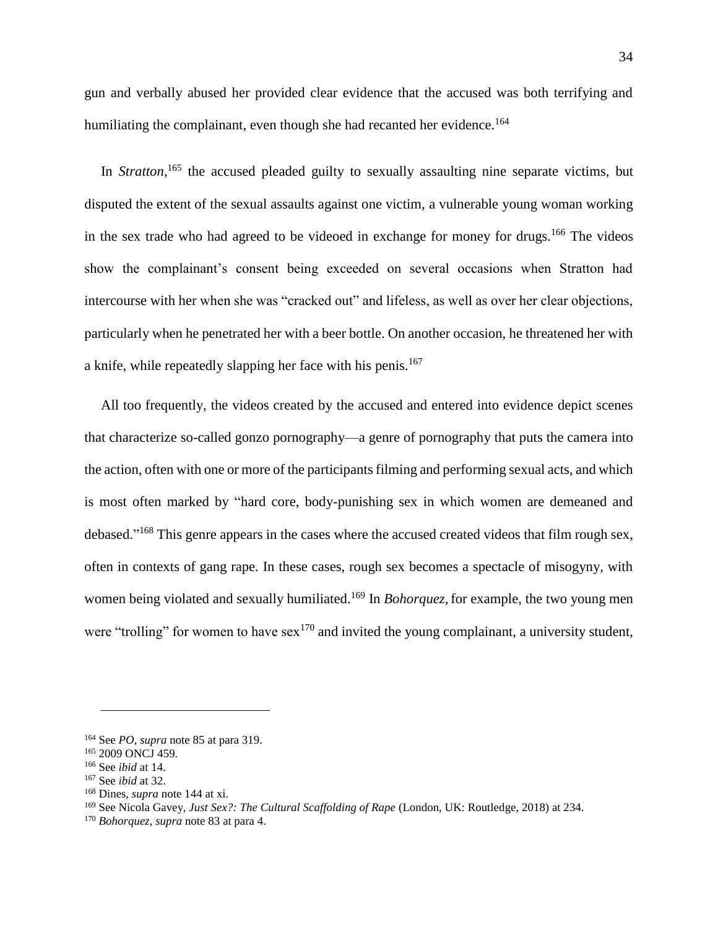gun and verbally abused her provided clear evidence that the accused was both terrifying and humiliating the complainant, even though she had recanted her evidence.<sup>164</sup>

In *Stratton*,<sup>165</sup> the accused pleaded guilty to sexually assaulting nine separate victims, but disputed the extent of the sexual assaults against one victim, a vulnerable young woman working in the sex trade who had agreed to be videoed in exchange for money for drugs.<sup>166</sup> The videos show the complainant's consent being exceeded on several occasions when Stratton had intercourse with her when she was "cracked out" and lifeless, as well as over her clear objections, particularly when he penetrated her with a beer bottle. On another occasion, he threatened her with a knife, while repeatedly slapping her face with his penis.<sup>167</sup>

All too frequently, the videos created by the accused and entered into evidence depict scenes that characterize so-called gonzo pornography—a genre of pornography that puts the camera into the action, often with one or more of the participants filming and performing sexual acts, and which is most often marked by "hard core, body-punishing sex in which women are demeaned and debased."<sup>168</sup> This genre appears in the cases where the accused created videos that film rough sex, often in contexts of gang rape. In these cases, rough sex becomes a spectacle of misogyny, with women being violated and sexually humiliated.<sup>169</sup> In *Bohorquez*, for example, the two young men were "trolling" for women to have  $sex^{170}$  and invited the young complainant, a university student,

<sup>164</sup> See *PO*, *supra* not[e 85](#page-20-0) at para 319.

<sup>&</sup>lt;sup>165</sup> 2009 ONCJ 459.

<sup>166</sup> See *ibid* at 14.

<sup>167</sup> See *ibid* at 32.

<sup>168</sup> Dines, *supra* note [144](#page-30-0) at xi.

<sup>169</sup> See Nicola Gavey, *Just Sex?: The Cultural Scaffolding of Rape* (London, UK: Routledge, 2018) at 234.

<sup>170</sup> *Bohorquez*, *supra* not[e 83](#page-19-0) at para 4.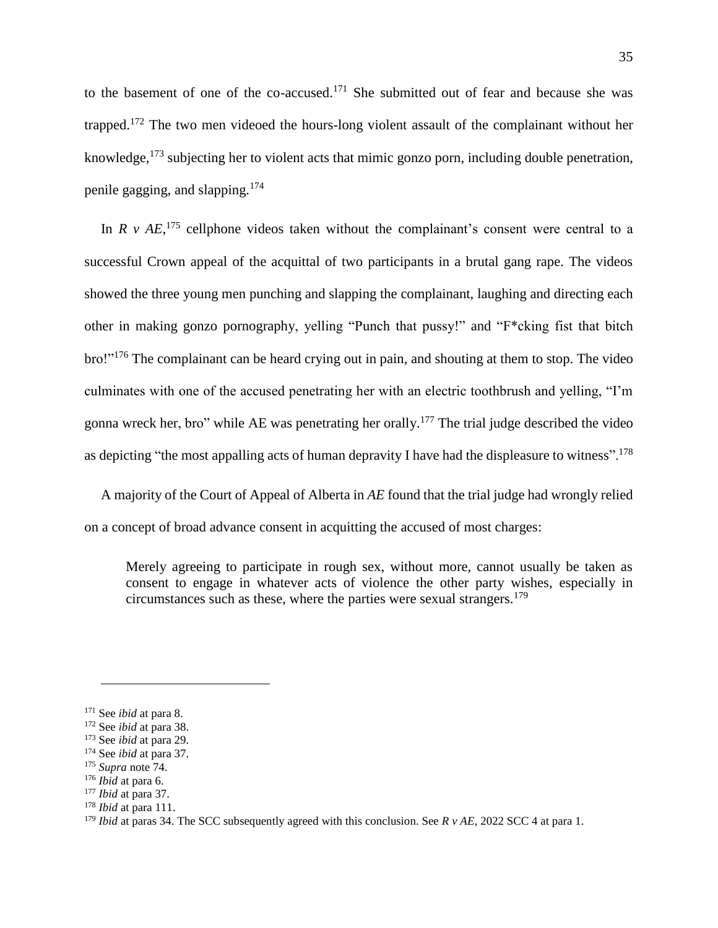to the basement of one of the co-accused. <sup>171</sup> She submitted out of fear and because she was trapped.<sup>172</sup> The two men videoed the hours-long violent assault of the complainant without her knowledge,<sup>173</sup> subjecting her to violent acts that mimic gonzo porn, including double penetration, penile gagging, and slapping.<sup>174</sup>

In  $R$  v  $AE$ ,<sup>175</sup> cellphone videos taken without the complainant's consent were central to a successful Crown appeal of the acquittal of two participants in a brutal gang rape. The videos showed the three young men punching and slapping the complainant, laughing and directing each other in making gonzo pornography, yelling "Punch that pussy!" and "F\*cking fist that bitch bro!"<sup>176</sup> The complainant can be heard crying out in pain, and shouting at them to stop. The video culminates with one of the accused penetrating her with an electric toothbrush and yelling, "I'm gonna wreck her, bro" while AE was penetrating her orally.<sup>177</sup> The trial judge described the video as depicting "the most appalling acts of human depravity I have had the displeasure to witness".<sup>178</sup>

A majority of the Court of Appeal of Alberta in *AE* found that the trial judge had wrongly relied on a concept of broad advance consent in acquitting the accused of most charges:

Merely agreeing to participate in rough sex, without more, cannot usually be taken as consent to engage in whatever acts of violence the other party wishes, especially in circumstances such as these, where the parties were sexual strangers.<sup>179</sup>

<sup>171</sup> See *ibid* at para 8.

<sup>172</sup> See *ibid* at para 38.

<sup>173</sup> See *ibid* at para 29.

<sup>174</sup> See *ibid* at para 37.

<sup>175</sup> *Supra* note [74.](#page-16-1)

<sup>176</sup> *Ibid* at para 6.

<sup>177</sup> *Ibid* at para 37.

<sup>178</sup> *Ibid* at para 111.

<sup>179</sup> *Ibid* at paras 34. The SCC subsequently agreed with this conclusion. See *R v AE*, 2022 SCC 4 at para 1.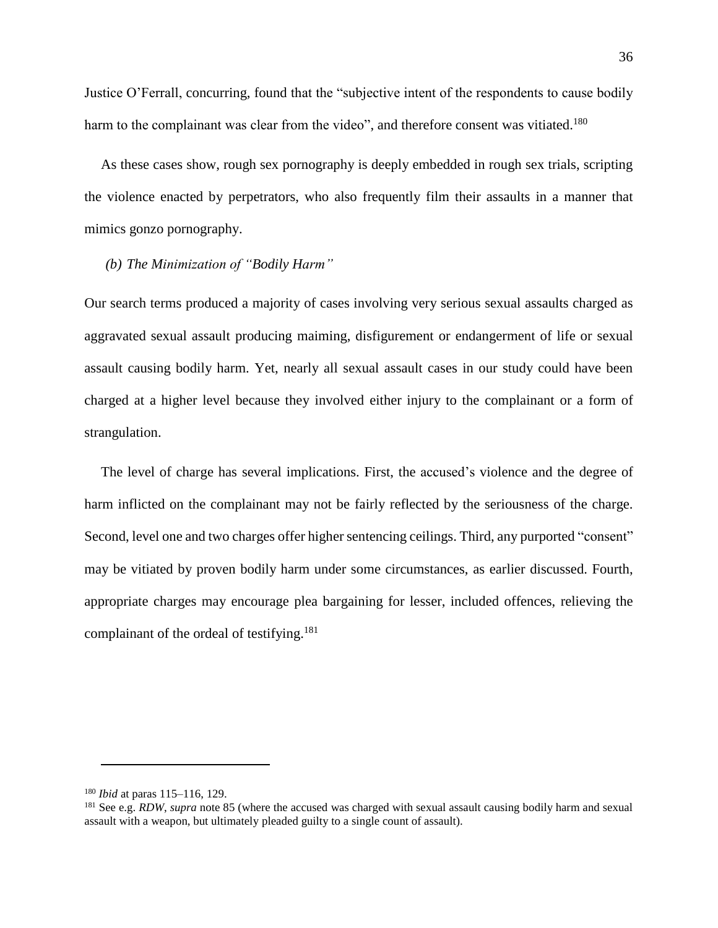Justice O'Ferrall, concurring, found that the "subjective intent of the respondents to cause bodily harm to the complainant was clear from the video", and therefore consent was vitiated.<sup>180</sup>

As these cases show, rough sex pornography is deeply embedded in rough sex trials, scripting the violence enacted by perpetrators, who also frequently film their assaults in a manner that mimics gonzo pornography.

## *(b) The Minimization of "Bodily Harm"*

Our search terms produced a majority of cases involving very serious sexual assaults charged as aggravated sexual assault producing maiming, disfigurement or endangerment of life or sexual assault causing bodily harm. Yet, nearly all sexual assault cases in our study could have been charged at a higher level because they involved either injury to the complainant or a form of strangulation.

The level of charge has several implications. First, the accused's violence and the degree of harm inflicted on the complainant may not be fairly reflected by the seriousness of the charge. Second, level one and two charges offer higher sentencing ceilings. Third, any purported "consent" may be vitiated by proven bodily harm under some circumstances, as earlier discussed. Fourth, appropriate charges may encourage plea bargaining for lesser, included offences, relieving the complainant of the ordeal of testifying.<sup>181</sup>

<sup>180</sup> *Ibid* at paras 115–116, 129.

<sup>&</sup>lt;sup>181</sup> See e.g. *RDW*, *supra* note [85](#page-20-0) (where the accused was charged with sexual assault causing bodily harm and sexual assault with a weapon, but ultimately pleaded guilty to a single count of assault).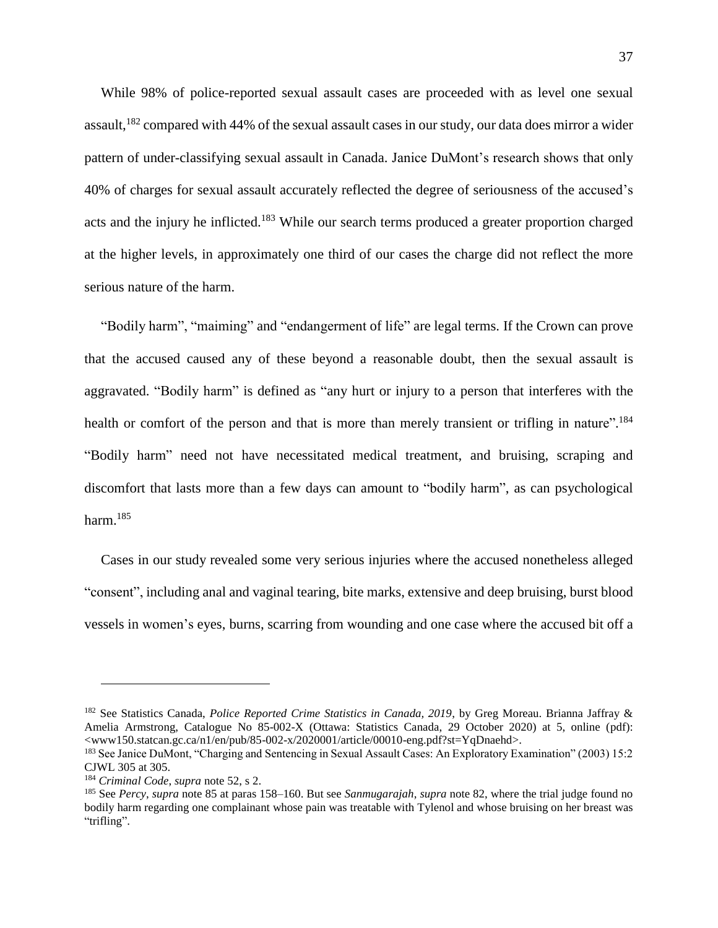While 98% of police-reported sexual assault cases are proceeded with as level one sexual assault, <sup>182</sup> compared with 44% of the sexual assault cases in our study, our data does mirror a wider pattern of under-classifying sexual assault in Canada. Janice DuMont's research shows that only 40% of charges for sexual assault accurately reflected the degree of seriousness of the accused's acts and the injury he inflicted.<sup>183</sup> While our search terms produced a greater proportion charged at the higher levels, in approximately one third of our cases the charge did not reflect the more serious nature of the harm.

"Bodily harm", "maiming" and "endangerment of life" are legal terms. If the Crown can prove that the accused caused any of these beyond a reasonable doubt, then the sexual assault is aggravated. "Bodily harm" is defined as "any hurt or injury to a person that interferes with the health or comfort of the person and that is more than merely transient or trifling in nature".<sup>184</sup> "Bodily harm" need not have necessitated medical treatment, and bruising, scraping and discomfort that lasts more than a few days can amount to "bodily harm", as can psychological harm. $185$ 

Cases in our study revealed some very serious injuries where the accused nonetheless alleged "consent", including anal and vaginal tearing, bite marks, extensive and deep bruising, burst blood vessels in women's eyes, burns, scarring from wounding and one case where the accused bit off a

<sup>182</sup> See Statistics Canada, *Police Reported Crime Statistics in Canada, 2019*, by Greg Moreau. Brianna Jaffray & Amelia Armstrong, Catalogue No 85-002-X (Ottawa: Statistics Canada, 29 October 2020) at 5, online (pdf): <www150.statcan.gc.ca/n1/en/pub/85-002-x/2020001/article/00010-eng.pdf?st=YqDnaehd>.

<sup>&</sup>lt;sup>183</sup> See Janice DuMont, "Charging and Sentencing in Sexual Assault Cases: An Exploratory Examination" (2003) 15:2 CJWL 305 at 305.

<sup>184</sup> *Criminal Code*, *supra* note [52,](#page-12-0) s 2.

<sup>185</sup> See *Percy*, *supra* note [85](#page-20-0) at paras 158–160. But see *Sanmugarajah*, *supra* note [82,](#page-19-1) where the trial judge found no bodily harm regarding one complainant whose pain was treatable with Tylenol and whose bruising on her breast was "trifling".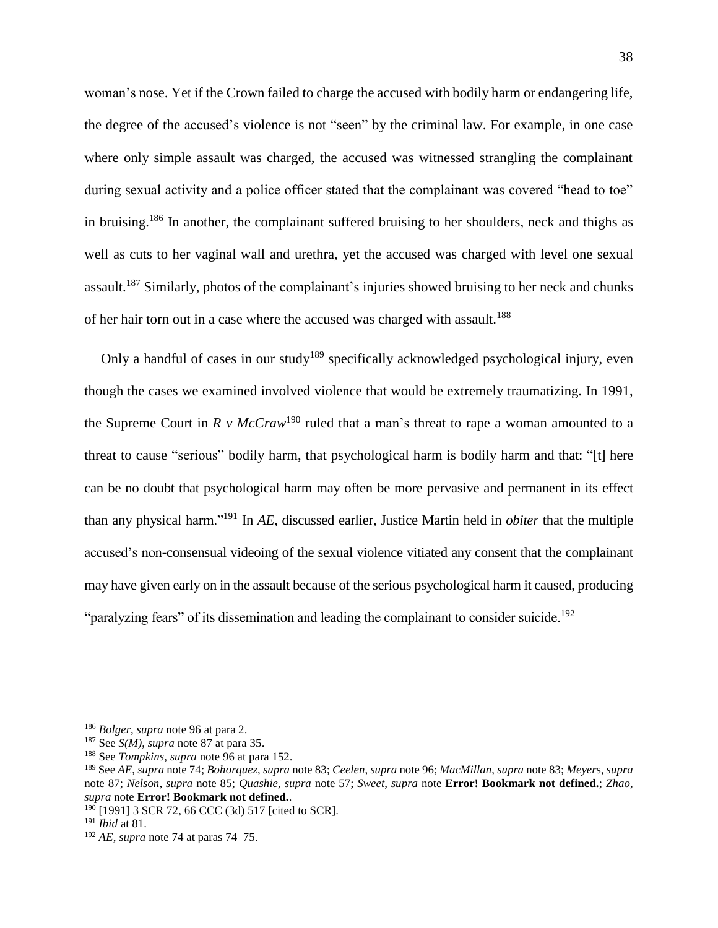woman's nose. Yet if the Crown failed to charge the accused with bodily harm or endangering life, the degree of the accused's violence is not "seen" by the criminal law. For example, in one case where only simple assault was charged, the accused was witnessed strangling the complainant during sexual activity and a police officer stated that the complainant was covered "head to toe" in bruising.<sup>186</sup> In another, the complainant suffered bruising to her shoulders, neck and thighs as well as cuts to her vaginal wall and urethra, yet the accused was charged with level one sexual assault.<sup>187</sup> Similarly, photos of the complainant's injuries showed bruising to her neck and chunks of her hair torn out in a case where the accused was charged with assault.<sup>188</sup>

Only a handful of cases in our study<sup>189</sup> specifically acknowledged psychological injury, even though the cases we examined involved violence that would be extremely traumatizing. In 1991, the Supreme Court in  $R$  *v*  $McCraw<sup>190</sup>$  ruled that a man's threat to rape a woman amounted to a threat to cause "serious" bodily harm, that psychological harm is bodily harm and that: "[t] here can be no doubt that psychological harm may often be more pervasive and permanent in its effect than any physical harm."<sup>191</sup> In *AE*, discussed earlier, Justice Martin held in *obiter* that the multiple accused's non-consensual videoing of the sexual violence vitiated any consent that the complainant may have given early on in the assault because of the serious psychological harm it caused, producing "paralyzing fears" of its dissemination and leading the complainant to consider suicide.<sup>192</sup>

<sup>186</sup> *Bolger*, *supra* not[e 96](#page-21-1) at para 2.

<sup>187</sup> See *S(M)*, *supra* note [87](#page-20-1) at para 35.

<sup>188</sup> See *Tompkins*, *supra* note [96](#page-21-1) at para 152.

<sup>189</sup> See *AE*, *supra* not[e 74;](#page-16-1) *Bohorquez*, *supra* not[e 83;](#page-19-0) *Ceelen*, *supra* not[e 96;](#page-21-1) *MacMillan*, *supra* not[e 83;](#page-19-0) *Meyer*s, *supra* note [87;](#page-20-1) *Nelson*, *supra* note [85;](#page-20-0) *Quashie*, *supra* note [57;](#page-13-1) *Sweet*, *supra* note **Error! Bookmark not defined.**; *Zhao*, *supra* note **Error! Bookmark not defined.**.

<sup>190</sup> [1991] 3 SCR 72, 66 CCC (3d) 517 [cited to SCR].

<sup>191</sup> *Ibid* at 81.

<sup>192</sup> *AE*, *supra* not[e 74](#page-16-1) at paras 74–75.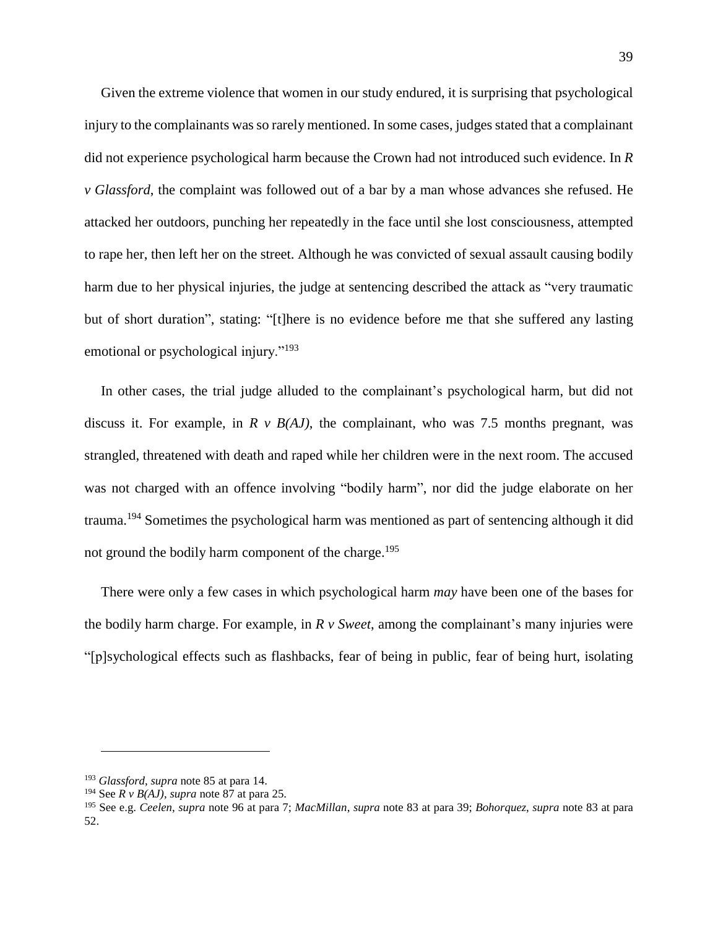Given the extreme violence that women in our study endured, it is surprising that psychological injury to the complainants was so rarely mentioned. In some cases, judges stated that a complainant did not experience psychological harm because the Crown had not introduced such evidence. In *R v Glassford*, the complaint was followed out of a bar by a man whose advances she refused. He attacked her outdoors, punching her repeatedly in the face until she lost consciousness, attempted to rape her, then left her on the street. Although he was convicted of sexual assault causing bodily harm due to her physical injuries, the judge at sentencing described the attack as "very traumatic but of short duration", stating: "[t]here is no evidence before me that she suffered any lasting emotional or psychological injury."<sup>193</sup>

In other cases, the trial judge alluded to the complainant's psychological harm, but did not discuss it. For example, in  $R \vee B(AJ)$ , the complainant, who was 7.5 months pregnant, was strangled, threatened with death and raped while her children were in the next room. The accused was not charged with an offence involving "bodily harm", nor did the judge elaborate on her trauma.<sup>194</sup> Sometimes the psychological harm was mentioned as part of sentencing although it did not ground the bodily harm component of the charge. 195

There were only a few cases in which psychological harm *may* have been one of the bases for the bodily harm charge. For example, in *R v Sweet*, among the complainant's many injuries were "[p]sychological effects such as flashbacks, fear of being in public, fear of being hurt, isolating

<sup>193</sup> *Glassford*, *supra* not[e 85](#page-20-0) at para 14.

<sup>194</sup> See *R v B(AJ)*, *supra* note [87](#page-20-1) at para 25.

<sup>195</sup> See e.g. *Ceelen*, *supra* note [96](#page-21-1) at para 7; *MacMillan*, *supra* note [83](#page-19-0) at para 39; *Bohorquez*, *supra* note [83](#page-19-0) at para 52.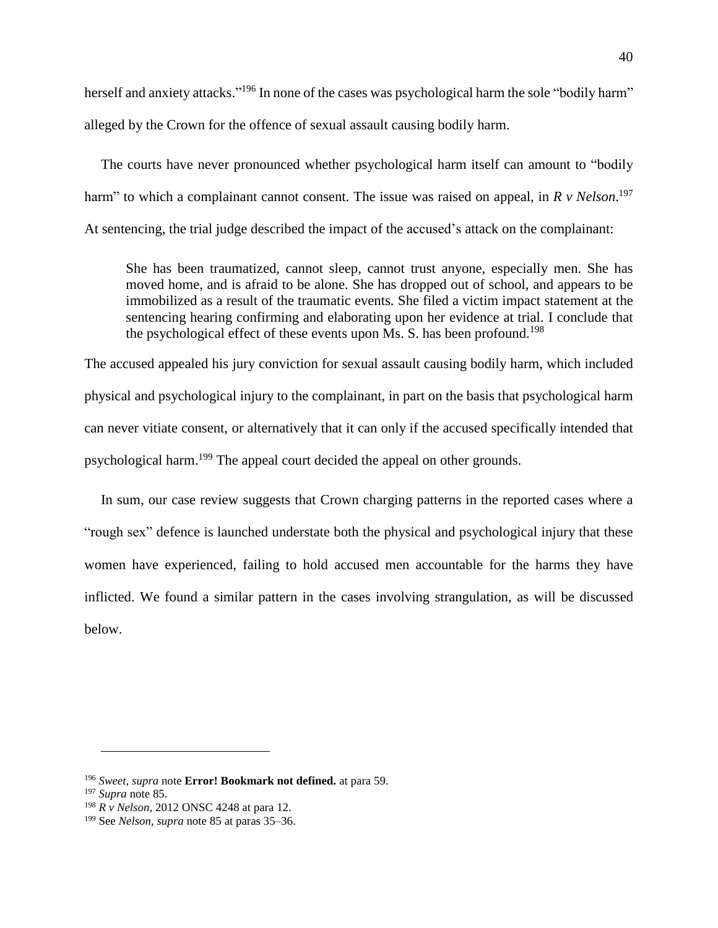herself and anxiety attacks."<sup>196</sup> In none of the cases was psychological harm the sole "bodily harm" alleged by the Crown for the offence of sexual assault causing bodily harm.

The courts have never pronounced whether psychological harm itself can amount to "bodily harm" to which a complainant cannot consent. The issue was raised on appeal, in *R v Nelson*. 197 At sentencing, the trial judge described the impact of the accused's attack on the complainant:

She has been traumatized, cannot sleep, cannot trust anyone, especially men. She has moved home, and is afraid to be alone. She has dropped out of school, and appears to be immobilized as a result of the traumatic events. She filed a victim impact statement at the sentencing hearing confirming and elaborating upon her evidence at trial. I conclude that the psychological effect of these events upon Ms. S. has been profound.<sup>198</sup>

The accused appealed his jury conviction for sexual assault causing bodily harm, which included physical and psychological injury to the complainant, in part on the basis that psychological harm can never vitiate consent, or alternatively that it can only if the accused specifically intended that psychological harm.<sup>199</sup> The appeal court decided the appeal on other grounds.

In sum, our case review suggests that Crown charging patterns in the reported cases where a "rough sex" defence is launched understate both the physical and psychological injury that these women have experienced, failing to hold accused men accountable for the harms they have inflicted. We found a similar pattern in the cases involving strangulation, as will be discussed below.

<sup>196</sup> *Sweet*, *supra* note **Error! Bookmark not defined.** at para 59.

<sup>197</sup> *Supra* note [85.](#page-20-0)

<sup>198</sup> *R v Nelson*, 2012 ONSC 4248 at para 12.

<sup>199</sup> See *Nelson*, *supra* note [85](#page-20-0) at paras 35–36.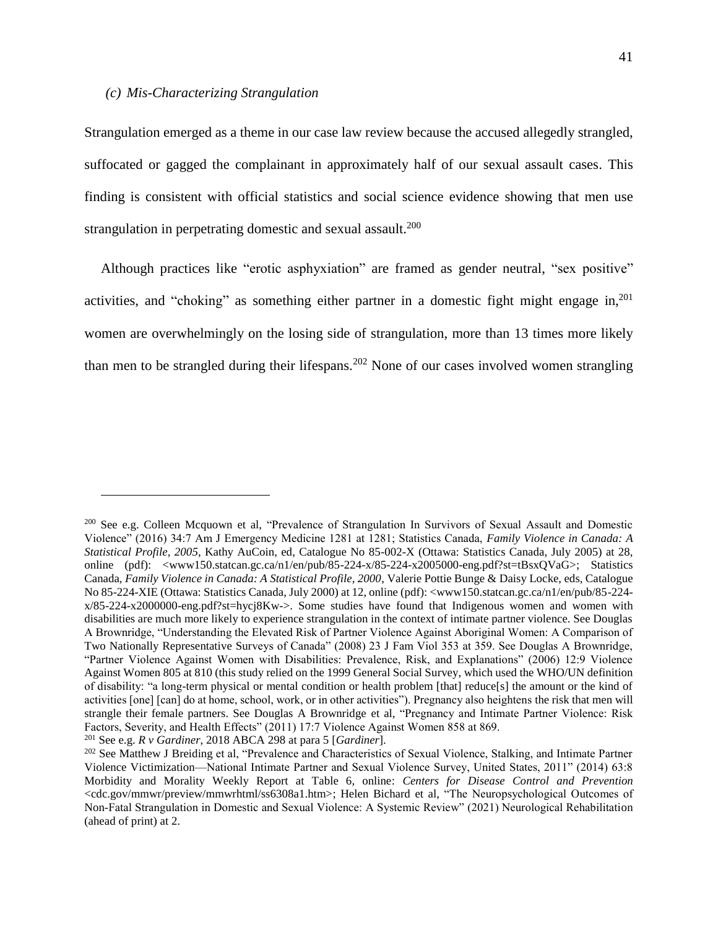#### *(c) Mis-Characterizing Strangulation*

Strangulation emerged as a theme in our case law review because the accused allegedly strangled, suffocated or gagged the complainant in approximately half of our sexual assault cases. This finding is consistent with official statistics and social science evidence showing that men use strangulation in perpetrating domestic and sexual assault.<sup>200</sup>

<span id="page-41-1"></span><span id="page-41-0"></span>Although practices like "erotic asphyxiation" are framed as gender neutral, "sex positive" activities, and "choking" as something either partner in a domestic fight might engage in,<sup>201</sup> women are overwhelmingly on the losing side of strangulation, more than 13 times more likely than men to be strangled during their lifespans.<sup>202</sup> None of our cases involved women strangling

<sup>200</sup> See e.g. Colleen Mcquown et al, "Prevalence of Strangulation In Survivors of Sexual Assault and Domestic Violence" (2016) 34:7 Am J Emergency Medicine 1281 at 1281; Statistics Canada, *Family Violence in Canada: A Statistical Profile, 2005*, Kathy AuCoin, ed, Catalogue No 85-002-X (Ottawa: Statistics Canada, July 2005) at 28, online (pdf): <www150.statcan.gc.ca/n1/en/pub/85-224-x/85-224-x2005000-eng.pdf?st=tBsxQVaG>; Statistics Canada, *Family Violence in Canada: A Statistical Profile, 2000*, Valerie Pottie Bunge & Daisy Locke, eds, Catalogue No 85-224-XIE (Ottawa: Statistics Canada, July 2000) at 12, online (pdf): <www150.statcan.gc.ca/n1/en/pub/85-224 x/85-224-x2000000-eng.pdf?st=hycj8Kw->. Some studies have found that Indigenous women and women with disabilities are much more likely to experience strangulation in the context of intimate partner violence. See Douglas A Brownridge, "Understanding the Elevated Risk of Partner Violence Against Aboriginal Women: A Comparison of Two Nationally Representative Surveys of Canada" (2008) 23 J Fam Viol 353 at 359. See Douglas A Brownridge, "Partner Violence Against Women with Disabilities: Prevalence, Risk, and Explanations" (2006) 12:9 Violence Against Women 805 at 810 (this study relied on the 1999 General Social Survey, which used the WHO/UN definition of disability: "a long-term physical or mental condition or health problem [that] reduce[s] the amount or the kind of activities [one] [can] do at home, school, work, or in other activities"). Pregnancy also heightens the risk that men will strangle their female partners. See Douglas A Brownridge et al, "Pregnancy and Intimate Partner Violence: Risk Factors, Severity, and Health Effects" (2011) 17:7 Violence Against Women 858 at 869.

<sup>201</sup> See e.g. *R v Gardiner*, 2018 ABCA 298 at para 5 [*Gardiner*].

<sup>&</sup>lt;sup>202</sup> See Matthew J Breiding et al, "Prevalence and Characteristics of Sexual Violence, Stalking, and Intimate Partner Violence Victimization—National Intimate Partner and Sexual Violence Survey, United States, 2011" (2014) 63:8 Morbidity and Morality Weekly Report at Table 6, online: *Centers for Disease Control and Prevention*  <cdc.gov/mmwr/preview/mmwrhtml/ss6308a1.htm>; Helen Bichard et al, "The Neuropsychological Outcomes of Non-Fatal Strangulation in Domestic and Sexual Violence: A Systemic Review" (2021) Neurological Rehabilitation (ahead of print) at 2.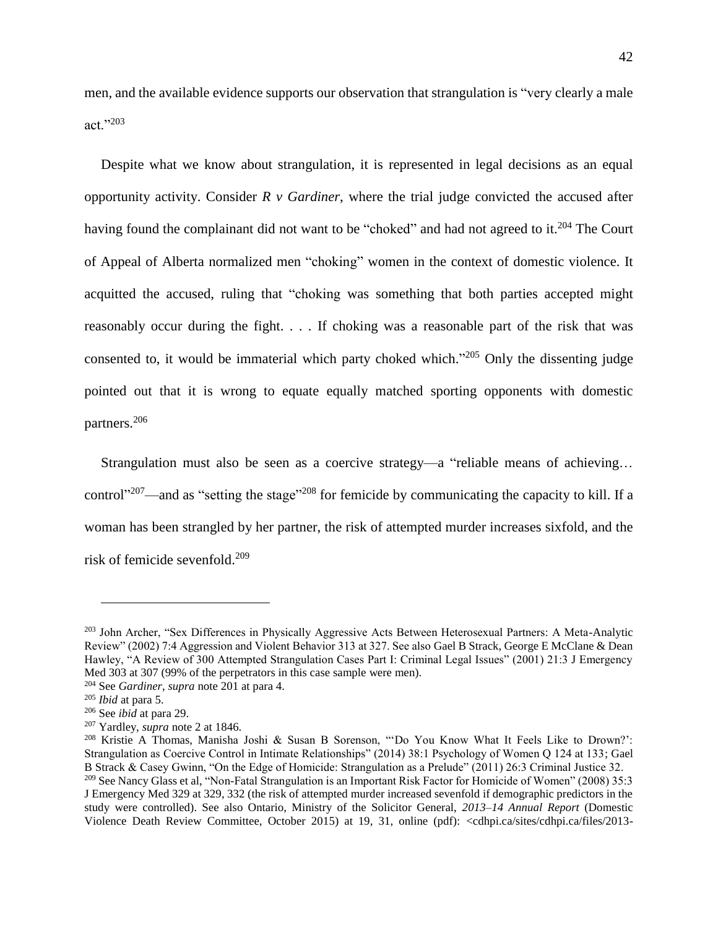men, and the available evidence supports our observation that strangulation is "very clearly a male act."<sup>203</sup>

Despite what we know about strangulation, it is represented in legal decisions as an equal opportunity activity. Consider *R v Gardiner*, where the trial judge convicted the accused after having found the complainant did not want to be "choked" and had not agreed to it.<sup>204</sup> The Court of Appeal of Alberta normalized men "choking" women in the context of domestic violence. It acquitted the accused, ruling that "choking was something that both parties accepted might reasonably occur during the fight. . . . If choking was a reasonable part of the risk that was consented to, it would be immaterial which party choked which."<sup>205</sup> Only the dissenting judge pointed out that it is wrong to equate equally matched sporting opponents with domestic partners. 206

<span id="page-42-0"></span>Strangulation must also be seen as a coercive strategy—a "reliable means of achieving… control"<sup>207</sup>—and as "setting the stage"<sup>208</sup> for femicide by communicating the capacity to kill. If a woman has been strangled by her partner, the risk of attempted murder increases sixfold, and the risk of femicide sevenfold. 209

<sup>&</sup>lt;sup>203</sup> John Archer, "Sex Differences in Physically Aggressive Acts Between Heterosexual Partners: A Meta-Analytic Review" (2002) 7:4 Aggression and Violent Behavior 313 at 327. See also Gael B Strack, George E McClane & Dean Hawley, "A Review of 300 Attempted Strangulation Cases Part I: Criminal Legal Issues" (2001) 21:3 J Emergency Med 303 at 307 (99% of the perpetrators in this case sample were men).

<sup>204</sup> See *Gardiner*, *supra* note [201](#page-41-0) at para 4.

<sup>205</sup> *Ibid* at para 5.

<sup>206</sup> See *ibid* at para 29.

<sup>207</sup> Yardley, *supra* note [2](#page-2-0) at 1846.

<sup>208</sup> Kristie A Thomas, Manisha Joshi & Susan B Sorenson, "'Do You Know What It Feels Like to Drown?': Strangulation as Coercive Control in Intimate Relationships" (2014) 38:1 Psychology of Women Q 124 at 133; Gael B Strack & Casey Gwinn, "On the Edge of Homicide: Strangulation as a Prelude" (2011) 26:3 Criminal Justice 32. <sup>209</sup> See Nancy Glass et al, "Non-Fatal Strangulation is an Important Risk Factor for Homicide of Women" (2008) 35:3 J Emergency Med 329 at 329, 332 (the risk of attempted murder increased sevenfold if demographic predictors in the study were controlled). See also Ontario, Ministry of the Solicitor General, *2013–14 Annual Report* (Domestic Violence Death Review Committee, October 2015) at 19, 31, online (pdf): <cdhpi.ca/sites/cdhpi.ca/files/2013-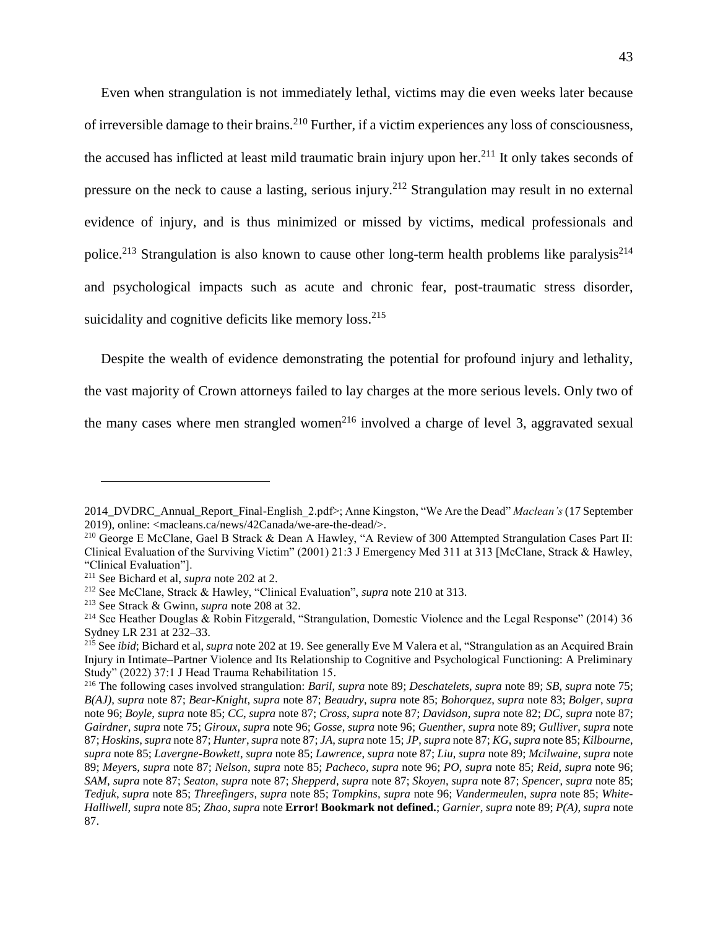<span id="page-43-0"></span>Even when strangulation is not immediately lethal, victims may die even weeks later because of irreversible damage to their brains.<sup>210</sup> Further, if a victim experiences any loss of consciousness, the accused has inflicted at least mild traumatic brain injury upon her.<sup>211</sup> It only takes seconds of pressure on the neck to cause a lasting, serious injury.<sup>212</sup> Strangulation may result in no external evidence of injury, and is thus minimized or missed by victims, medical professionals and police.<sup>213</sup> Strangulation is also known to cause other long-term health problems like paralysis<sup>214</sup> and psychological impacts such as acute and chronic fear, post-traumatic stress disorder, suicidality and cognitive deficits like memory loss.<sup>215</sup>

Despite the wealth of evidence demonstrating the potential for profound injury and lethality, the vast majority of Crown attorneys failed to lay charges at the more serious levels. Only two of the many cases where men strangled women<sup>216</sup> involved a charge of level 3, aggravated sexual

<sup>2014</sup>\_DVDRC\_Annual\_Report\_Final-English\_2.pdf>; Anne Kingston, "We Are the Dead" *Maclean's* (17 September 2019), online: <macleans.ca/news/42Canada/we-are-the-dead/>.

<sup>&</sup>lt;sup>210</sup> George E McClane, Gael B Strack & Dean A Hawley, "A Review of 300 Attempted Strangulation Cases Part II: Clinical Evaluation of the Surviving Victim" (2001) 21:3 J Emergency Med 311 at 313 [McClane, Strack & Hawley, "Clinical Evaluation"].

<sup>211</sup> See Bichard et al, *supra* note [202](#page-41-1) at 2.

<sup>212</sup> See McClane, Strack & Hawley, "Clinical Evaluation", *supra* not[e 210](#page-43-0) at 313.

<sup>213</sup> See Strack & Gwinn, *supra* not[e 208](#page-42-0) at 32.

<sup>214</sup> See Heather Douglas & Robin Fitzgerald, "Strangulation, Domestic Violence and the Legal Response" (2014) 36 Sydney LR 231 at 232–33.

<sup>215</sup> See *ibid*; Bichard et al, *supra* not[e 202](#page-41-1) at 19. See generally Eve M Valera et al, "Strangulation as an Acquired Brain Injury in Intimate–Partner Violence and Its Relationship to Cognitive and Psychological Functioning: A Preliminary Study" (2022) 37:1 J Head Trauma Rehabilitation 15.

<sup>216</sup> The following cases involved strangulation: *Baril*, *supra* not[e 89;](#page-21-0) *Deschatelets*, *supra* note [89;](#page-21-0) *SB*, *supra* note [75;](#page-17-0) *B(AJ)*, *supra* note [87;](#page-20-1) *Bear-Knight*, *supra* note [87;](#page-20-1) *Beaudry*, *supra* not[e 85;](#page-20-0) *Bohorquez*, *supra* note [83;](#page-19-0) *Bolger*, *supra*  not[e 96;](#page-21-1) *Boyle*, *supra* note [85;](#page-20-0) *CC*, *supra* note [87;](#page-20-1) *Cross*, *supra* not[e 87;](#page-20-1) *Davidson*, *supra* not[e 82;](#page-19-1) *DC*, *supra* note [87;](#page-20-1) *Gairdner*, *supra* note [75;](#page-17-0) *Giroux*, *supra* note [96;](#page-21-1) *Gosse*, *supra* not[e 96;](#page-21-1) *Guenther*, *supra* note [89;](#page-21-0) *Gulliver*, *supra* note [87;](#page-20-1) *Hoskins*, *supra* not[e 87;](#page-20-1) *Hunter*, *supra* not[e 87;](#page-20-1) *JA*, *supra* note [15;](#page-4-0) *JP*, *supra* not[e 87;](#page-20-1) *KG*, *supra* not[e 85;](#page-20-0) *Kilbourne*, *supra* not[e 85;](#page-20-0) *Lavergne-Bowkett*, *supra* note [85;](#page-20-0) *Lawrence*, *supra* note [87;](#page-20-1) *Liu*, *supra* not[e 89;](#page-21-0) *Mcilwaine*, *supra* note [89;](#page-21-0) *Meyer*s, *supra* note [87;](#page-20-1) *Nelson*, *supra* note [85;](#page-20-0) *Pacheco*, *supra* note [96;](#page-21-1) *PO*, *supra* note [85;](#page-20-0) *Reid*, *supra* note [96;](#page-21-1) *SAM*, *supra* note [87;](#page-20-1) *Seaton*, *supra* not[e 87;](#page-20-1) *Shepperd*, *supra* not[e 87;](#page-20-1) *Skoyen*, *supra* note [87;](#page-20-1) *Spencer*, *supra* note [85;](#page-20-0) *Tedjuk*, *supra* note [85;](#page-20-0) *Threefingers*, *supra* note [85;](#page-20-0) *Tompkins*, *supra* note [96;](#page-21-1) *Vandermeulen*, *supra* note [85;](#page-20-0) *White-Halliwell*, *supra* not[e 85;](#page-20-0) *Zhao*, *supra* note **Error! Bookmark not defined.**; *Garnier*, *supra* note [89;](#page-21-0) *P(A)*, *supra* note [87.](#page-20-1)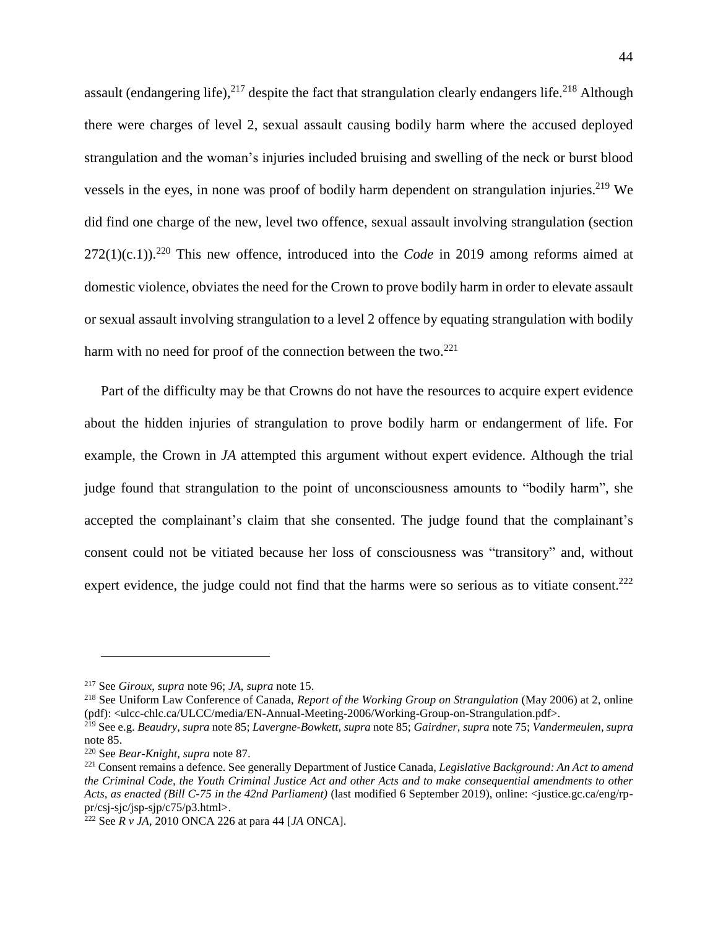assault (endangering life),<sup>217</sup> despite the fact that strangulation clearly endangers life.<sup>218</sup> Although there were charges of level 2, sexual assault causing bodily harm where the accused deployed strangulation and the woman's injuries included bruising and swelling of the neck or burst blood vessels in the eyes, in none was proof of bodily harm dependent on strangulation injuries.<sup>219</sup> We did find one charge of the new, level two offence, sexual assault involving strangulation (section  $272(1)(c.1)$ .<sup>220</sup> This new offence, introduced into the *Code* in 2019 among reforms aimed at domestic violence, obviates the need for the Crown to prove bodily harm in order to elevate assault or sexual assault involving strangulation to a level 2 offence by equating strangulation with bodily harm with no need for proof of the connection between the two. $^{221}$ 

Part of the difficulty may be that Crowns do not have the resources to acquire expert evidence about the hidden injuries of strangulation to prove bodily harm or endangerment of life. For example, the Crown in *JA* attempted this argument without expert evidence. Although the trial judge found that strangulation to the point of unconsciousness amounts to "bodily harm", she accepted the complainant's claim that she consented. The judge found that the complainant's consent could not be vitiated because her loss of consciousness was "transitory" and, without expert evidence, the judge could not find that the harms were so serious as to vitiate consent.<sup>222</sup>

<span id="page-44-0"></span><sup>217</sup> See *Giroux*, *supra* not[e 96;](#page-21-1) *JA*, *supra* note [15.](#page-4-0)

<sup>218</sup> See Uniform Law Conference of Canada, *Report of the Working Group on Strangulation* (May 2006) at 2, online (pdf): <ulcc-chlc.ca/ULCC/media/EN-Annual-Meeting-2006/Working-Group-on-Strangulation.pdf>.

<sup>219</sup> See e.g. *Beaudry*, *supra* not[e 85;](#page-20-0) *Lavergne-Bowkett*, *supra* note [85;](#page-20-0) *Gairdner*, *supra* not[e 75;](#page-17-0) *Vandermeulen*, *supra*  not[e 85.](#page-20-0)

<sup>220</sup> See *Bear-Knight*, *supra* note [87.](#page-20-1)

<sup>221</sup> Consent remains a defence. See generally Department of Justice Canada, *Legislative Background: An Act to amend the Criminal Code, the Youth Criminal Justice Act and other Acts and to make consequential amendments to other Acts, as enacted (Bill C-75 in the 42nd Parliament)* (last modified 6 September 2019), online: <justice.gc.ca/eng/rppr/csj-sjc/jsp-sjp/c75/p3.html>.

<sup>222</sup> See *R v JA*, 2010 ONCA 226 at para 44 [*JA* ONCA].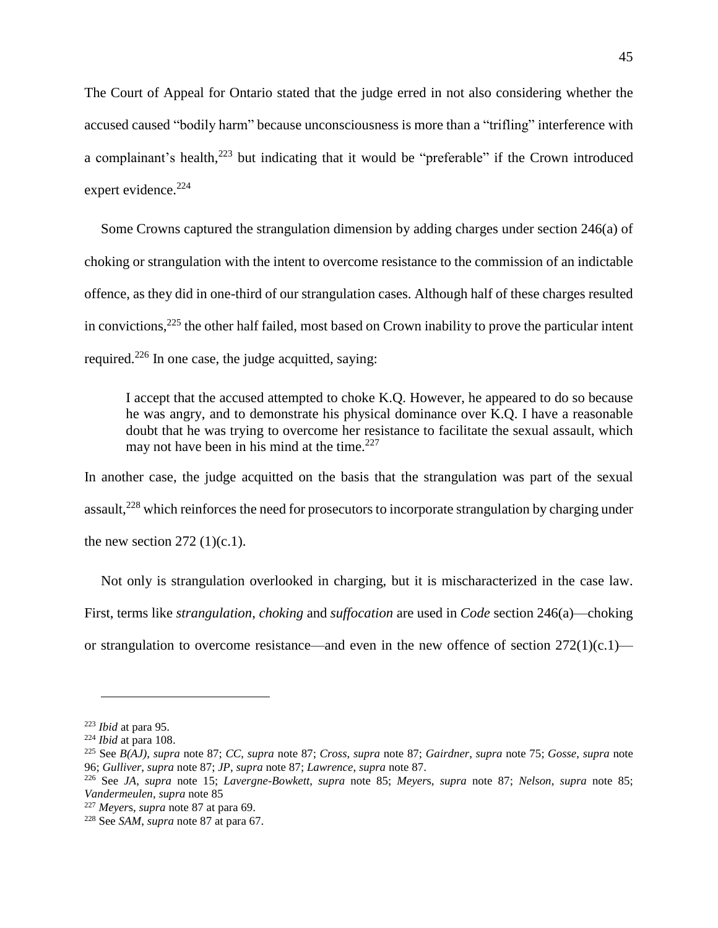The Court of Appeal for Ontario stated that the judge erred in not also considering whether the accused caused "bodily harm" because unconsciousness is more than a "trifling" interference with a complainant's health, <sup>223</sup> but indicating that it would be "preferable" if the Crown introduced expert evidence.<sup>224</sup>

Some Crowns captured the strangulation dimension by adding charges under section 246(a) of choking or strangulation with the intent to overcome resistance to the commission of an indictable offence, as they did in one-third of our strangulation cases. Although half of these charges resulted in convictions, $225$  the other half failed, most based on Crown inability to prove the particular intent required.<sup>226</sup> In one case, the judge acquitted, saying:

I accept that the accused attempted to choke K.Q. However, he appeared to do so because he was angry, and to demonstrate his physical dominance over K.Q. I have a reasonable doubt that he was trying to overcome her resistance to facilitate the sexual assault, which may not have been in his mind at the time. $227$ 

In another case, the judge acquitted on the basis that the strangulation was part of the sexual assault, $228$  which reinforces the need for prosecutors to incorporate strangulation by charging under the new section  $272$  (1)(c.1).

Not only is strangulation overlooked in charging, but it is mischaracterized in the case law. First, terms like *strangulation*, *choking* and *suffocation* are used in *Code* section 246(a)—choking or strangulation to overcome resistance—and even in the new offence of section  $272(1)(c.1)$ —

<sup>223</sup> *Ibid* at para 95.

<sup>224</sup> *Ibid* at para 108.

<sup>225</sup> See *B(AJ)*, *supra* note [87;](#page-20-1) *CC*, *supra* note [87;](#page-20-1) *Cross*, *supra* note [87;](#page-20-1) *Gairdner*, *supra* note [75;](#page-17-0) *Gosse*, *supra* note [96;](#page-21-1) *Gulliver*, *supra* not[e 87;](#page-20-1) *JP*, *supra* note [87;](#page-20-1) *Lawrence*, *supra* note [87.](#page-20-1)

<sup>226</sup> See *JA*, *supra* note [15;](#page-4-0) *Lavergne-Bowkett*, *supra* note [85;](#page-20-0) *Meyer*s, *supra* note [87;](#page-20-1) *Nelson*, *supra* note [85;](#page-20-0) *Vandermeulen*, *supra* note [85](#page-20-0)

<sup>227</sup> *Meyer*s, *supra* not[e 87](#page-20-1) at para 69.

<sup>228</sup> See *SAM*, *supra* not[e 87](#page-20-1) at para 67.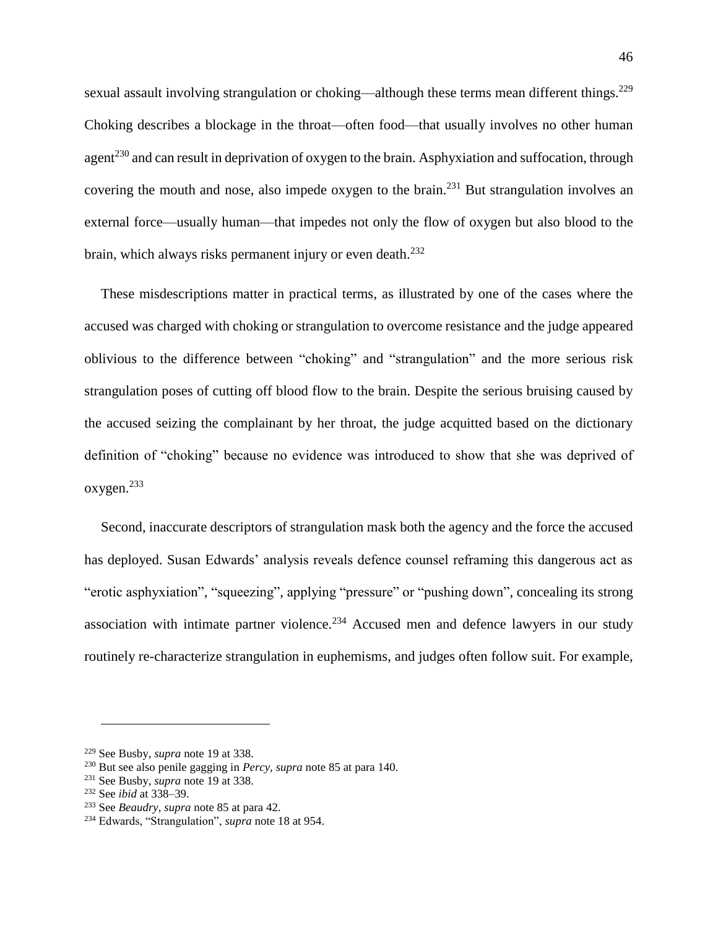sexual assault involving strangulation or choking—although these terms mean different things.<sup>229</sup> Choking describes a blockage in the throat—often food—that usually involves no other human agent<sup>230</sup> and can result in deprivation of oxygen to the brain. Asphyxiation and suffocation, through covering the mouth and nose, also impede oxygen to the brain.<sup>231</sup> But strangulation involves an external force—usually human—that impedes not only the flow of oxygen but also blood to the brain, which always risks permanent injury or even death.<sup>232</sup>

These misdescriptions matter in practical terms, as illustrated by one of the cases where the accused was charged with choking or strangulation to overcome resistance and the judge appeared oblivious to the difference between "choking" and "strangulation" and the more serious risk strangulation poses of cutting off blood flow to the brain. Despite the serious bruising caused by the accused seizing the complainant by her throat, the judge acquitted based on the dictionary definition of "choking" because no evidence was introduced to show that she was deprived of oxygen. 233

Second, inaccurate descriptors of strangulation mask both the agency and the force the accused has deployed. Susan Edwards' analysis reveals defence counsel reframing this dangerous act as "erotic asphyxiation", "squeezing", applying "pressure" or "pushing down", concealing its strong association with intimate partner violence.<sup>234</sup> Accused men and defence lawyers in our study routinely re-characterize strangulation in euphemisms, and judges often follow suit. For example,

<sup>229</sup> See Busby, *supra* not[e 19](#page-6-0) at 338.

<sup>230</sup> But see also penile gagging in *Percy*, *supra* note [85](#page-20-0) at para 140.

<sup>231</sup> See Busby, *supra* not[e 19](#page-6-0) at 338.

<sup>232</sup> See *ibid* at 338–39.

<sup>233</sup> See *Beaudry*, *supra* note [85](#page-20-0) at para 42.

<sup>234</sup> Edwards, "Strangulation", *supra* note [18](#page-6-1) at 954.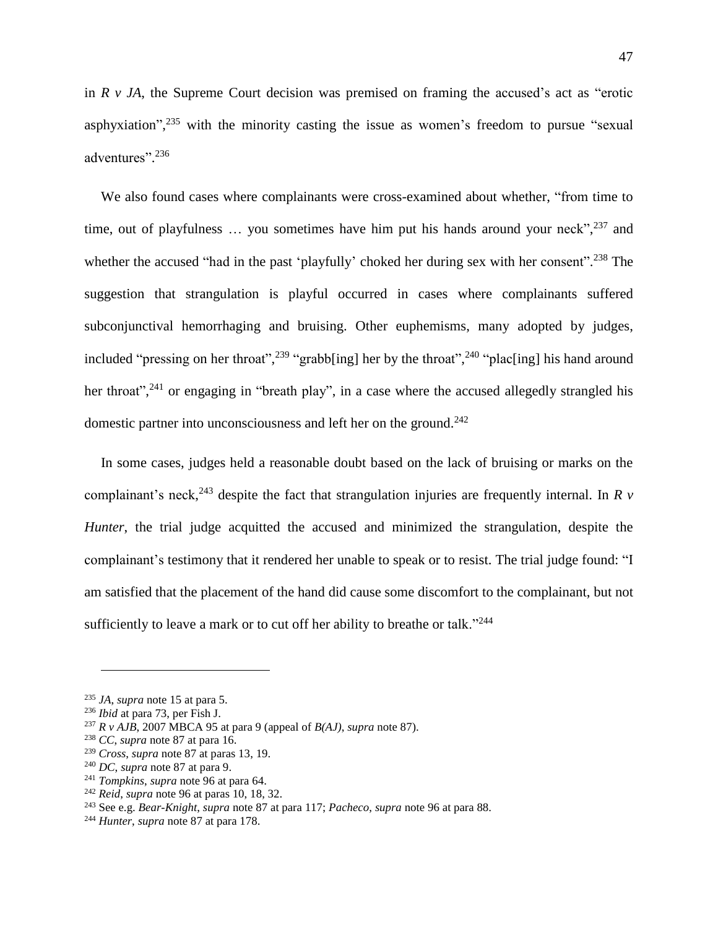in *R v JA*, the Supreme Court decision was premised on framing the accused's act as "erotic asphyxiation",<sup>235</sup> with the minority casting the issue as women's freedom to pursue "sexual adventures".<sup>236</sup>

We also found cases where complainants were cross-examined about whether, "from time to time, out of playfulness ... you sometimes have him put his hands around your neck",<sup>237</sup> and whether the accused "had in the past 'playfully' choked her during sex with her consent".<sup>238</sup> The suggestion that strangulation is playful occurred in cases where complainants suffered subconjunctival hemorrhaging and bruising. Other euphemisms, many adopted by judges, included "pressing on her throat",<sup>239</sup> "grabb[ing] her by the throat",<sup>240</sup> "plac[ing] his hand around her throat",<sup>241</sup> or engaging in "breath play", in a case where the accused allegedly strangled his domestic partner into unconsciousness and left her on the ground.<sup>242</sup>

In some cases, judges held a reasonable doubt based on the lack of bruising or marks on the complainant's neck, <sup>243</sup> despite the fact that strangulation injuries are frequently internal. In *R v Hunter*, the trial judge acquitted the accused and minimized the strangulation, despite the complainant's testimony that it rendered her unable to speak or to resist. The trial judge found: "I am satisfied that the placement of the hand did cause some discomfort to the complainant, but not sufficiently to leave a mark or to cut off her ability to breathe or talk."<sup>244</sup>

<sup>235</sup> *JA*, *supra* note [15](#page-4-0) at para 5.

<sup>236</sup> *Ibid* at para 73, per Fish J.

<sup>237</sup> *R v AJB*, 2007 MBCA 95 at para 9 (appeal of *B(AJ)*, *supra* note [87\)](#page-20-1).

<sup>238</sup> *CC*, *supra* note [87](#page-20-1) at para 16.

<sup>239</sup> *Cross*, *supra* note [87](#page-20-1) at paras 13, 19.

<sup>240</sup> *DC*, *supra* note [87](#page-20-1) at para 9.

<sup>241</sup> *Tompkins*, *supra* note [96](#page-21-1) at para 64.

<sup>242</sup> *Reid*, *supra* not[e 96](#page-21-1) at paras 10, 18, 32.

<sup>243</sup> See e.g. *Bear-Knight*, *supra* note [87](#page-20-1) at para 117; *Pacheco*, *supra* not[e 96](#page-21-1) at para 88.

<sup>244</sup> *Hunter*, *supra* not[e 87](#page-20-1) at para 178.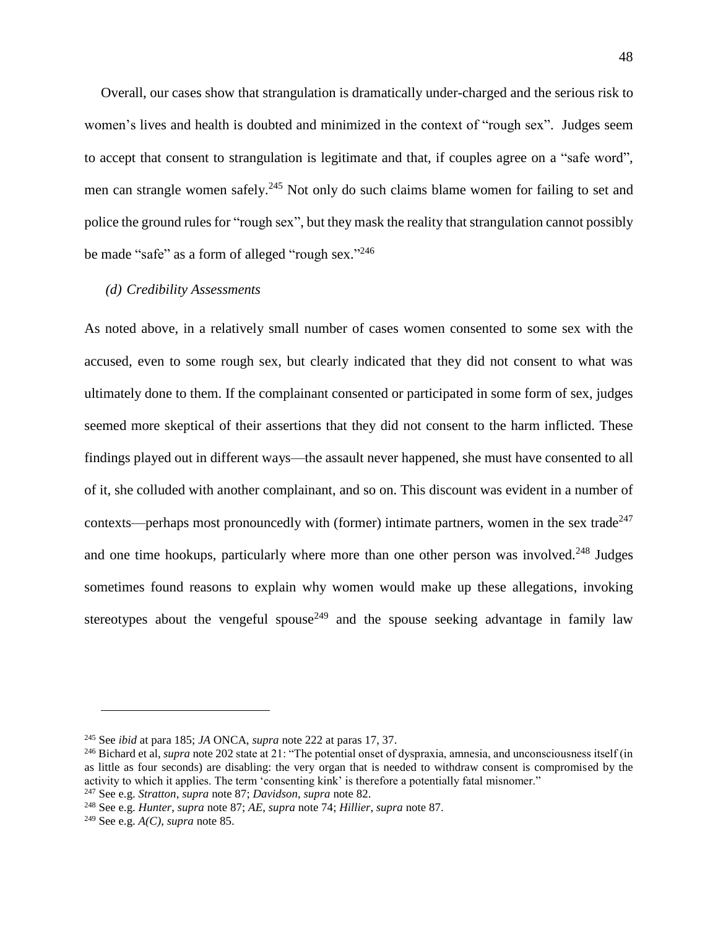Overall, our cases show that strangulation is dramatically under-charged and the serious risk to women's lives and health is doubted and minimized in the context of "rough sex". Judges seem to accept that consent to strangulation is legitimate and that, if couples agree on a "safe word", men can strangle women safely.<sup>245</sup> Not only do such claims blame women for failing to set and police the ground rules for "rough sex", but they mask the reality that strangulation cannot possibly be made "safe" as a form of alleged "rough sex."246

#### *(d) Credibility Assessments*

As noted above, in a relatively small number of cases women consented to some sex with the accused, even to some rough sex, but clearly indicated that they did not consent to what was ultimately done to them. If the complainant consented or participated in some form of sex, judges seemed more skeptical of their assertions that they did not consent to the harm inflicted. These findings played out in different ways—the assault never happened, she must have consented to all of it, she colluded with another complainant, and so on. This discount was evident in a number of contexts—perhaps most pronouncedly with (former) intimate partners, women in the sex trade<sup>247</sup> and one time hookups, particularly where more than one other person was involved.<sup>248</sup> Judges sometimes found reasons to explain why women would make up these allegations, invoking stereotypes about the vengeful spouse<sup>249</sup> and the spouse seeking advantage in family law

<sup>245</sup> See *ibid* at para 185; *JA* ONCA, *supra* note [222](#page-44-0) at paras 17, 37.

<sup>246</sup> Bichard et al, *supra* note [202](#page-41-1) state at 21: "The potential onset of dyspraxia, amnesia, and unconsciousness itself (in as little as four seconds) are disabling: the very organ that is needed to withdraw consent is compromised by the activity to which it applies. The term 'consenting kink' is therefore a potentially fatal misnomer." <sup>247</sup> See e.g. *Stratton*, *supra* note [87;](#page-20-1) *Davidson*, *supra* note [82.](#page-19-1)

<sup>248</sup> See e.g. *Hunter*, *supra* note [87;](#page-20-1) *AE*, *supra* note [74;](#page-16-1) *Hillier*, *supra* note [87.](#page-20-1)

<sup>249</sup> See e.g. *A(C)*, *supra* note [85.](#page-20-0)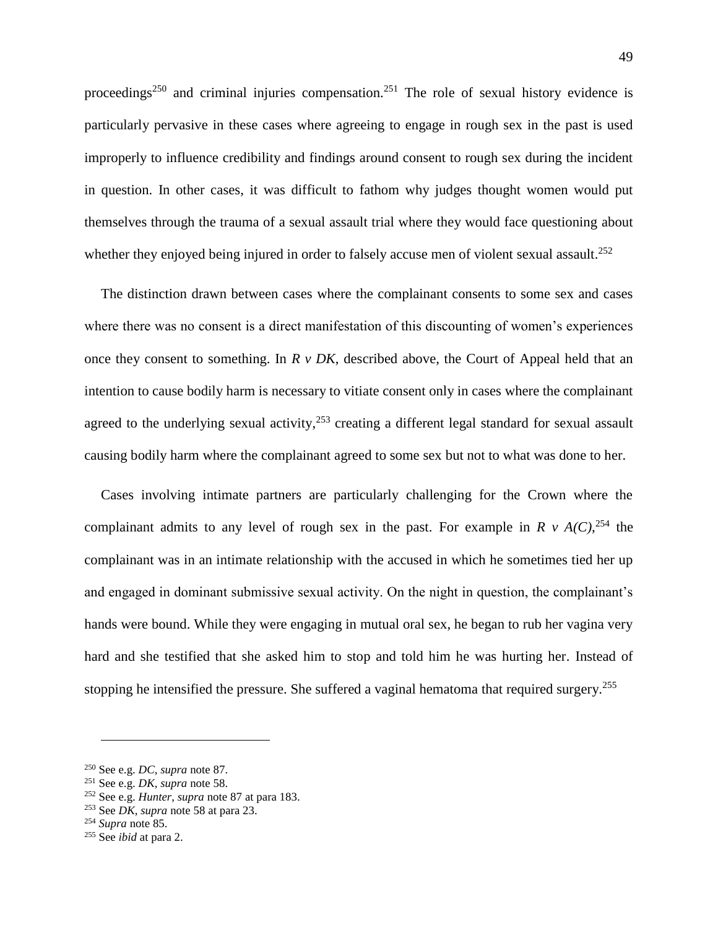proceedings<sup>250</sup> and criminal injuries compensation.<sup>251</sup> The role of sexual history evidence is particularly pervasive in these cases where agreeing to engage in rough sex in the past is used improperly to influence credibility and findings around consent to rough sex during the incident in question. In other cases, it was difficult to fathom why judges thought women would put themselves through the trauma of a sexual assault trial where they would face questioning about whether they enjoyed being injured in order to falsely accuse men of violent sexual assault.<sup>252</sup>

The distinction drawn between cases where the complainant consents to some sex and cases where there was no consent is a direct manifestation of this discounting of women's experiences once they consent to something. In *R v DK*, described above, the Court of Appeal held that an intention to cause bodily harm is necessary to vitiate consent only in cases where the complainant agreed to the underlying sexual activity,<sup>253</sup> creating a different legal standard for sexual assault causing bodily harm where the complainant agreed to some sex but not to what was done to her.

Cases involving intimate partners are particularly challenging for the Crown where the complainant admits to any level of rough sex in the past. For example in  $R \vee A(C)$ , <sup>254</sup> the complainant was in an intimate relationship with the accused in which he sometimes tied her up and engaged in dominant submissive sexual activity. On the night in question, the complainant's hands were bound. While they were engaging in mutual oral sex, he began to rub her vagina very hard and she testified that she asked him to stop and told him he was hurting her. Instead of stopping he intensified the pressure. She suffered a vaginal hematoma that required surgery.<sup>255</sup>

<sup>250</sup> See e.g. *DC*, *supra* note [87.](#page-20-1)

<sup>251</sup> See e.g. *DK*, *supra* note [58.](#page-13-0)

<sup>252</sup> See e.g. *Hunter*, *supra* note [87](#page-20-1) at para 183.

<sup>253</sup> See *DK*, *supra* note [58](#page-13-0) at para 23.

<sup>254</sup> *Supra* note [85.](#page-20-0)

<sup>255</sup> See *ibid* at para 2.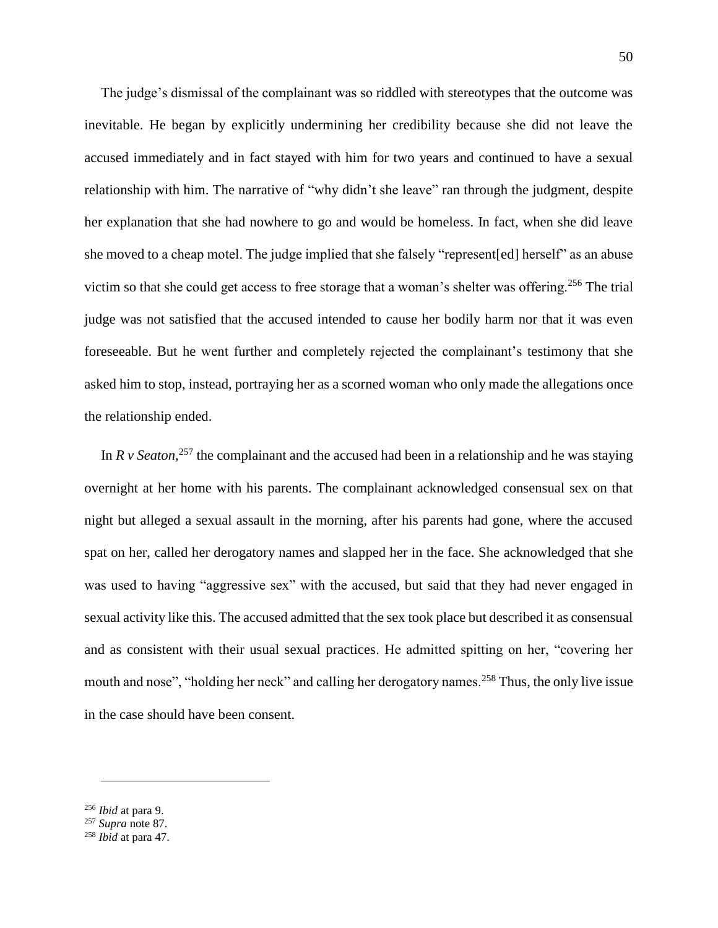The judge's dismissal of the complainant was so riddled with stereotypes that the outcome was inevitable. He began by explicitly undermining her credibility because she did not leave the accused immediately and in fact stayed with him for two years and continued to have a sexual relationship with him. The narrative of "why didn't she leave" ran through the judgment, despite her explanation that she had nowhere to go and would be homeless. In fact, when she did leave she moved to a cheap motel. The judge implied that she falsely "represent[ed] herself" as an abuse victim so that she could get access to free storage that a woman's shelter was offering.<sup>256</sup> The trial judge was not satisfied that the accused intended to cause her bodily harm nor that it was even foreseeable. But he went further and completely rejected the complainant's testimony that she asked him to stop, instead, portraying her as a scorned woman who only made the allegations once the relationship ended.

In  $R$  v Seaton,<sup>257</sup> the complainant and the accused had been in a relationship and he was staying overnight at her home with his parents. The complainant acknowledged consensual sex on that night but alleged a sexual assault in the morning, after his parents had gone, where the accused spat on her, called her derogatory names and slapped her in the face. She acknowledged that she was used to having "aggressive sex" with the accused, but said that they had never engaged in sexual activity like this. The accused admitted that the sex took place but described it as consensual and as consistent with their usual sexual practices. He admitted spitting on her, "covering her mouth and nose", "holding her neck" and calling her derogatory names.<sup>258</sup> Thus, the only live issue in the case should have been consent.

<sup>256</sup> *Ibid* at para 9.

<sup>257</sup> *Supra* note [87.](#page-20-1)

<sup>258</sup> *Ibid* at para 47.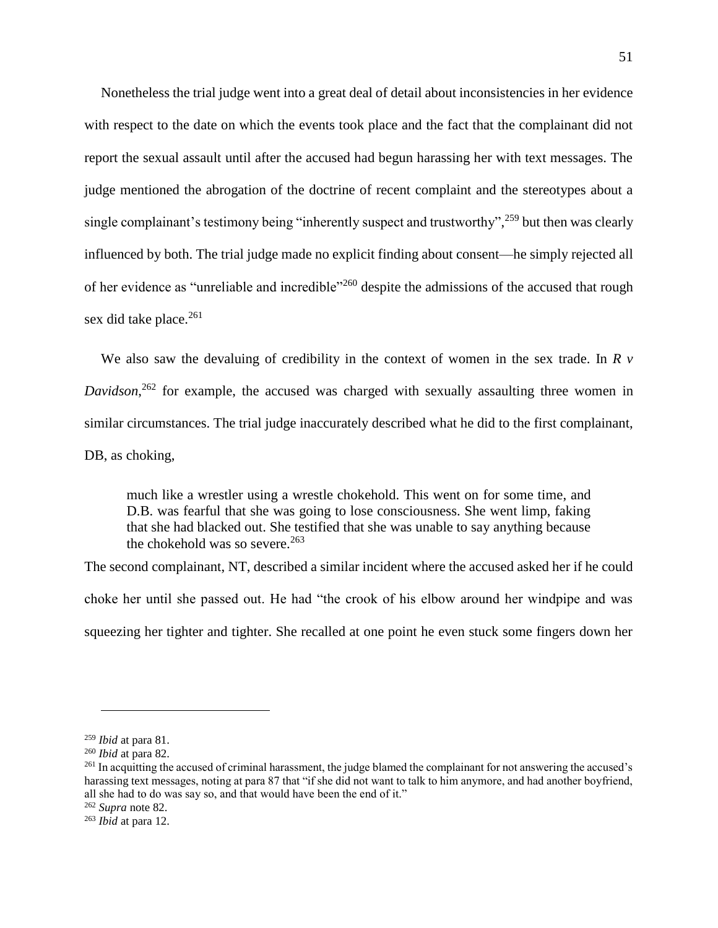Nonetheless the trial judge went into a great deal of detail about inconsistencies in her evidence with respect to the date on which the events took place and the fact that the complainant did not report the sexual assault until after the accused had begun harassing her with text messages. The judge mentioned the abrogation of the doctrine of recent complaint and the stereotypes about a single complainant's testimony being "inherently suspect and trustworthy",<sup>259</sup> but then was clearly influenced by both. The trial judge made no explicit finding about consent—he simply rejected all of her evidence as "unreliable and incredible"<sup>260</sup> despite the admissions of the accused that rough sex did take place.<sup>261</sup>

We also saw the devaluing of credibility in the context of women in the sex trade. In *R v Davidson*, <sup>262</sup> for example, the accused was charged with sexually assaulting three women in similar circumstances. The trial judge inaccurately described what he did to the first complainant, DB, as choking,

much like a wrestler using a wrestle chokehold. This went on for some time, and D.B. was fearful that she was going to lose consciousness. She went limp, faking that she had blacked out. She testified that she was unable to say anything because the chokehold was so severe. $263$ 

The second complainant, NT, described a similar incident where the accused asked her if he could choke her until she passed out. He had "the crook of his elbow around her windpipe and was squeezing her tighter and tighter. She recalled at one point he even stuck some fingers down her

<sup>259</sup> *Ibid* at para 81.

<sup>260</sup> *Ibid* at para 82.

<sup>&</sup>lt;sup>261</sup> In acquitting the accused of criminal harassment, the judge blamed the complainant for not answering the accused's harassing text messages, noting at para 87 that "if she did not want to talk to him anymore, and had another boyfriend, all she had to do was say so, and that would have been the end of it."

<sup>262</sup> *Supra* note [82.](#page-19-1)

<sup>263</sup> *Ibid* at para 12.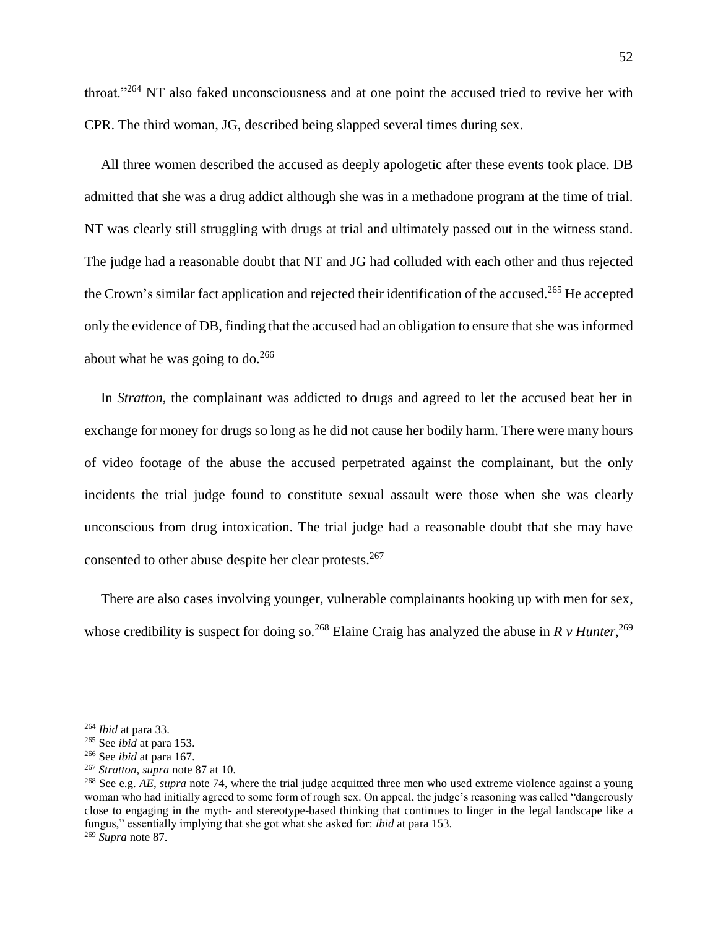throat."<sup>264</sup> NT also faked unconsciousness and at one point the accused tried to revive her with CPR. The third woman, JG, described being slapped several times during sex.

All three women described the accused as deeply apologetic after these events took place. DB admitted that she was a drug addict although she was in a methadone program at the time of trial. NT was clearly still struggling with drugs at trial and ultimately passed out in the witness stand. The judge had a reasonable doubt that NT and JG had colluded with each other and thus rejected the Crown's similar fact application and rejected their identification of the accused.<sup>265</sup> He accepted only the evidence of DB, finding that the accused had an obligation to ensure that she was informed about what he was going to do. $266$ 

In *Stratton*, the complainant was addicted to drugs and agreed to let the accused beat her in exchange for money for drugs so long as he did not cause her bodily harm. There were many hours of video footage of the abuse the accused perpetrated against the complainant, but the only incidents the trial judge found to constitute sexual assault were those when she was clearly unconscious from drug intoxication. The trial judge had a reasonable doubt that she may have consented to other abuse despite her clear protests.<sup>267</sup>

There are also cases involving younger, vulnerable complainants hooking up with men for sex, whose credibility is suspect for doing so.<sup>268</sup> Elaine Craig has analyzed the abuse in  $R \nu$  Hunter,<sup>269</sup>

<sup>264</sup> *Ibid* at para 33.

<sup>265</sup> See *ibid* at para 153.

<sup>266</sup> See *ibid* at para 167.

<sup>267</sup> *Stratton*, *supra* not[e 87](#page-20-1) at 10.

<sup>268</sup> See e.g. *AE*, *supra* note [74,](#page-16-1) where the trial judge acquitted three men who used extreme violence against a young woman who had initially agreed to some form of rough sex. On appeal, the judge's reasoning was called "dangerously close to engaging in the myth- and stereotype-based thinking that continues to linger in the legal landscape like a fungus," essentially implying that she got what she asked for: *ibid* at para 153. <sup>269</sup> *Supra* note [87.](#page-20-1)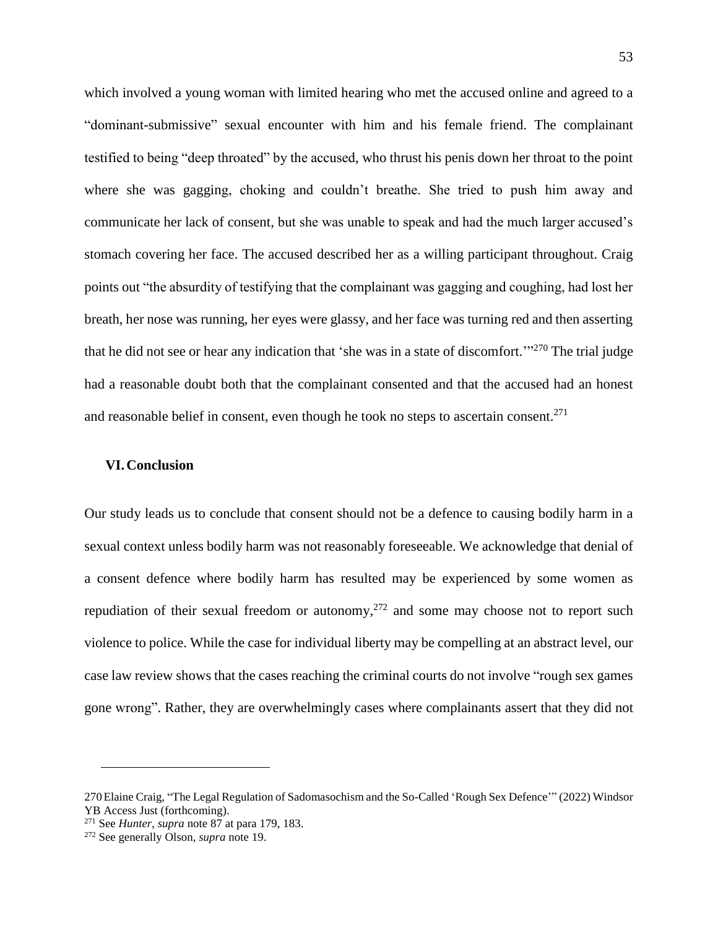which involved a young woman with limited hearing who met the accused online and agreed to a "dominant-submissive" sexual encounter with him and his female friend. The complainant testified to being "deep throated" by the accused, who thrust his penis down her throat to the point where she was gagging, choking and couldn't breathe. She tried to push him away and communicate her lack of consent, but she was unable to speak and had the much larger accused's stomach covering her face. The accused described her as a willing participant throughout. Craig points out "the absurdity of testifying that the complainant was gagging and coughing, had lost her breath, her nose was running, her eyes were glassy, and her face was turning red and then asserting that he did not see or hear any indication that 'she was in a state of discomfort."<sup>270</sup> The trial judge had a reasonable doubt both that the complainant consented and that the accused had an honest and reasonable belief in consent, even though he took no steps to ascertain consent.<sup>271</sup>

## **VI.Conclusion**

Our study leads us to conclude that consent should not be a defence to causing bodily harm in a sexual context unless bodily harm was not reasonably foreseeable. We acknowledge that denial of a consent defence where bodily harm has resulted may be experienced by some women as repudiation of their sexual freedom or autonomy,  $272$  and some may choose not to report such violence to police. While the case for individual liberty may be compelling at an abstract level, our case law review shows that the cases reaching the criminal courts do not involve "rough sex games gone wrong". Rather, they are overwhelmingly cases where complainants assert that they did not

<sup>270</sup>Elaine Craig, "The Legal Regulation of Sadomasochism and the So-Called 'Rough Sex Defence'" (2022) Windsor YB Access Just (forthcoming).

<sup>271</sup> See *Hunter*, *supra* not[e 87](#page-20-1) at para 179, 183.

<sup>272</sup> See generally Olson, *supra* note [19.](#page-6-0)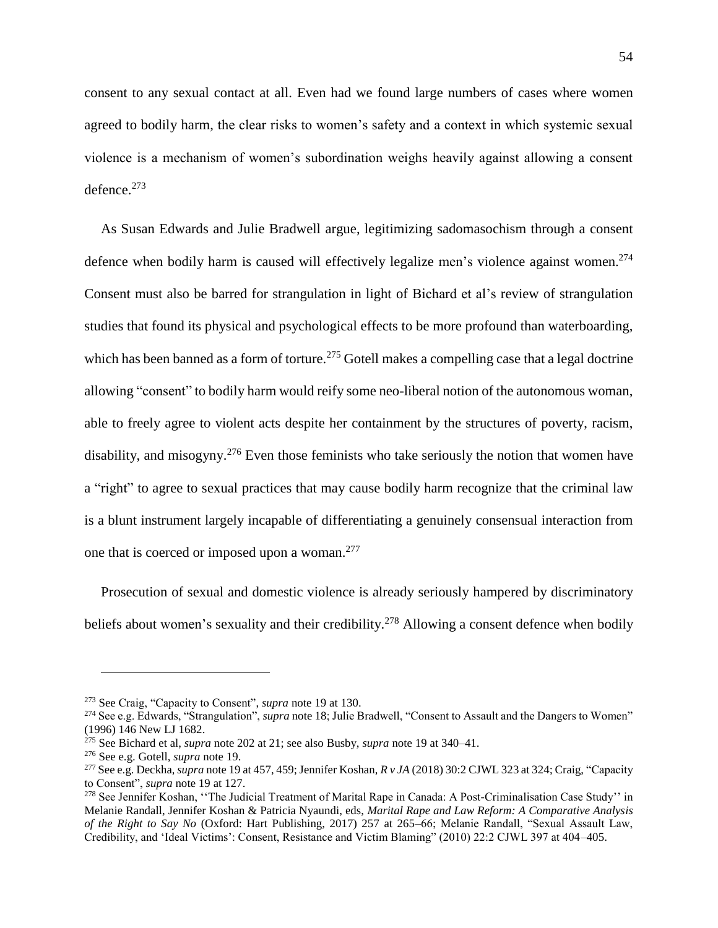consent to any sexual contact at all. Even had we found large numbers of cases where women agreed to bodily harm, the clear risks to women's safety and a context in which systemic sexual violence is a mechanism of women's subordination weighs heavily against allowing a consent defence. 273

As Susan Edwards and Julie Bradwell argue, legitimizing sadomasochism through a consent defence when bodily harm is caused will effectively legalize men's violence against women.<sup>274</sup> Consent must also be barred for strangulation in light of Bichard et al's review of strangulation studies that found its physical and psychological effects to be more profound than waterboarding, which has been banned as a form of torture.<sup>275</sup> Gotell makes a compelling case that a legal doctrine allowing "consent" to bodily harm would reify some neo-liberal notion of the autonomous woman, able to freely agree to violent acts despite her containment by the structures of poverty, racism, disability, and misogyny.<sup>276</sup> Even those feminists who take seriously the notion that women have a "right" to agree to sexual practices that may cause bodily harm recognize that the criminal law is a blunt instrument largely incapable of differentiating a genuinely consensual interaction from one that is coerced or imposed upon a woman.<sup>277</sup>

Prosecution of sexual and domestic violence is already seriously hampered by discriminatory beliefs about women's sexuality and their credibility.<sup>278</sup> Allowing a consent defence when bodily

<sup>273</sup> See Craig, "Capacity to Consent", *supra* note [19](#page-6-0) at 130.

<sup>274</sup> See e.g. Edwards, "Strangulation", *supra* not[e 18;](#page-6-1) Julie Bradwell, "Consent to Assault and the Dangers to Women" (1996) 146 New LJ 1682.

<sup>275</sup> See Bichard et al, *supra* note [202](#page-41-1) at 21; see also Busby, *supra* note [19](#page-6-0) at 340–41.

<sup>276</sup> See e.g. Gotell, *supra* note [19.](#page-6-0)

<sup>277</sup> See e.g. Deckha, *supra* not[e 19](#page-6-0) at 457, 459; Jennifer Koshan, *R v JA* (2018) 30:2 CJWL 323 at 324; Craig, "Capacity to Consent", *supra* note [19](#page-6-0) at 127.

<sup>&</sup>lt;sup>278</sup> See Jennifer Koshan, "The Judicial Treatment of Marital Rape in Canada: A Post-Criminalisation Case Study" in Melanie Randall, Jennifer Koshan & Patricia Nyaundi, eds, *Marital Rape and Law Reform: A Comparative Analysis of the Right to Say No* (Oxford: Hart Publishing, 2017) 257 at 265–66; Melanie Randall, "Sexual Assault Law, Credibility, and 'Ideal Victims': Consent, Resistance and Victim Blaming" (2010) 22:2 CJWL 397 at 404–405.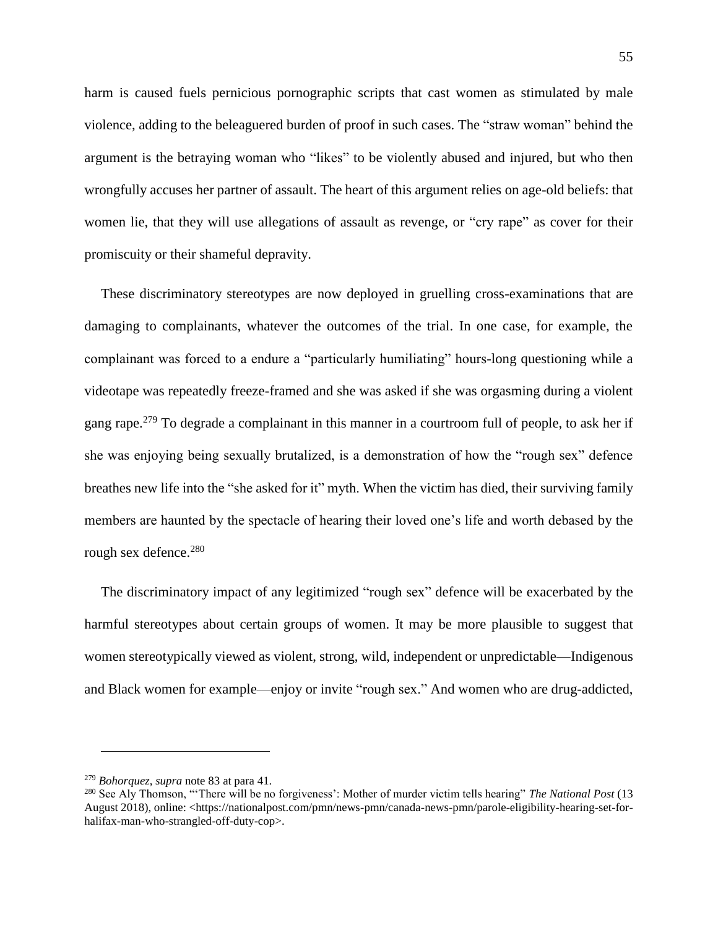harm is caused fuels pernicious pornographic scripts that cast women as stimulated by male violence, adding to the beleaguered burden of proof in such cases. The "straw woman" behind the argument is the betraying woman who "likes" to be violently abused and injured, but who then wrongfully accuses her partner of assault. The heart of this argument relies on age-old beliefs: that women lie, that they will use allegations of assault as revenge, or "cry rape" as cover for their promiscuity or their shameful depravity.

These discriminatory stereotypes are now deployed in gruelling cross-examinations that are damaging to complainants, whatever the outcomes of the trial. In one case, for example, the complainant was forced to a endure a "particularly humiliating" hours-long questioning while a videotape was repeatedly freeze-framed and she was asked if she was orgasming during a violent gang rape.<sup>279</sup> To degrade a complainant in this manner in a courtroom full of people, to ask her if she was enjoying being sexually brutalized, is a demonstration of how the "rough sex" defence breathes new life into the "she asked for it" myth. When the victim has died, their surviving family members are haunted by the spectacle of hearing their loved one's life and worth debased by the rough sex defence.<sup>280</sup>

The discriminatory impact of any legitimized "rough sex" defence will be exacerbated by the harmful stereotypes about certain groups of women. It may be more plausible to suggest that women stereotypically viewed as violent, strong, wild, independent or unpredictable—Indigenous and Black women for example—enjoy or invite "rough sex." And women who are drug-addicted,

<sup>279</sup> *Bohorquez*, *supra* not[e 83](#page-19-0) at para 41.

<sup>280</sup> See Aly Thomson, "'There will be no forgiveness': Mother of murder victim tells hearing" *The National Post* (13 August 2018), online: <https://nationalpost.com/pmn/news-pmn/canada-news-pmn/parole-eligibility-hearing-set-forhalifax-man-who-strangled-off-duty-cop>.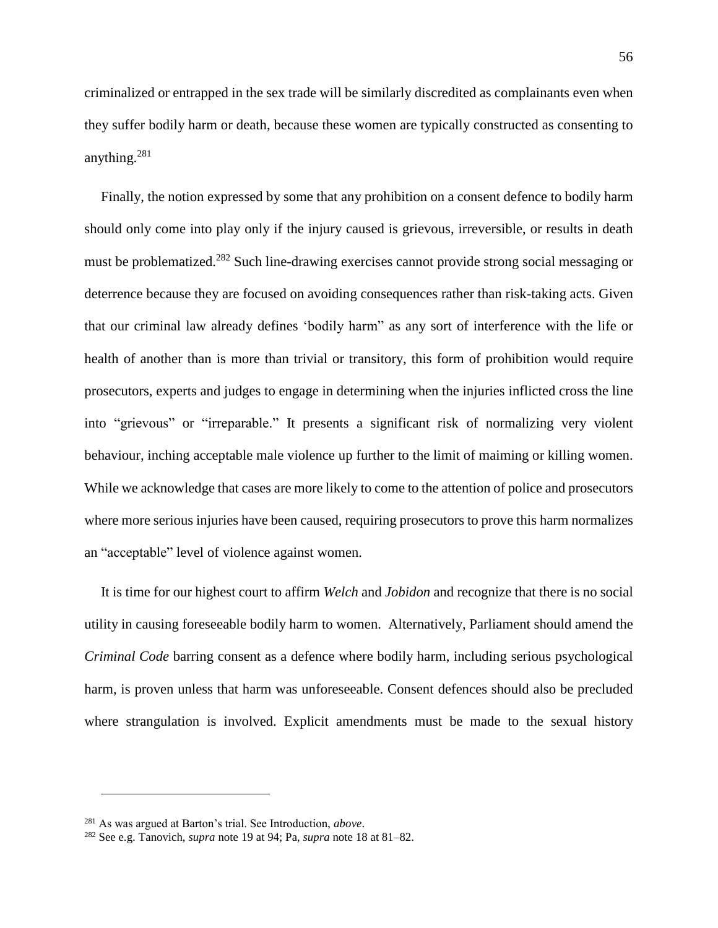criminalized or entrapped in the sex trade will be similarly discredited as complainants even when they suffer bodily harm or death, because these women are typically constructed as consenting to anything.<sup>281</sup>

Finally, the notion expressed by some that any prohibition on a consent defence to bodily harm should only come into play only if the injury caused is grievous, irreversible, or results in death must be problematized.<sup>282</sup> Such line-drawing exercises cannot provide strong social messaging or deterrence because they are focused on avoiding consequences rather than risk-taking acts. Given that our criminal law already defines 'bodily harm" as any sort of interference with the life or health of another than is more than trivial or transitory, this form of prohibition would require prosecutors, experts and judges to engage in determining when the injuries inflicted cross the line into "grievous" or "irreparable." It presents a significant risk of normalizing very violent behaviour, inching acceptable male violence up further to the limit of maiming or killing women. While we acknowledge that cases are more likely to come to the attention of police and prosecutors where more serious injuries have been caused, requiring prosecutors to prove this harm normalizes an "acceptable" level of violence against women.

It is time for our highest court to affirm *Welch* and *Jobidon* and recognize that there is no social utility in causing foreseeable bodily harm to women. Alternatively, Parliament should amend the *Criminal Code* barring consent as a defence where bodily harm, including serious psychological harm, is proven unless that harm was unforeseeable. Consent defences should also be precluded where strangulation is involved. Explicit amendments must be made to the sexual history

<sup>281</sup> As was argued at Barton's trial. See Introduction, *above*.

<sup>282</sup> See e.g. Tanovich, *supra* note [19](#page-6-0) at 94; Pa, *supra* note [18](#page-6-1) at 81–82.